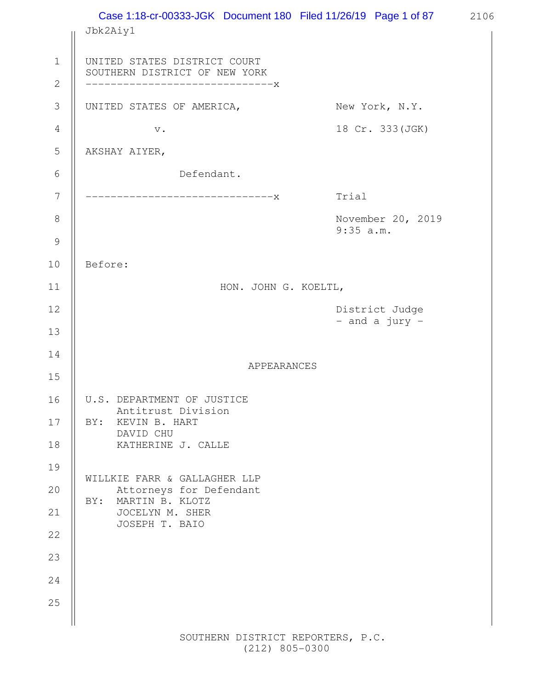Case 1:18-cr-00333-JGK Document 180 Filed 11/26/19 Page 1 of 87 2106 Jbk2Aiy1 UNITED STATES DISTRICT COURT SOUTHERN DISTRICT OF NEW YORK ------------------------------x UNITED STATES OF AMERICA, New York, N.Y. v. 18 Cr. 333(JGK) AKSHAY AIYER, Defendant. ------------------------------x Trial November 20, 2019 9:35 a.m. Before: HON. JOHN G. KOELTL, District Judge - and a jury - APPEARANCES U.S. DEPARTMENT OF JUSTICE Antitrust Division BY: KEVIN B. HART DAVID CHU KATHERINE J. CALLE WILLKIE FARR & GALLAGHER LLP Attorneys for Defendant BY: MARTIN B. KLOTZ JOCELYN M. SHER JOSEPH T. BAIO 1 2 3 4 5 6 7 8 9 10 11 12 13 14 15 16 17 18 19 20 21 22 23 24 25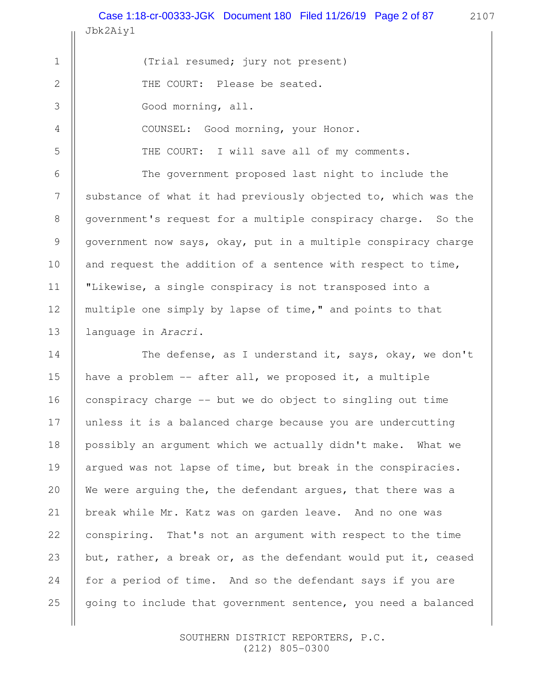Jbk2Aiy1 Case 1:18-cr-00333-JGK Document 180 Filed 11/26/19 Page 2 of 87 2107

(Trial resumed; jury not present) THE COURT: Please be seated. Good morning, all. COUNSEL: Good morning, your Honor.

1

2

3

4

5

6

7

8

9

10

11

12

13

The government proposed last night to include the substance of what it had previously objected to, which was the government's request for a multiple conspiracy charge. So the government now says, okay, put in a multiple conspiracy charge and request the addition of a sentence with respect to time, "Likewise, a single conspiracy is not transposed into a multiple one simply by lapse of time," and points to that language in Aracri.

THE COURT: I will save all of my comments.

The defense, as I understand it, says, okay, we don't have a problem -- after all, we proposed it, a multiple conspiracy charge -- but we do object to singling out time unless it is a balanced charge because you are undercutting possibly an argument which we actually didn't make. What we argued was not lapse of time, but break in the conspiracies. We were arguing the, the defendant argues, that there was a break while Mr. Katz was on garden leave. And no one was conspiring. That's not an argument with respect to the time but, rather, a break or, as the defendant would put it, ceased for a period of time. And so the defendant says if you are going to include that government sentence, you need a balanced 14 15 16 17 18 19 20 21 22 23 24 25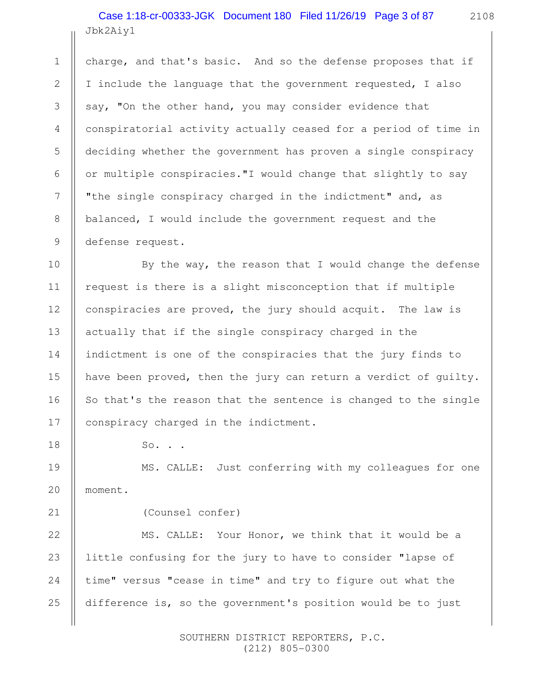Jbk2Aiy1 Case 1:18-cr-00333-JGK Document 180 Filed 11/26/19 Page 3 of 87

charge, and that's basic. And so the defense proposes that if I include the language that the government requested, I also say, "On the other hand, you may consider evidence that conspiratorial activity actually ceased for a period of time in deciding whether the government has proven a single conspiracy or multiple conspiracies."I would change that slightly to say "the single conspiracy charged in the indictment" and, as balanced, I would include the government request and the defense request.

By the way, the reason that I would change the defense request is there is a slight misconception that if multiple conspiracies are proved, the jury should acquit. The law is actually that if the single conspiracy charged in the indictment is one of the conspiracies that the jury finds to have been proved, then the jury can return a verdict of guilty. So that's the reason that the sentence is changed to the single conspiracy charged in the indictment.

So. . .

1

2

3

4

5

6

7

8

9

10

11

12

13

14

15

16

17

18

19

20

21

22

23

24

25

MS. CALLE: Just conferring with my colleagues for one moment.

(Counsel confer)

MS. CALLE: Your Honor, we think that it would be a little confusing for the jury to have to consider "lapse of time" versus "cease in time" and try to figure out what the difference is, so the government's position would be to just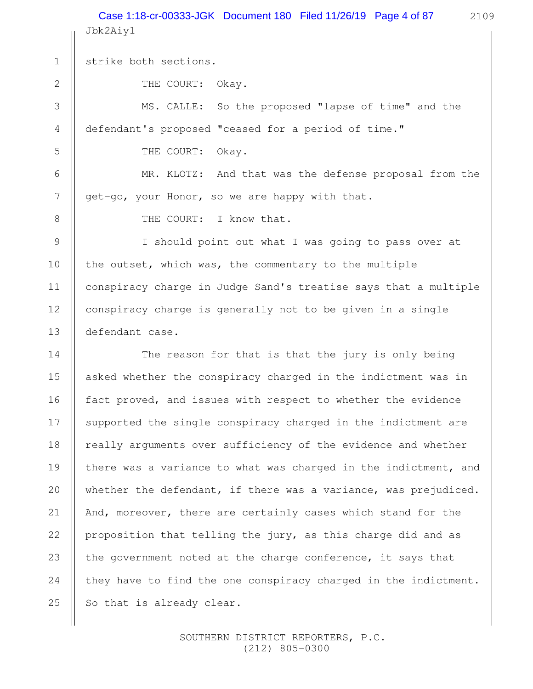Jbk2Aiy1 Case 1:18-cr-00333-JGK Document 180 Filed 11/26/19 Page 4 of 87 2109

THE COURT: Okay.

MS. CALLE: So the proposed "lapse of time" and the defendant's proposed "ceased for a period of time."

THE COURT: Okay.

MR. KLOTZ: And that was the defense proposal from the get-go, your Honor, so we are happy with that.

1

2

3

4

5

6

7

8

9

10

11

12

13

THE COURT: I know that.

I should point out what I was going to pass over at the outset, which was, the commentary to the multiple conspiracy charge in Judge Sand's treatise says that a multiple conspiracy charge is generally not to be given in a single defendant case.

The reason for that is that the jury is only being asked whether the conspiracy charged in the indictment was in fact proved, and issues with respect to whether the evidence supported the single conspiracy charged in the indictment are really arguments over sufficiency of the evidence and whether there was a variance to what was charged in the indictment, and whether the defendant, if there was a variance, was prejudiced. And, moreover, there are certainly cases which stand for the proposition that telling the jury, as this charge did and as the government noted at the charge conference, it says that they have to find the one conspiracy charged in the indictment. So that is already clear. 14 15 16 17 18 19 20 21 22 23 24 25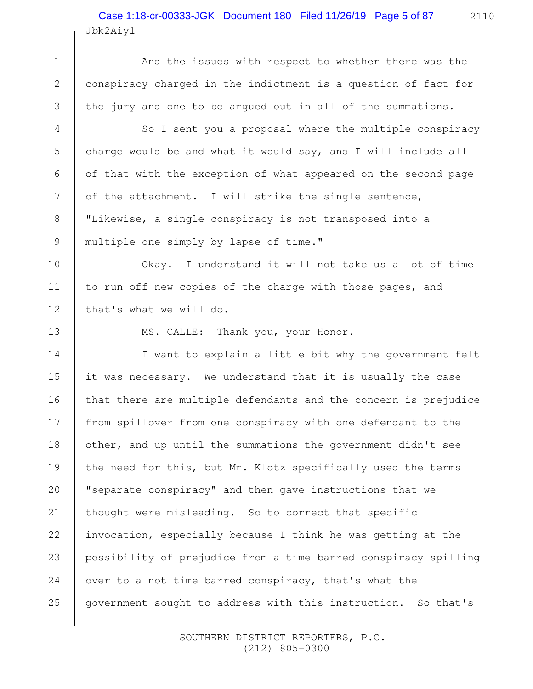Jbk2Aiy1 Case 1:18-cr-00333-JGK Document 180 Filed 11/26/19 Page 5 of 87

And the issues with respect to whether there was the conspiracy charged in the indictment is a question of fact for the jury and one to be argued out in all of the summations.

So I sent you a proposal where the multiple conspiracy charge would be and what it would say, and I will include all of that with the exception of what appeared on the second page of the attachment. I will strike the single sentence, "Likewise, a single conspiracy is not transposed into a multiple one simply by lapse of time."

Okay. I understand it will not take us a lot of time to run off new copies of the charge with those pages, and that's what we will do.

13

1

2

3

4

5

6

7

8

9

10

11

12

MS. CALLE: Thank you, your Honor.

I want to explain a little bit why the government felt it was necessary. We understand that it is usually the case that there are multiple defendants and the concern is prejudice from spillover from one conspiracy with one defendant to the other, and up until the summations the government didn't see the need for this, but Mr. Klotz specifically used the terms "separate conspiracy" and then gave instructions that we thought were misleading. So to correct that specific invocation, especially because I think he was getting at the possibility of prejudice from a time barred conspiracy spilling over to a not time barred conspiracy, that's what the government sought to address with this instruction. So that's 14 15 16 17 18 19 20 21 22 23 24 25

> SOUTHERN DISTRICT REPORTERS, P.C. (212) 805-0300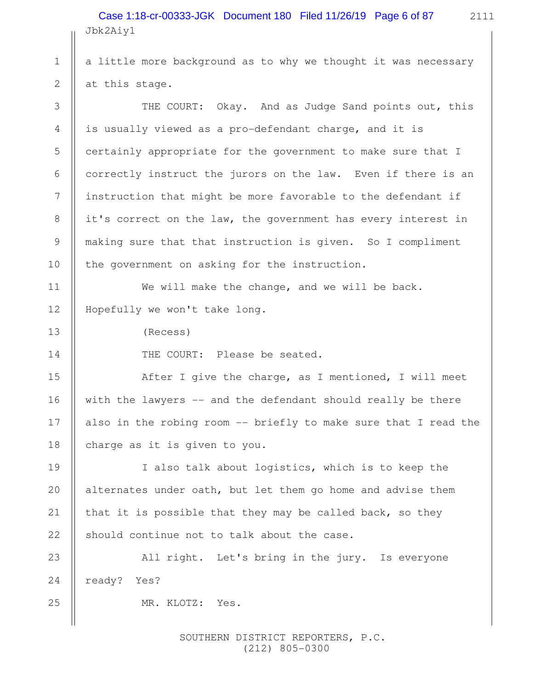Jbk2Aiy1 Case 1:18-cr-00333-JGK Document 180 Filed 11/26/19 Page 6 of 87

2111

a little more background as to why we thought it was necessary at this stage.

THE COURT: Okay. And as Judge Sand points out, this is usually viewed as a pro-defendant charge, and it is certainly appropriate for the government to make sure that I correctly instruct the jurors on the law. Even if there is an instruction that might be more favorable to the defendant if it's correct on the law, the government has every interest in making sure that that instruction is given. So I compliment the government on asking for the instruction.

We will make the change, and we will be back. Hopefully we won't take long. 11 12

(Recess)

1

2

3

4

5

6

7

8

9

10

13

14

25

THE COURT: Please be seated.

After I give the charge, as I mentioned, I will meet with the lawyers -- and the defendant should really be there also in the robing room -- briefly to make sure that I read the charge as it is given to you. 15 16 17 18

I also talk about logistics, which is to keep the alternates under oath, but let them go home and advise them that it is possible that they may be called back, so they should continue not to talk about the case. 19 20 21 22

All right. Let's bring in the jury. Is everyone ready? Yes? 23 24

MR. KLOTZ: Yes.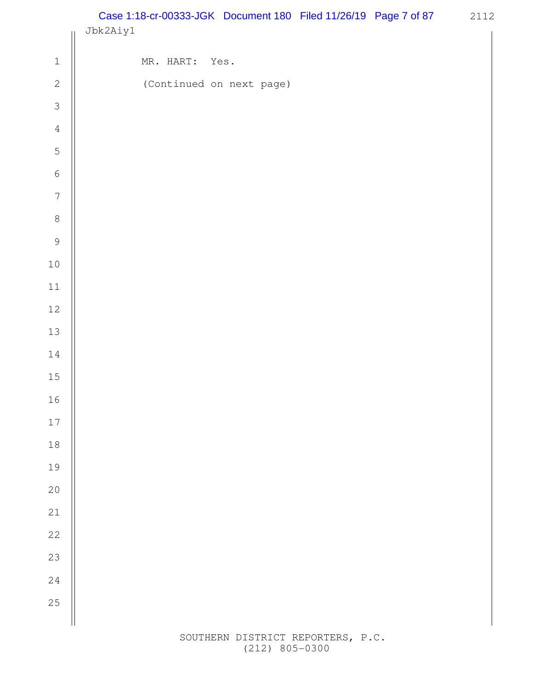2112 Case 1:18-cr-00333-JGK Document 180 Filed 11/26/19 Page 7 of 87

|                            | Jbk2Aiy1 |           |                          |  |  |  |
|----------------------------|----------|-----------|--------------------------|--|--|--|
| $\ensuremath{\mathbbm{1}}$ |          | MR. HART: | Yes.                     |  |  |  |
| $\sqrt{2}$                 |          |           | (Continued on next page) |  |  |  |
| $\mathcal{S}$              |          |           |                          |  |  |  |
| $\sqrt{4}$                 |          |           |                          |  |  |  |
| $\mathsf S$                |          |           |                          |  |  |  |
| $\sqrt{6}$                 |          |           |                          |  |  |  |
| $\boldsymbol{7}$           |          |           |                          |  |  |  |
| $\,8\,$                    |          |           |                          |  |  |  |
| $\mathcal{G}$              |          |           |                          |  |  |  |
| $1\,0$                     |          |           |                          |  |  |  |
| $11\,$                     |          |           |                          |  |  |  |
| $12\,$                     |          |           |                          |  |  |  |
| 13                         |          |           |                          |  |  |  |
| $1\,4$                     |          |           |                          |  |  |  |
| $15\,$                     |          |           |                          |  |  |  |
| 16                         |          |           |                          |  |  |  |
| $17\,$                     |          |           |                          |  |  |  |
| 18                         |          |           |                          |  |  |  |
| 19                         |          |           |                          |  |  |  |
| 20                         |          |           |                          |  |  |  |
| 21                         |          |           |                          |  |  |  |
| 22                         |          |           |                          |  |  |  |
| 23                         |          |           |                          |  |  |  |
| 24                         |          |           |                          |  |  |  |
| 25                         |          |           |                          |  |  |  |
|                            |          |           |                          |  |  |  |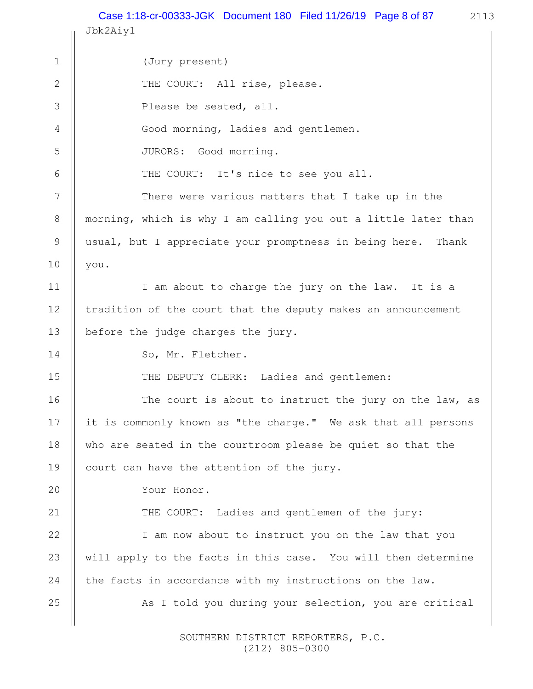2113 Jbk2Aiy1 (Jury present) THE COURT: All rise, please. Please be seated, all. Good morning, ladies and gentlemen. JURORS: Good morning. THE COURT: It's nice to see you all. There were various matters that I take up in the morning, which is why I am calling you out a little later than usual, but I appreciate your promptness in being here. Thank you. I am about to charge the jury on the law. It is a tradition of the court that the deputy makes an announcement before the judge charges the jury. So, Mr. Fletcher. THE DEPUTY CLERK: Ladies and gentlemen: The court is about to instruct the jury on the law, as it is commonly known as "the charge." We ask that all persons who are seated in the courtroom please be quiet so that the court can have the attention of the jury. Your Honor. THE COURT: Ladies and gentlemen of the jury: I am now about to instruct you on the law that you will apply to the facts in this case. You will then determine the facts in accordance with my instructions on the law. As I told you during your selection, you are critical 1 2 3 4 5 6 7 8 9 10 11 12 13 14 15 16 17 18 19 20 21 22 23 24 25 Case 1:18-cr-00333-JGK Document 180 Filed 11/26/19 Page 8 of 87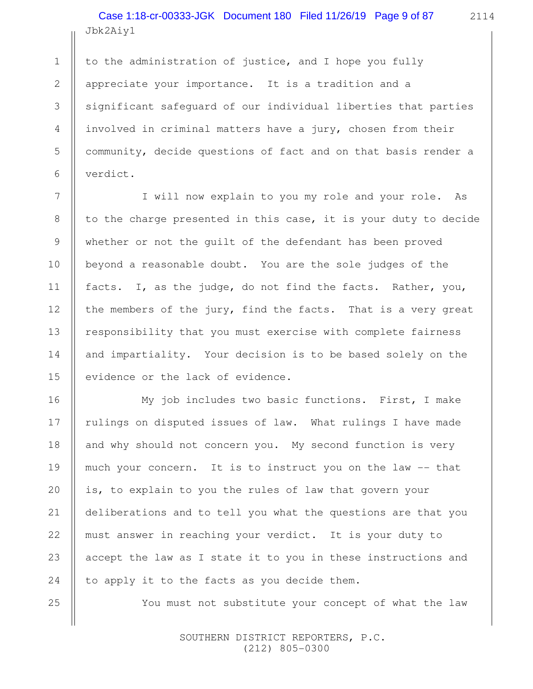Jbk2Aiy1 Case 1:18-cr-00333-JGK Document 180 Filed 11/26/19 Page 9 of 87

1

2

3

4

5

6

7

8

9

10

11

12

13

14

15

16

17

18

19

20

21

22

23

24

25

to the administration of justice, and I hope you fully appreciate your importance. It is a tradition and a significant safeguard of our individual liberties that parties involved in criminal matters have a jury, chosen from their community, decide questions of fact and on that basis render a verdict.

I will now explain to you my role and your role. As to the charge presented in this case, it is your duty to decide whether or not the guilt of the defendant has been proved beyond a reasonable doubt. You are the sole judges of the facts. I, as the judge, do not find the facts. Rather, you, the members of the jury, find the facts. That is a very great responsibility that you must exercise with complete fairness and impartiality. Your decision is to be based solely on the evidence or the lack of evidence.

My job includes two basic functions. First, I make rulings on disputed issues of law. What rulings I have made and why should not concern you. My second function is very much your concern. It is to instruct you on the law -- that is, to explain to you the rules of law that govern your deliberations and to tell you what the questions are that you must answer in reaching your verdict. It is your duty to accept the law as I state it to you in these instructions and to apply it to the facts as you decide them.

You must not substitute your concept of what the law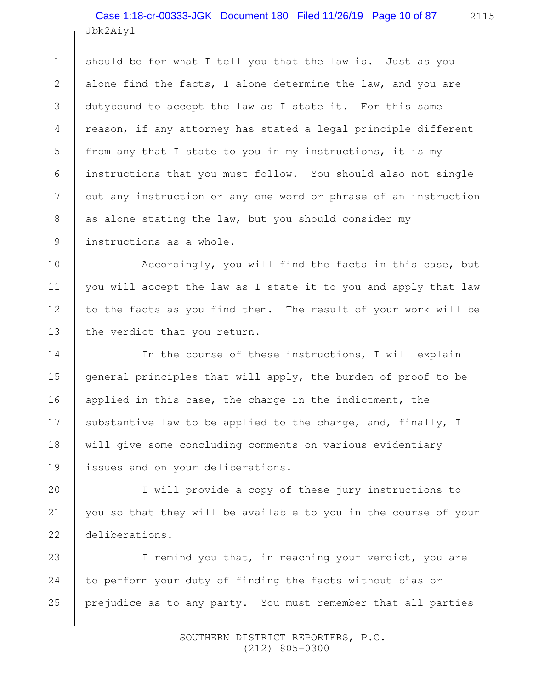Jbk2Aiy1 Case 1:18-cr-00333-JGK Document 180 Filed 11/26/19 Page 10 of 87

should be for what I tell you that the law is. Just as you alone find the facts, I alone determine the law, and you are dutybound to accept the law as I state it. For this same reason, if any attorney has stated a legal principle different from any that I state to you in my instructions, it is my instructions that you must follow. You should also not single out any instruction or any one word or phrase of an instruction as alone stating the law, but you should consider my instructions as a whole.

Accordingly, you will find the facts in this case, but you will accept the law as I state it to you and apply that law to the facts as you find them. The result of your work will be the verdict that you return.

In the course of these instructions, I will explain general principles that will apply, the burden of proof to be applied in this case, the charge in the indictment, the substantive law to be applied to the charge, and, finally, I will give some concluding comments on various evidentiary issues and on your deliberations.

I will provide a copy of these jury instructions to you so that they will be available to you in the course of your deliberations.

I remind you that, in reaching your verdict, you are to perform your duty of finding the facts without bias or prejudice as to any party. You must remember that all parties 23 24 25

> SOUTHERN DISTRICT REPORTERS, P.C. (212) 805-0300

1

2

3

4

5

6

7

8

9

10

11

12

13

14

15

16

17

18

19

20

21

22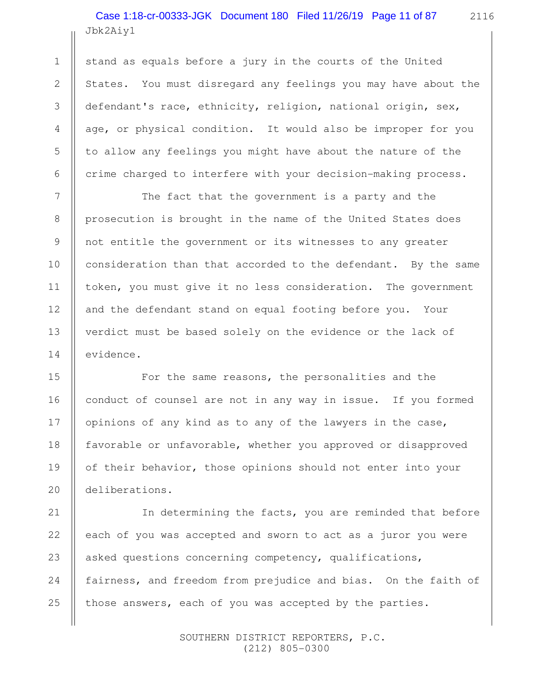Jbk2Aiy1 Case 1:18-cr-00333-JGK Document 180 Filed 11/26/19 Page 11 of 87

1

2

3

4

5

6

7

8

9

10

11

12

13

14

15

16

17

18

19

20

21

22

24

25

stand as equals before a jury in the courts of the United States. You must disregard any feelings you may have about the defendant's race, ethnicity, religion, national origin, sex, age, or physical condition. It would also be improper for you to allow any feelings you might have about the nature of the crime charged to interfere with your decision-making process.

The fact that the government is a party and the prosecution is brought in the name of the United States does not entitle the government or its witnesses to any greater consideration than that accorded to the defendant. By the same token, you must give it no less consideration. The government and the defendant stand on equal footing before you. Your verdict must be based solely on the evidence or the lack of evidence.

For the same reasons, the personalities and the conduct of counsel are not in any way in issue. If you formed opinions of any kind as to any of the lawyers in the case, favorable or unfavorable, whether you approved or disapproved of their behavior, those opinions should not enter into your deliberations.

In determining the facts, you are reminded that before each of you was accepted and sworn to act as a juror you were asked questions concerning competency, qualifications, fairness, and freedom from prejudice and bias. On the faith of those answers, each of you was accepted by the parties. 23

> SOUTHERN DISTRICT REPORTERS, P.C. (212) 805-0300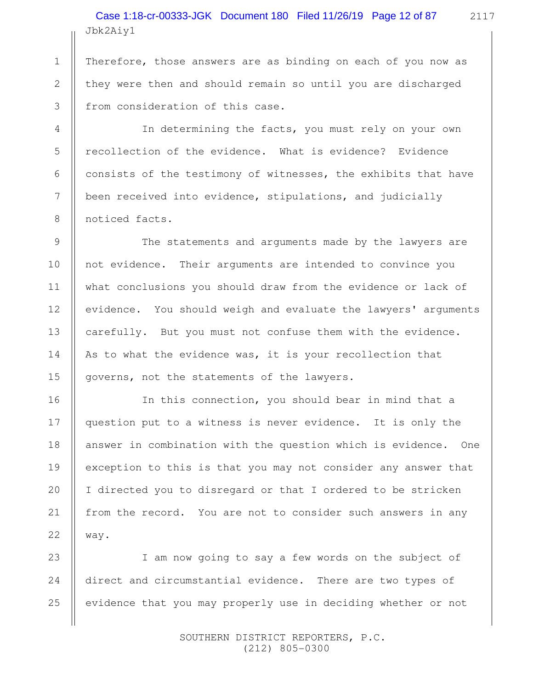Jbk2Aiy1 Case 1:18-cr-00333-JGK Document 180 Filed 11/26/19 Page 12 of 87

Therefore, those answers are as binding on each of you now as they were then and should remain so until you are discharged from consideration of this case.

1

2

3

4

5

6

7

8

9

10

11

12

13

14

15

16

17

18

19

20

21

22

In determining the facts, you must rely on your own recollection of the evidence. What is evidence? Evidence consists of the testimony of witnesses, the exhibits that have been received into evidence, stipulations, and judicially noticed facts.

The statements and arguments made by the lawyers are not evidence. Their arguments are intended to convince you what conclusions you should draw from the evidence or lack of evidence. You should weigh and evaluate the lawyers' arguments carefully. But you must not confuse them with the evidence. As to what the evidence was, it is your recollection that governs, not the statements of the lawyers.

In this connection, you should bear in mind that a question put to a witness is never evidence. It is only the answer in combination with the question which is evidence. One exception to this is that you may not consider any answer that I directed you to disregard or that I ordered to be stricken from the record. You are not to consider such answers in any way.

I am now going to say a few words on the subject of direct and circumstantial evidence. There are two types of evidence that you may properly use in deciding whether or not 23 24 25

> SOUTHERN DISTRICT REPORTERS, P.C. (212) 805-0300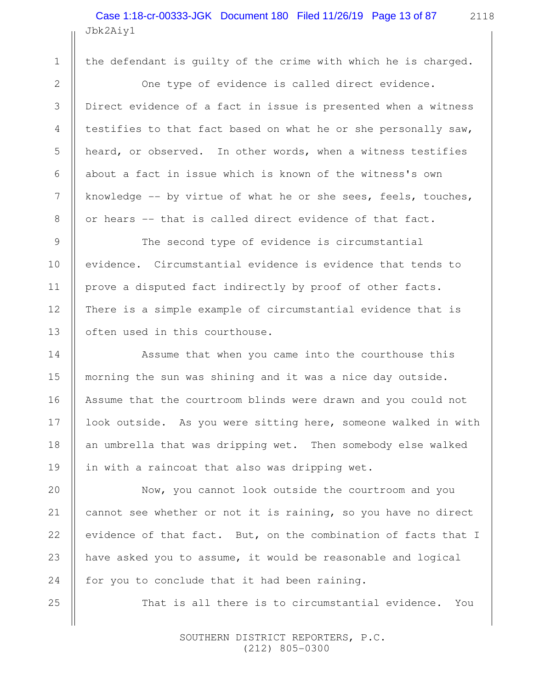Jbk2Aiy1 Case 1:18-cr-00333-JGK Document 180 Filed 11/26/19 Page 13 of 87

 1 2

3

4

5

6

7

8

9

10

11

12

13

14

15

16

17

18

19

20

21

22

23

24

25

the defendant is guilty of the crime with which he is charged.

One type of evidence is called direct evidence. Direct evidence of a fact in issue is presented when a witness testifies to that fact based on what he or she personally saw, heard, or observed. In other words, when a witness testifies about a fact in issue which is known of the witness's own knowledge -- by virtue of what he or she sees, feels, touches, or hears -- that is called direct evidence of that fact.

The second type of evidence is circumstantial evidence. Circumstantial evidence is evidence that tends to prove a disputed fact indirectly by proof of other facts. There is a simple example of circumstantial evidence that is often used in this courthouse.

Assume that when you came into the courthouse this morning the sun was shining and it was a nice day outside. Assume that the courtroom blinds were drawn and you could not look outside. As you were sitting here, someone walked in with an umbrella that was dripping wet. Then somebody else walked in with a raincoat that also was dripping wet.

Now, you cannot look outside the courtroom and you cannot see whether or not it is raining, so you have no direct evidence of that fact. But, on the combination of facts that I have asked you to assume, it would be reasonable and logical for you to conclude that it had been raining.

That is all there is to circumstantial evidence. You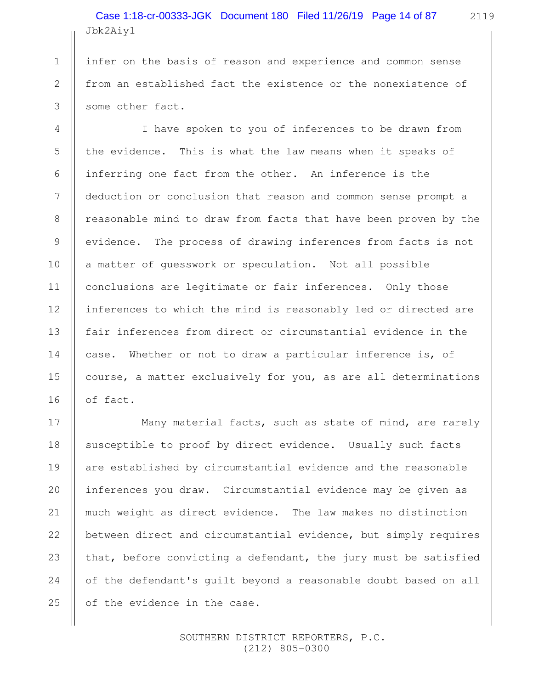Jbk2Aiy1 Case 1:18-cr-00333-JGK Document 180 Filed 11/26/19 Page 14 of 87

infer on the basis of reason and experience and common sense from an established fact the existence or the nonexistence of some other fact.

1

2

3

4

5

6

7

8

9

10

11

12

13

14

15

16

17

18

20

21

22

25

I have spoken to you of inferences to be drawn from the evidence. This is what the law means when it speaks of inferring one fact from the other. An inference is the deduction or conclusion that reason and common sense prompt a reasonable mind to draw from facts that have been proven by the evidence. The process of drawing inferences from facts is not a matter of guesswork or speculation. Not all possible conclusions are legitimate or fair inferences. Only those inferences to which the mind is reasonably led or directed are fair inferences from direct or circumstantial evidence in the case. Whether or not to draw a particular inference is, of course, a matter exclusively for you, as are all determinations of fact.

Many material facts, such as state of mind, are rarely susceptible to proof by direct evidence. Usually such facts are established by circumstantial evidence and the reasonable inferences you draw. Circumstantial evidence may be given as much weight as direct evidence. The law makes no distinction between direct and circumstantial evidence, but simply requires that, before convicting a defendant, the jury must be satisfied of the defendant's guilt beyond a reasonable doubt based on all of the evidence in the case. 19 23 24

> SOUTHERN DISTRICT REPORTERS, P.C. (212) 805-0300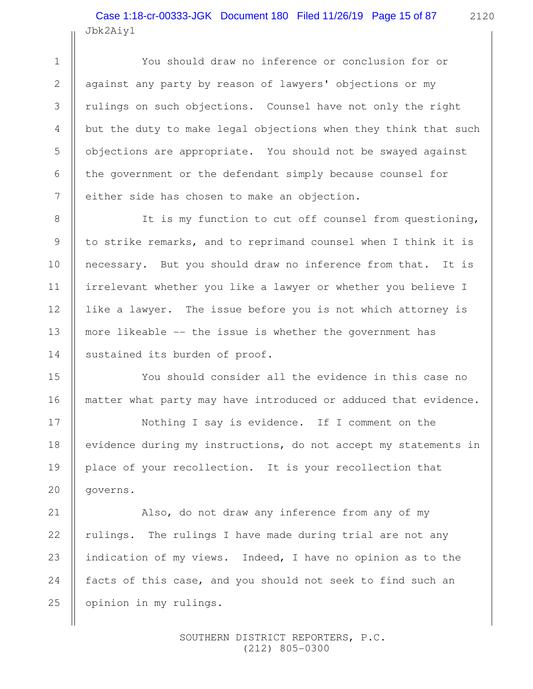Jbk2Aiy1 Case 1:18-cr-00333-JGK Document 180 Filed 11/26/19 Page 15 of 87

1

2

3

4

5

6

7

8

9

10

11

12

13

14

15

16

17

18

19

20

21

22

24

25

You should draw no inference or conclusion for or against any party by reason of lawyers' objections or my rulings on such objections. Counsel have not only the right but the duty to make legal objections when they think that such objections are appropriate. You should not be swayed against the government or the defendant simply because counsel for either side has chosen to make an objection.

It is my function to cut off counsel from questioning, to strike remarks, and to reprimand counsel when I think it is necessary. But you should draw no inference from that. It is irrelevant whether you like a lawyer or whether you believe I like a lawyer. The issue before you is not which attorney is more likeable -- the issue is whether the government has sustained its burden of proof.

You should consider all the evidence in this case no matter what party may have introduced or adduced that evidence.

Nothing I say is evidence. If I comment on the evidence during my instructions, do not accept my statements in place of your recollection. It is your recollection that governs.

Also, do not draw any inference from any of my rulings. The rulings I have made during trial are not any indication of my views. Indeed, I have no opinion as to the facts of this case, and you should not seek to find such an opinion in my rulings. 23

> SOUTHERN DISTRICT REPORTERS, P.C. (212) 805-0300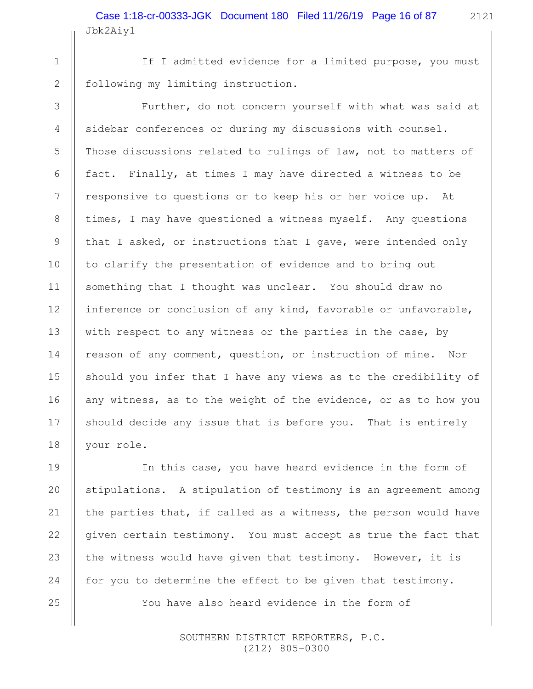If I admitted evidence for a limited purpose, you must following my limiting instruction.

1

2

3

4

5

6

7

8

9

10

11

12

13

14

15

16

17

18

19

20

21

22

23

24

25

Further, do not concern yourself with what was said at sidebar conferences or during my discussions with counsel. Those discussions related to rulings of law, not to matters of fact. Finally, at times I may have directed a witness to be responsive to questions or to keep his or her voice up. At times, I may have questioned a witness myself. Any questions that I asked, or instructions that I gave, were intended only to clarify the presentation of evidence and to bring out something that I thought was unclear. You should draw no inference or conclusion of any kind, favorable or unfavorable, with respect to any witness or the parties in the case, by reason of any comment, question, or instruction of mine. Nor should you infer that I have any views as to the credibility of any witness, as to the weight of the evidence, or as to how you should decide any issue that is before you. That is entirely your role.

In this case, you have heard evidence in the form of stipulations. A stipulation of testimony is an agreement among the parties that, if called as a witness, the person would have given certain testimony. You must accept as true the fact that the witness would have given that testimony. However, it is for you to determine the effect to be given that testimony. You have also heard evidence in the form of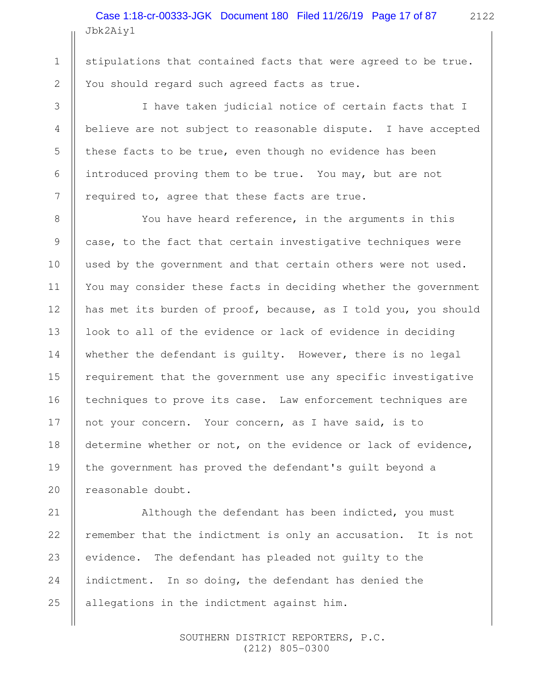Jbk2Aiy1 Case 1:18-cr-00333-JGK Document 180 Filed 11/26/19 Page 17 of 87

stipulations that contained facts that were agreed to be true. You should regard such agreed facts as true.

I have taken judicial notice of certain facts that I believe are not subject to reasonable dispute. I have accepted these facts to be true, even though no evidence has been introduced proving them to be true. You may, but are not required to, agree that these facts are true.

You have heard reference, in the arguments in this case, to the fact that certain investigative techniques were used by the government and that certain others were not used. You may consider these facts in deciding whether the government has met its burden of proof, because, as I told you, you should look to all of the evidence or lack of evidence in deciding whether the defendant is guilty. However, there is no legal requirement that the government use any specific investigative techniques to prove its case. Law enforcement techniques are not your concern. Your concern, as I have said, is to determine whether or not, on the evidence or lack of evidence, the government has proved the defendant's guilt beyond a reasonable doubt.

Although the defendant has been indicted, you must remember that the indictment is only an accusation. It is not evidence. The defendant has pleaded not guilty to the indictment. In so doing, the defendant has denied the allegations in the indictment against him.

> SOUTHERN DISTRICT REPORTERS, P.C. (212) 805-0300

2122

1

2

3

4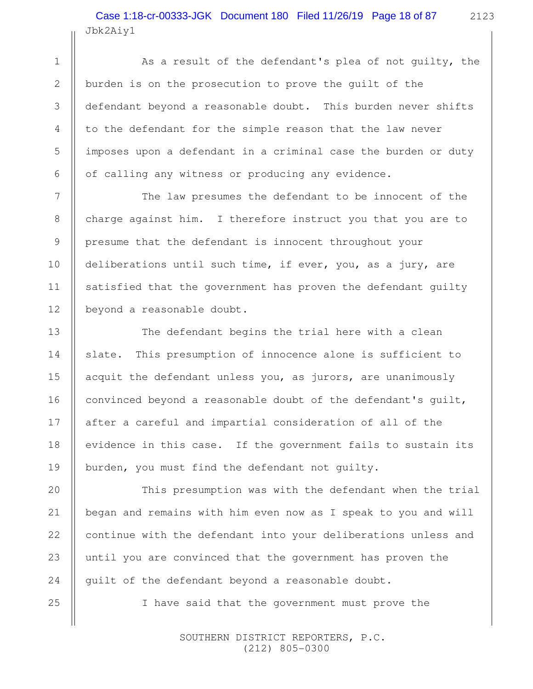Jbk2Aiy1 Case 1:18-cr-00333-JGK Document 180 Filed 11/26/19 Page 18 of 87

As a result of the defendant's plea of not guilty, the burden is on the prosecution to prove the guilt of the defendant beyond a reasonable doubt. This burden never shifts to the defendant for the simple reason that the law never imposes upon a defendant in a criminal case the burden or duty of calling any witness or producing any evidence.

The law presumes the defendant to be innocent of the charge against him. I therefore instruct you that you are to presume that the defendant is innocent throughout your deliberations until such time, if ever, you, as a jury, are satisfied that the government has proven the defendant guilty beyond a reasonable doubt.

The defendant begins the trial here with a clean slate. This presumption of innocence alone is sufficient to acquit the defendant unless you, as jurors, are unanimously convinced beyond a reasonable doubt of the defendant's guilt, after a careful and impartial consideration of all of the evidence in this case. If the government fails to sustain its burden, you must find the defendant not guilty.

This presumption was with the defendant when the trial began and remains with him even now as I speak to you and will continue with the defendant into your deliberations unless and until you are convinced that the government has proven the guilt of the defendant beyond a reasonable doubt.

I have said that the government must prove the

 SOUTHERN DISTRICT REPORTERS, P.C. (212) 805-0300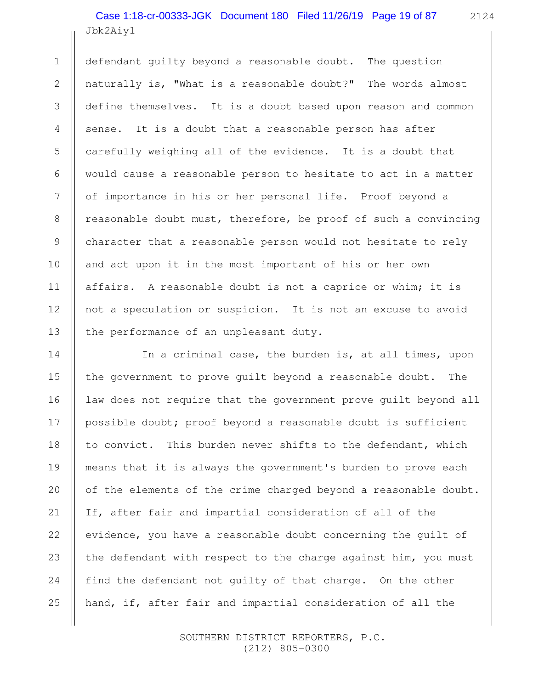Jbk2Aiy1 Case 1:18-cr-00333-JGK Document 180 Filed 11/26/19 Page 19 of 87

1

2

3

4

5

6

7

8

9

10

11

12

13

14

15

16

17

18

20

21

22

23

24

25

2124

defendant guilty beyond a reasonable doubt. The question naturally is, "What is a reasonable doubt?" The words almost define themselves. It is a doubt based upon reason and common sense. It is a doubt that a reasonable person has after carefully weighing all of the evidence. It is a doubt that would cause a reasonable person to hesitate to act in a matter of importance in his or her personal life. Proof beyond a reasonable doubt must, therefore, be proof of such a convincing character that a reasonable person would not hesitate to rely and act upon it in the most important of his or her own affairs. A reasonable doubt is not a caprice or whim; it is not a speculation or suspicion. It is not an excuse to avoid the performance of an unpleasant duty.

In a criminal case, the burden is, at all times, upon the government to prove guilt beyond a reasonable doubt. The law does not require that the government prove guilt beyond all possible doubt; proof beyond a reasonable doubt is sufficient to convict. This burden never shifts to the defendant, which means that it is always the government's burden to prove each of the elements of the crime charged beyond a reasonable doubt. If, after fair and impartial consideration of all of the evidence, you have a reasonable doubt concerning the guilt of the defendant with respect to the charge against him, you must find the defendant not guilty of that charge. On the other hand, if, after fair and impartial consideration of all the 19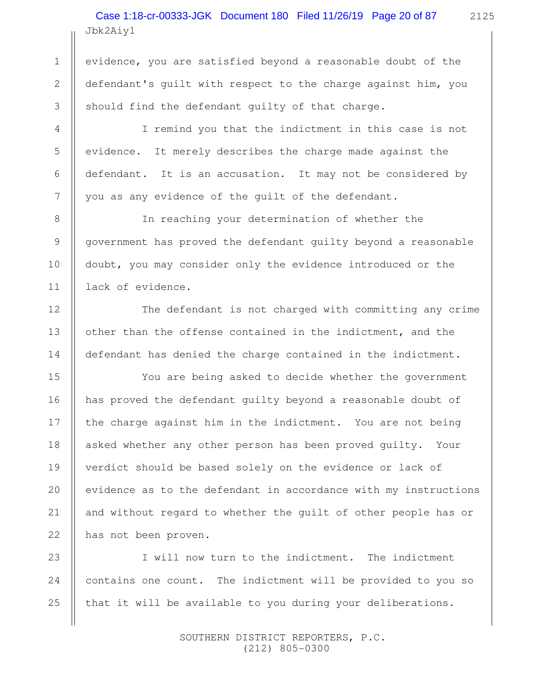# Jbk2Aiy1 Case 1:18-cr-00333-JGK Document 180 Filed 11/26/19 Page 20 of 87

evidence, you are satisfied beyond a reasonable doubt of the defendant's guilt with respect to the charge against him, you should find the defendant guilty of that charge.

1

2

3

4

5

6

7

8

9

10

11

12

13

14

15

16

17

18

19

20

21

22

I remind you that the indictment in this case is not evidence. It merely describes the charge made against the defendant. It is an accusation. It may not be considered by you as any evidence of the guilt of the defendant.

In reaching your determination of whether the government has proved the defendant guilty beyond a reasonable doubt, you may consider only the evidence introduced or the lack of evidence.

The defendant is not charged with committing any crime other than the offense contained in the indictment, and the defendant has denied the charge contained in the indictment.

You are being asked to decide whether the government has proved the defendant guilty beyond a reasonable doubt of the charge against him in the indictment. You are not being asked whether any other person has been proved guilty. Your verdict should be based solely on the evidence or lack of evidence as to the defendant in accordance with my instructions and without regard to whether the guilt of other people has or has not been proven.

I will now turn to the indictment. The indictment contains one count. The indictment will be provided to you so that it will be available to you during your deliberations. 23 24 25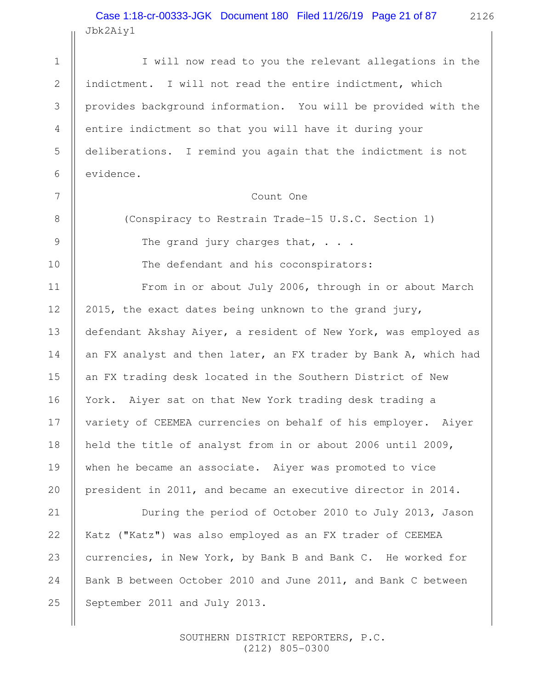2126 Jbk2Aiy1 Case 1:18-cr-00333-JGK Document 180 Filed 11/26/19 Page 21 of 87

I will now read to you the relevant allegations in the indictment. I will not read the entire indictment, which provides background information. You will be provided with the entire indictment so that you will have it during your deliberations. I remind you again that the indictment is not evidence. Count One (Conspiracy to Restrain Trade-15 U.S.C. Section 1) The grand jury charges that,  $\cdots$ The defendant and his coconspirators: From in or about July 2006, through in or about March 2015, the exact dates being unknown to the grand jury, defendant Akshay Aiyer, a resident of New York, was employed as an FX analyst and then later, an FX trader by Bank A, which had an FX trading desk located in the Southern District of New York. Aiyer sat on that New York trading desk trading a variety of CEEMEA currencies on behalf of his employer. Aiyer held the title of analyst from in or about 2006 until 2009, when he became an associate. Aiyer was promoted to vice president in 2011, and became an executive director in 2014. During the period of October 2010 to July 2013, Jason Katz ("Katz") was also employed as an FX trader of CEEMEA currencies, in New York, by Bank B and Bank C. He worked for Bank B between October 2010 and June 2011, and Bank C between September 2011 and July 2013. 1 2 3 4 5 6 7 8 9 10 11 12 13 14 15 16 17 18 19 20 21 22 23 24 25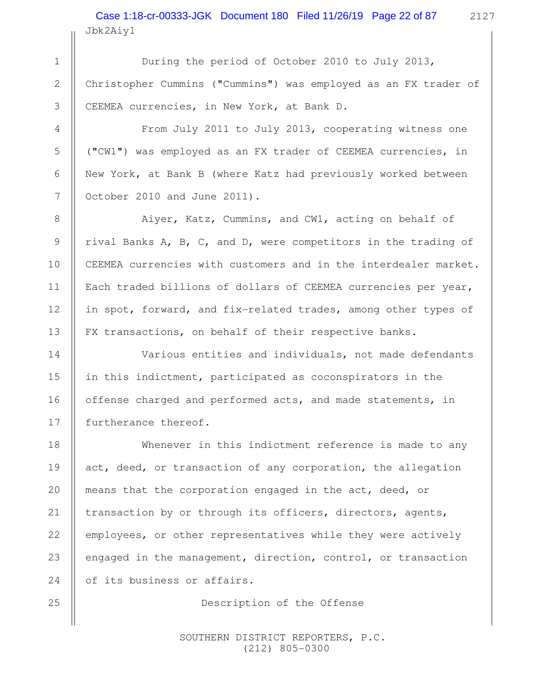2127 Jbk2Aiy1 Case 1:18-cr-00333-JGK Document 180 Filed 11/26/19 Page 22 of 87

During the period of October 2010 to July 2013, Christopher Cummins ("Cummins") was employed as an FX trader of CEEMEA currencies, in New York, at Bank D.

From July 2011 to July 2013, cooperating witness one ("CW1") was employed as an FX trader of CEEMEA currencies, in New York, at Bank B (where Katz had previously worked between October 2010 and June 2011).

Aiyer, Katz, Cummins, and CW1, acting on behalf of rival Banks A, B, C, and D, were competitors in the trading of CEEMEA currencies with customers and in the interdealer market. Each traded billions of dollars of CEEMEA currencies per year, in spot, forward, and fix-related trades, among other types of FX transactions, on behalf of their respective banks.

Various entities and individuals, not made defendants in this indictment, participated as coconspirators in the offense charged and performed acts, and made statements, in furtherance thereof.

Whenever in this indictment reference is made to any act, deed, or transaction of any corporation, the allegation means that the corporation engaged in the act, deed, or transaction by or through its officers, directors, agents, employees, or other representatives while they were actively engaged in the management, direction, control, or transaction of its business or affairs.

Description of the Offense

 SOUTHERN DISTRICT REPORTERS, P.C. (212) 805-0300

25

1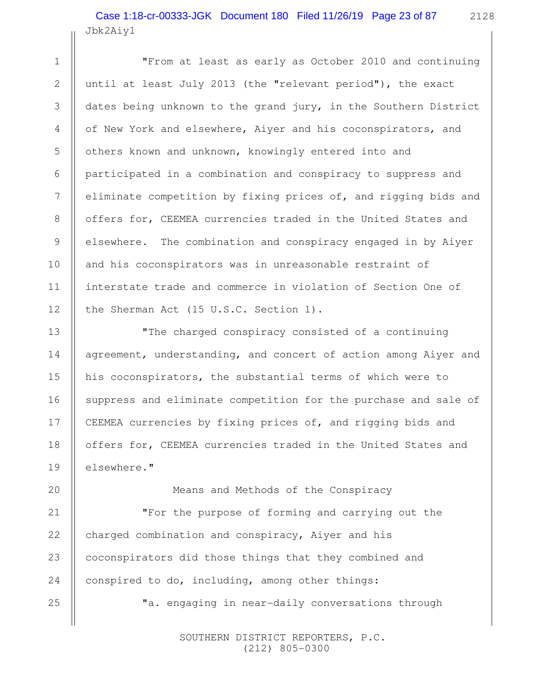# Jbk2Aiy1 Case 1:18-cr-00333-JGK Document 180 Filed 11/26/19 Page 23 of 87

1

2

3

4

5

6

7

8

9

10

11

12

13

14

15

16

17

18

19

25

"From at least as early as October 2010 and continuing until at least July 2013 (the "relevant period"), the exact dates being unknown to the grand jury, in the Southern District of New York and elsewhere, Aiyer and his coconspirators, and others known and unknown, knowingly entered into and participated in a combination and conspiracy to suppress and eliminate competition by fixing prices of, and rigging bids and offers for, CEEMEA currencies traded in the United States and elsewhere. The combination and conspiracy engaged in by Aiyer and his coconspirators was in unreasonable restraint of interstate trade and commerce in violation of Section One of the Sherman Act (15 U.S.C. Section 1).

"The charged conspiracy consisted of a continuing agreement, understanding, and concert of action among Aiyer and his coconspirators, the substantial terms of which were to suppress and eliminate competition for the purchase and sale of CEEMEA currencies by fixing prices of, and rigging bids and offers for, CEEMEA currencies traded in the United States and elsewhere."

Means and Methods of the Conspiracy "For the purpose of forming and carrying out the charged combination and conspiracy, Aiyer and his coconspirators did those things that they combined and conspired to do, including, among other things: 20 21 22 23 24

"a. engaging in near-daily conversations through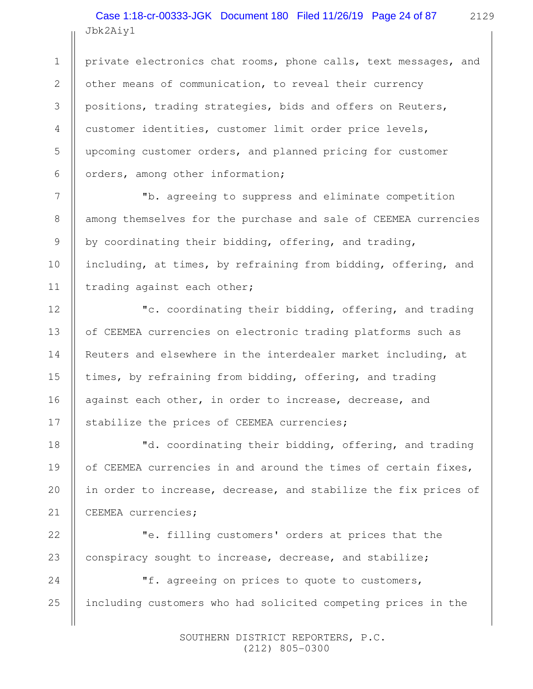Jbk2Aiy1 Case 1:18-cr-00333-JGK Document 180 Filed 11/26/19 Page 24 of 87

2129

private electronics chat rooms, phone calls, text messages, and other means of communication, to reveal their currency positions, trading strategies, bids and offers on Reuters, customer identities, customer limit order price levels, upcoming customer orders, and planned pricing for customer orders, among other information;

 "b. agreeing to suppress and eliminate competition among themselves for the purchase and sale of CEEMEA currencies by coordinating their bidding, offering, and trading, including, at times, by refraining from bidding, offering, and trading against each other;

 "c. coordinating their bidding, offering, and trading of CEEMEA currencies on electronic trading platforms such as Reuters and elsewhere in the interdealer market including, at times, by refraining from bidding, offering, and trading against each other, in order to increase, decrease, and stabilize the prices of CEEMEA currencies;

 "d. coordinating their bidding, offering, and trading of CEEMEA currencies in and around the times of certain fixes, in order to increase, decrease, and stabilize the fix prices of CEEMEA currencies;

 "e. filling customers' orders at prices that the conspiracy sought to increase, decrease, and stabilize;

 "f. agreeing on prices to quote to customers, including customers who had solicited competing prices in the

> SOUTHERN DISTRICT REPORTERS, P.C. (212) 805-0300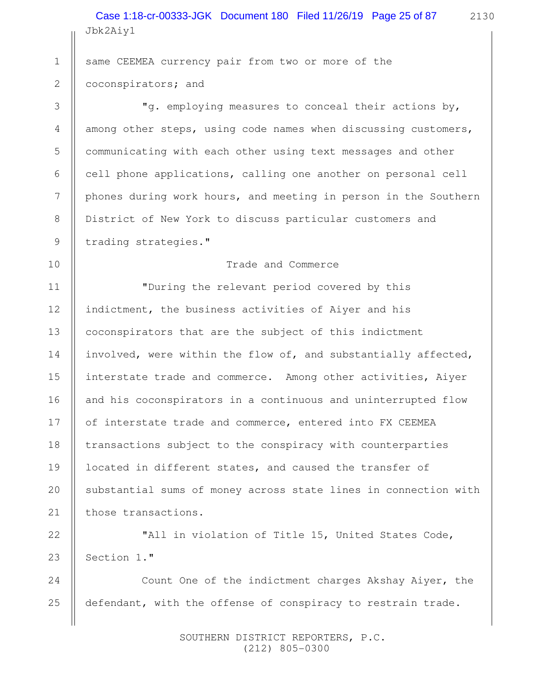Jbk2Aiy1 Case 1:18-cr-00333-JGK Document 180 Filed 11/26/19 Page 25 of 87

2130

same CEEMEA currency pair from two or more of the coconspirators; and 1 2

 "g. employing measures to conceal their actions by, among other steps, using code names when discussing customers, communicating with each other using text messages and other cell phone applications, calling one another on personal cell phones during work hours, and meeting in person in the Southern District of New York to discuss particular customers and trading strategies."

#### Trade and Commerce

"During the relevant period covered by this indictment, the business activities of Aiyer and his coconspirators that are the subject of this indictment involved, were within the flow of, and substantially affected, interstate trade and commerce. Among other activities, Aiyer and his coconspirators in a continuous and uninterrupted flow of interstate trade and commerce, entered into FX CEEMEA transactions subject to the conspiracy with counterparties located in different states, and caused the transfer of substantial sums of money across state lines in connection with those transactions.

"All in violation of Title 15, United States Code, Section 1." 22 23

Count One of the indictment charges Akshay Aiyer, the defendant, with the offense of conspiracy to restrain trade.

> SOUTHERN DISTRICT REPORTERS, P.C. (212) 805-0300

16

17

18

19

20

21

24

25

3

4

5

6

7

8

9

10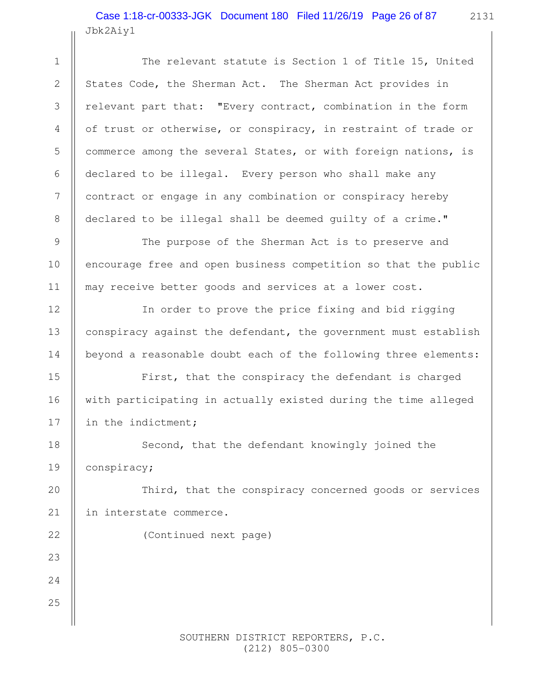Jbk2Aiy1 Case 1:18-cr-00333-JGK Document 180 Filed 11/26/19 Page 26 of 87

The relevant statute is Section 1 of Title 15, United States Code, the Sherman Act. The Sherman Act provides in relevant part that: "Every contract, combination in the form of trust or otherwise, or conspiracy, in restraint of trade or commerce among the several States, or with foreign nations, is declared to be illegal. Every person who shall make any contract or engage in any combination or conspiracy hereby declared to be illegal shall be deemed guilty of a crime."

The purpose of the Sherman Act is to preserve and encourage free and open business competition so that the public may receive better goods and services at a lower cost.

In order to prove the price fixing and bid rigging conspiracy against the defendant, the government must establish beyond a reasonable doubt each of the following three elements:

First, that the conspiracy the defendant is charged with participating in actually existed during the time alleged in the indictment;

Second, that the defendant knowingly joined the conspiracy;

Third, that the conspiracy concerned goods or services in interstate commerce.

(Continued next page)

24

25

1

2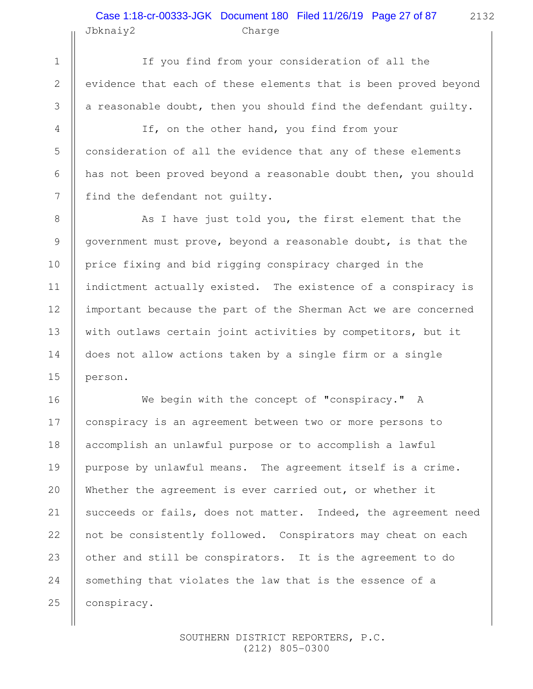## Jbknaiy2 Charge Case 1:18-cr-00333-JGK Document 180 Filed 11/26/19 Page 27 of 87

1

2

3

4

5

6

7

8

9

10

11

12

13

14

15

If you find from your consideration of all the evidence that each of these elements that is been proved beyond a reasonable doubt, then you should find the defendant guilty.

If, on the other hand, you find from your consideration of all the evidence that any of these elements has not been proved beyond a reasonable doubt then, you should find the defendant not guilty.

As I have just told you, the first element that the government must prove, beyond a reasonable doubt, is that the price fixing and bid rigging conspiracy charged in the indictment actually existed. The existence of a conspiracy is important because the part of the Sherman Act we are concerned with outlaws certain joint activities by competitors, but it does not allow actions taken by a single firm or a single person.

We begin with the concept of "conspiracy." A conspiracy is an agreement between two or more persons to accomplish an unlawful purpose or to accomplish a lawful purpose by unlawful means. The agreement itself is a crime. Whether the agreement is ever carried out, or whether it succeeds or fails, does not matter. Indeed, the agreement need not be consistently followed. Conspirators may cheat on each other and still be conspirators. It is the agreement to do something that violates the law that is the essence of a conspiracy. 16 17 18 19 20 21 22 23 24 25

> SOUTHERN DISTRICT REPORTERS, P.C. (212) 805-0300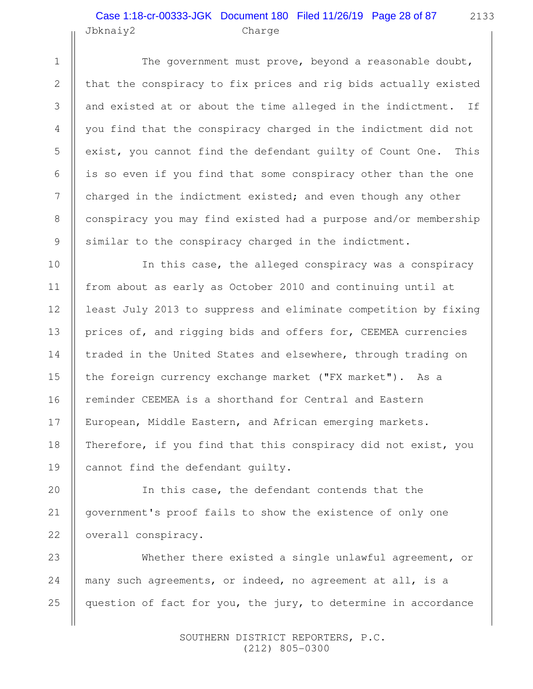#### Jbknaiy2 Charge Case 1:18-cr-00333-JGK Document 180 Filed 11/26/19 Page 28 of 87

1

2

3

4

5

6

7

8

9

10

11

12

13

14

15

16

17

18

19

20

21

The government must prove, beyond a reasonable doubt, that the conspiracy to fix prices and rig bids actually existed and existed at or about the time alleged in the indictment. If you find that the conspiracy charged in the indictment did not exist, you cannot find the defendant guilty of Count One. This is so even if you find that some conspiracy other than the one charged in the indictment existed; and even though any other conspiracy you may find existed had a purpose and/or membership similar to the conspiracy charged in the indictment.

In this case, the alleged conspiracy was a conspiracy from about as early as October 2010 and continuing until at least July 2013 to suppress and eliminate competition by fixing prices of, and rigging bids and offers for, CEEMEA currencies traded in the United States and elsewhere, through trading on the foreign currency exchange market ("FX market"). As a reminder CEEMEA is a shorthand for Central and Eastern European, Middle Eastern, and African emerging markets. Therefore, if you find that this conspiracy did not exist, you cannot find the defendant guilty.

In this case, the defendant contends that the government's proof fails to show the existence of only one overall conspiracy. 22

Whether there existed a single unlawful agreement, or many such agreements, or indeed, no agreement at all, is a question of fact for you, the jury, to determine in accordance 23 24 25

> SOUTHERN DISTRICT REPORTERS, P.C. (212) 805-0300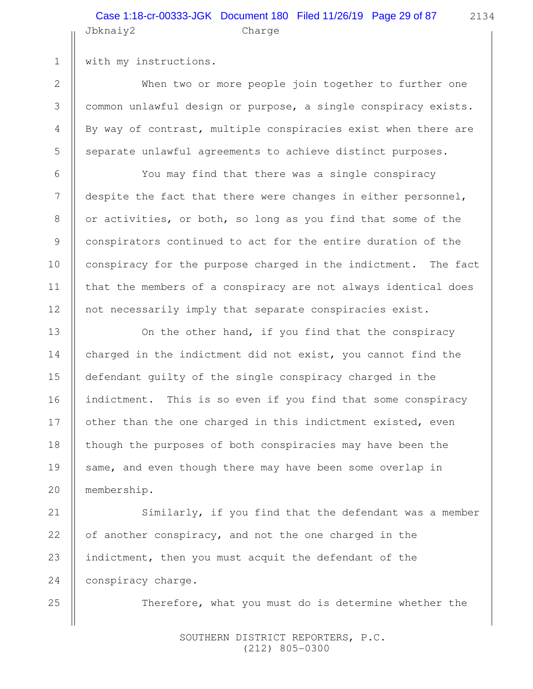#### Jbknaiy2 Charge Case 1:18-cr-00333-JGK Document 180 Filed 11/26/19 Page 29 of 87

2134

with my instructions.

When two or more people join together to further one common unlawful design or purpose, a single conspiracy exists. By way of contrast, multiple conspiracies exist when there are separate unlawful agreements to achieve distinct purposes.

You may find that there was a single conspiracy despite the fact that there were changes in either personnel, or activities, or both, so long as you find that some of the conspirators continued to act for the entire duration of the conspiracy for the purpose charged in the indictment. The fact that the members of a conspiracy are not always identical does not necessarily imply that separate conspiracies exist.

On the other hand, if you find that the conspiracy charged in the indictment did not exist, you cannot find the defendant guilty of the single conspiracy charged in the indictment. This is so even if you find that some conspiracy other than the one charged in this indictment existed, even though the purposes of both conspiracies may have been the same, and even though there may have been some overlap in membership.

Similarly, if you find that the defendant was a member of another conspiracy, and not the one charged in the indictment, then you must acquit the defendant of the conspiracy charge.

Therefore, what you must do is determine whether the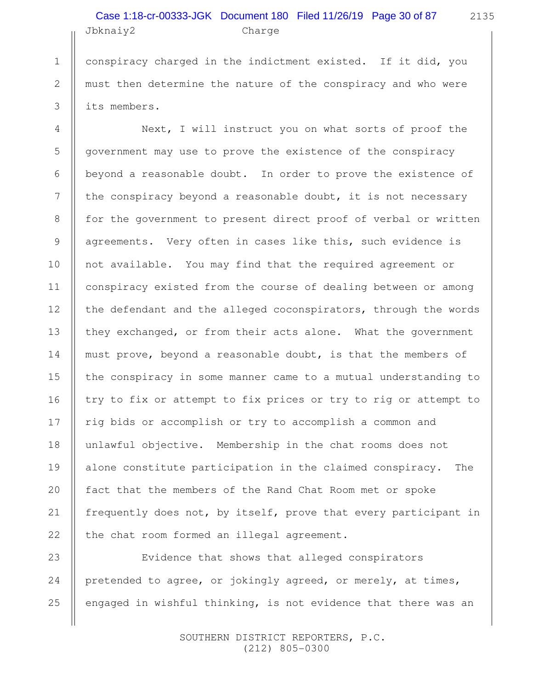# Jbknaiy2 Charge Case 1:18-cr-00333-JGK Document 180 Filed 11/26/19 Page 30 of 87

conspiracy charged in the indictment existed. If it did, you must then determine the nature of the conspiracy and who were its members.

1

2

3

4

5

6

7

8

9

10

11

12

13

14

15

16

17

18

19

20

21

22

Next, I will instruct you on what sorts of proof the government may use to prove the existence of the conspiracy beyond a reasonable doubt. In order to prove the existence of the conspiracy beyond a reasonable doubt, it is not necessary for the government to present direct proof of verbal or written agreements. Very often in cases like this, such evidence is not available. You may find that the required agreement or conspiracy existed from the course of dealing between or among the defendant and the alleged coconspirators, through the words they exchanged, or from their acts alone. What the government must prove, beyond a reasonable doubt, is that the members of the conspiracy in some manner came to a mutual understanding to try to fix or attempt to fix prices or try to rig or attempt to rig bids or accomplish or try to accomplish a common and unlawful objective. Membership in the chat rooms does not alone constitute participation in the claimed conspiracy. The fact that the members of the Rand Chat Room met or spoke frequently does not, by itself, prove that every participant in the chat room formed an illegal agreement.

Evidence that shows that alleged conspirators pretended to agree, or jokingly agreed, or merely, at times, engaged in wishful thinking, is not evidence that there was an 23 24 25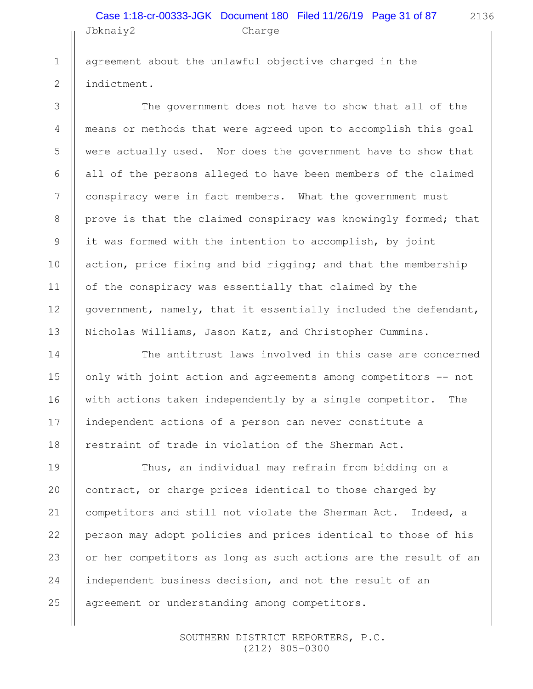# Jbknaiy2 Charge Case 1:18-cr-00333-JGK Document 180 Filed 11/26/19 Page 31 of 87

2136

agreement about the unlawful objective charged in the indictment.

1

2

3

4

5

6

7

8

9

10

11

12

13

14

15

16

17

18

20

21

22

25

The government does not have to show that all of the means or methods that were agreed upon to accomplish this goal were actually used. Nor does the government have to show that all of the persons alleged to have been members of the claimed conspiracy were in fact members. What the government must prove is that the claimed conspiracy was knowingly formed; that it was formed with the intention to accomplish, by joint action, price fixing and bid rigging; and that the membership of the conspiracy was essentially that claimed by the government, namely, that it essentially included the defendant, Nicholas Williams, Jason Katz, and Christopher Cummins.

The antitrust laws involved in this case are concerned only with joint action and agreements among competitors -- not with actions taken independently by a single competitor. The independent actions of a person can never constitute a restraint of trade in violation of the Sherman Act.

Thus, an individual may refrain from bidding on a contract, or charge prices identical to those charged by competitors and still not violate the Sherman Act. Indeed, a person may adopt policies and prices identical to those of his or her competitors as long as such actions are the result of an independent business decision, and not the result of an agreement or understanding among competitors. 19 23 24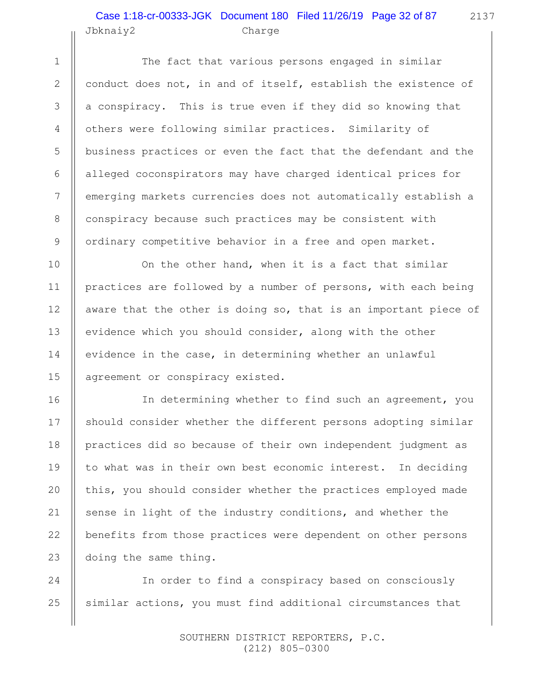#### Jbknaiy2 Charge Case 1:18-cr-00333-JGK Document 180 Filed 11/26/19 Page 32 of 87

1

2

3

4

5

6

7

8

9

10

11

12

13

14

15

16

17

18

19

20

21

22

23

The fact that various persons engaged in similar conduct does not, in and of itself, establish the existence of a conspiracy. This is true even if they did so knowing that others were following similar practices. Similarity of business practices or even the fact that the defendant and the alleged coconspirators may have charged identical prices for emerging markets currencies does not automatically establish a conspiracy because such practices may be consistent with ordinary competitive behavior in a free and open market.

On the other hand, when it is a fact that similar practices are followed by a number of persons, with each being aware that the other is doing so, that is an important piece of evidence which you should consider, along with the other evidence in the case, in determining whether an unlawful agreement or conspiracy existed.

In determining whether to find such an agreement, you should consider whether the different persons adopting similar practices did so because of their own independent judgment as to what was in their own best economic interest. In deciding this, you should consider whether the practices employed made sense in light of the industry conditions, and whether the benefits from those practices were dependent on other persons doing the same thing.

In order to find a conspiracy based on consciously similar actions, you must find additional circumstances that 24 25

> SOUTHERN DISTRICT REPORTERS, P.C. (212) 805-0300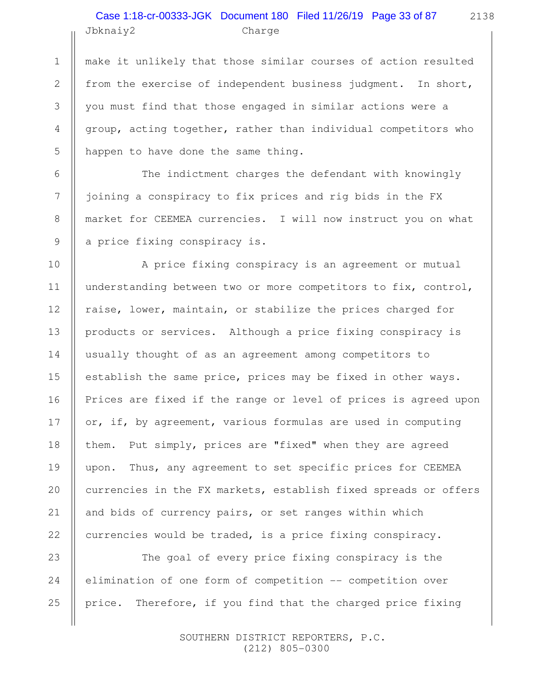## Jbknaiy2 Charge Case 1:18-cr-00333-JGK Document 180 Filed 11/26/19 Page 33 of 87

1

2

3

4

5

6

7

8

9

10

11

12

13

14

15

16

17

18

19

20

21

22

make it unlikely that those similar courses of action resulted from the exercise of independent business judgment. In short, you must find that those engaged in similar actions were a group, acting together, rather than individual competitors who happen to have done the same thing.

The indictment charges the defendant with knowingly joining a conspiracy to fix prices and rig bids in the FX market for CEEMEA currencies. I will now instruct you on what a price fixing conspiracy is.

A price fixing conspiracy is an agreement or mutual understanding between two or more competitors to fix, control, raise, lower, maintain, or stabilize the prices charged for products or services. Although a price fixing conspiracy is usually thought of as an agreement among competitors to establish the same price, prices may be fixed in other ways. Prices are fixed if the range or level of prices is agreed upon or, if, by agreement, various formulas are used in computing them. Put simply, prices are "fixed" when they are agreed upon. Thus, any agreement to set specific prices for CEEMEA currencies in the FX markets, establish fixed spreads or offers and bids of currency pairs, or set ranges within which currencies would be traded, is a price fixing conspiracy.

The goal of every price fixing conspiracy is the elimination of one form of competition -- competition over price. Therefore, if you find that the charged price fixing 23 24 25

> SOUTHERN DISTRICT REPORTERS, P.C. (212) 805-0300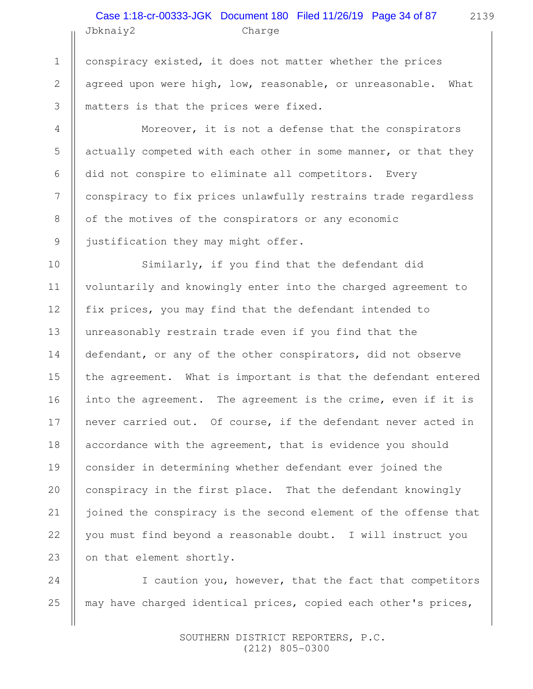## Jbknaiy2 Charge Case 1:18-cr-00333-JGK Document 180 Filed 11/26/19 Page 34 of 87

1

2

3

4

5

6

7

8

9

10

11

12

13

14

15

16

17

18

19

20

21

22

conspiracy existed, it does not matter whether the prices agreed upon were high, low, reasonable, or unreasonable. What matters is that the prices were fixed.

Moreover, it is not a defense that the conspirators actually competed with each other in some manner, or that they did not conspire to eliminate all competitors. Every conspiracy to fix prices unlawfully restrains trade regardless of the motives of the conspirators or any economic justification they may might offer.

Similarly, if you find that the defendant did voluntarily and knowingly enter into the charged agreement to fix prices, you may find that the defendant intended to unreasonably restrain trade even if you find that the defendant, or any of the other conspirators, did not observe the agreement. What is important is that the defendant entered into the agreement. The agreement is the crime, even if it is never carried out. Of course, if the defendant never acted in accordance with the agreement, that is evidence you should consider in determining whether defendant ever joined the conspiracy in the first place. That the defendant knowingly joined the conspiracy is the second element of the offense that you must find beyond a reasonable doubt. I will instruct you on that element shortly. 23

I caution you, however, that the fact that competitors may have charged identical prices, copied each other's prices, 24 25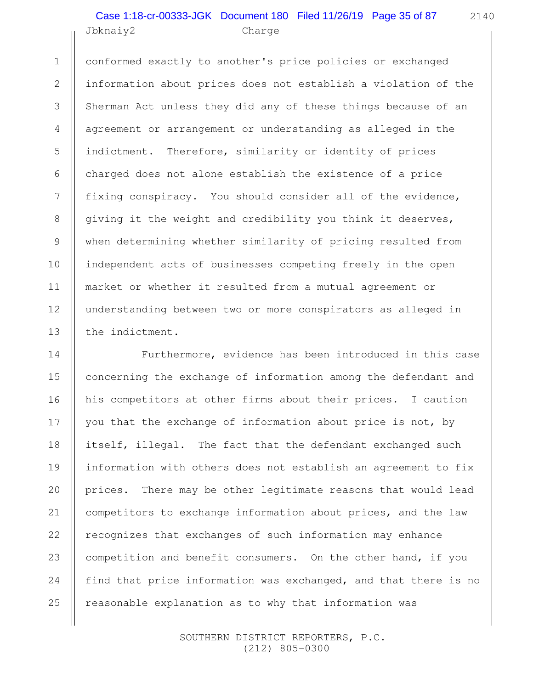#### Jbknaiy2 Charge Case 1:18-cr-00333-JGK Document 180 Filed 11/26/19 Page 35 of 87

1

2

3

4

5

6

7

8

9

10

11

12

13

conformed exactly to another's price policies or exchanged information about prices does not establish a violation of the Sherman Act unless they did any of these things because of an agreement or arrangement or understanding as alleged in the indictment. Therefore, similarity or identity of prices charged does not alone establish the existence of a price fixing conspiracy. You should consider all of the evidence, giving it the weight and credibility you think it deserves, when determining whether similarity of pricing resulted from independent acts of businesses competing freely in the open market or whether it resulted from a mutual agreement or understanding between two or more conspirators as alleged in the indictment.

Furthermore, evidence has been introduced in this case concerning the exchange of information among the defendant and his competitors at other firms about their prices. I caution you that the exchange of information about price is not, by itself, illegal. The fact that the defendant exchanged such information with others does not establish an agreement to fix prices. There may be other legitimate reasons that would lead competitors to exchange information about prices, and the law recognizes that exchanges of such information may enhance competition and benefit consumers. On the other hand, if you find that price information was exchanged, and that there is no reasonable explanation as to why that information was 14 15 16 17 18 19 20 21 22 23 24 25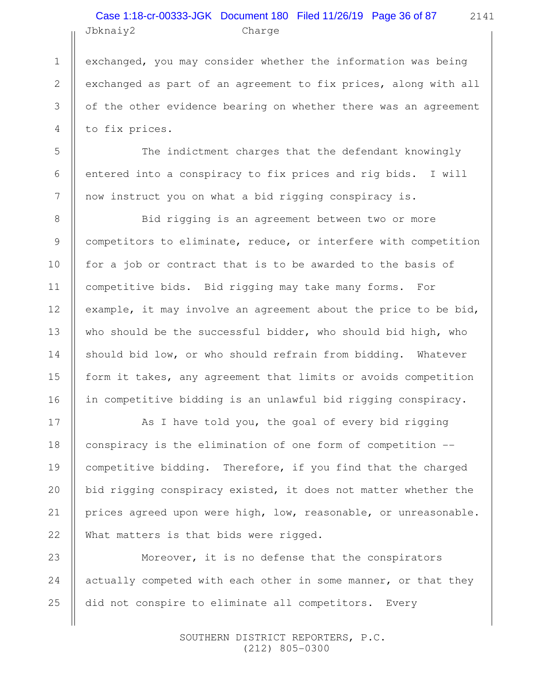#### Jbknaiy2 Charge Case 1:18-cr-00333-JGK Document 180 Filed 11/26/19 Page 36 of 87

exchanged, you may consider whether the information was being exchanged as part of an agreement to fix prices, along with all of the other evidence bearing on whether there was an agreement to fix prices.

The indictment charges that the defendant knowingly entered into a conspiracy to fix prices and rig bids. I will now instruct you on what a bid rigging conspiracy is.

Bid rigging is an agreement between two or more competitors to eliminate, reduce, or interfere with competition for a job or contract that is to be awarded to the basis of competitive bids. Bid rigging may take many forms. For example, it may involve an agreement about the price to be bid, who should be the successful bidder, who should bid high, who should bid low, or who should refrain from bidding. Whatever form it takes, any agreement that limits or avoids competition in competitive bidding is an unlawful bid rigging conspiracy.

As I have told you, the goal of every bid rigging conspiracy is the elimination of one form of competition - competitive bidding. Therefore, if you find that the charged bid rigging conspiracy existed, it does not matter whether the prices agreed upon were high, low, reasonable, or unreasonable. What matters is that bids were rigged.

Moreover, it is no defense that the conspirators actually competed with each other in some manner, or that they did not conspire to eliminate all competitors. Every

> SOUTHERN DISTRICT REPORTERS, P.C. (212) 805-0300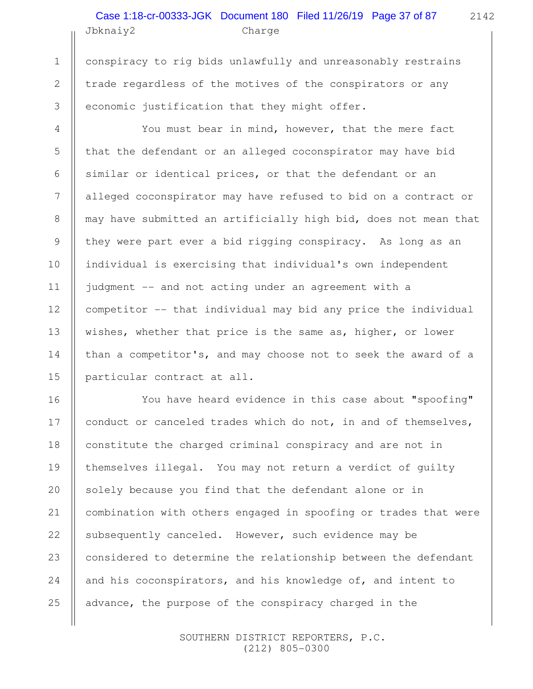# Jbknaiy2 Charge Case 1:18-cr-00333-JGK Document 180 Filed 11/26/19 Page 37 of 87

2142

conspiracy to rig bids unlawfully and unreasonably restrains trade regardless of the motives of the conspirators or any economic justification that they might offer.

1

2

3

4

5

6

7

8

9

10

11

12

13

14

15

You must bear in mind, however, that the mere fact that the defendant or an alleged coconspirator may have bid similar or identical prices, or that the defendant or an alleged coconspirator may have refused to bid on a contract or may have submitted an artificially high bid, does not mean that they were part ever a bid rigging conspiracy. As long as an individual is exercising that individual's own independent judgment -- and not acting under an agreement with a competitor -- that individual may bid any price the individual wishes, whether that price is the same as, higher, or lower than a competitor's, and may choose not to seek the award of a particular contract at all.

You have heard evidence in this case about "spoofing" conduct or canceled trades which do not, in and of themselves, constitute the charged criminal conspiracy and are not in themselves illegal. You may not return a verdict of guilty solely because you find that the defendant alone or in combination with others engaged in spoofing or trades that were subsequently canceled. However, such evidence may be considered to determine the relationship between the defendant and his coconspirators, and his knowledge of, and intent to advance, the purpose of the conspiracy charged in the 16 17 18 19 20 21 22 23 24 25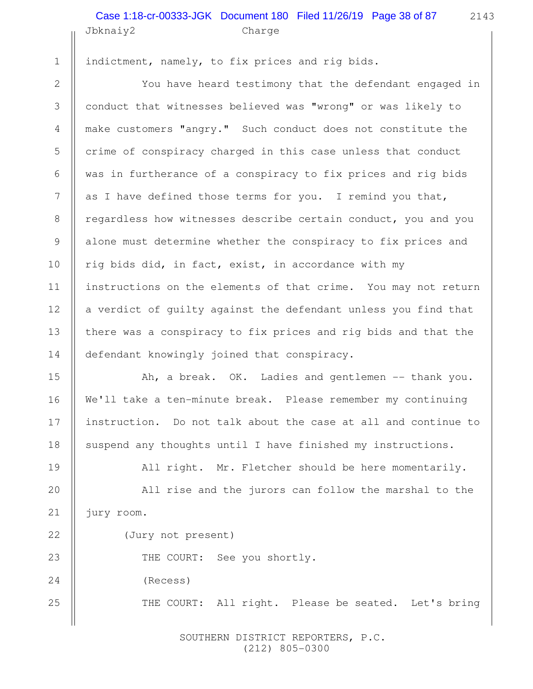#### Jbknaiy2 Charge Case 1:18-cr-00333-JGK Document 180 Filed 11/26/19 Page 38 of 87

24

25

indictment, namely, to fix prices and rig bids.

You have heard testimony that the defendant engaged in conduct that witnesses believed was "wrong" or was likely to make customers "angry." Such conduct does not constitute the crime of conspiracy charged in this case unless that conduct was in furtherance of a conspiracy to fix prices and rig bids as I have defined those terms for you. I remind you that, regardless how witnesses describe certain conduct, you and you alone must determine whether the conspiracy to fix prices and rig bids did, in fact, exist, in accordance with my instructions on the elements of that crime. You may not return a verdict of guilty against the defendant unless you find that there was a conspiracy to fix prices and rig bids and that the defendant knowingly joined that conspiracy.

Ah, a break. OK. Ladies and gentlemen -- thank you. We'll take a ten-minute break. Please remember my continuing instruction. Do not talk about the case at all and continue to suspend any thoughts until I have finished my instructions.

All right. Mr. Fletcher should be here momentarily.

All rise and the jurors can follow the marshal to the jury room.

(Jury not present)

THE COURT: See you shortly.

(Recess)

THE COURT: All right. Please be seated. Let's bring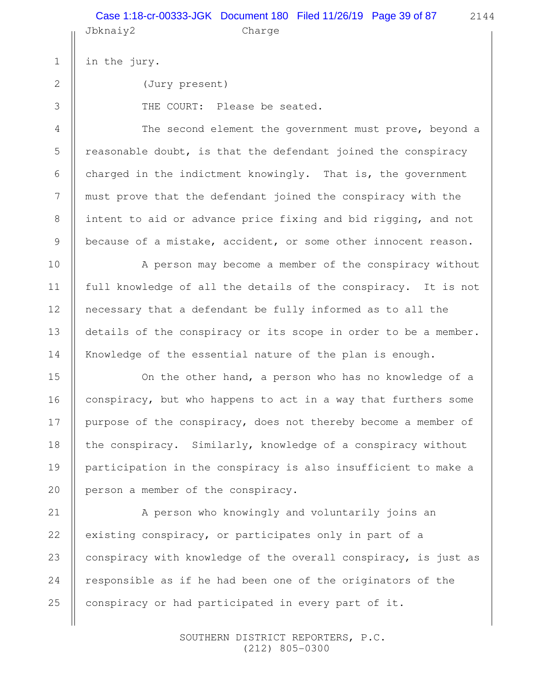|                | Case 1:18-cr-00333-JGK Document 180 Filed 11/26/19 Page 39 of 87<br>2144<br>Jbknaiy2<br>Charge |
|----------------|------------------------------------------------------------------------------------------------|
| $\mathbf 1$    | in the jury.                                                                                   |
| $\mathbf{2}$   | (Jury present)                                                                                 |
| 3              | THE COURT: Please be seated.                                                                   |
| $\overline{4}$ | The second element the government must prove, beyond a                                         |
| 5              | reasonable doubt, is that the defendant joined the conspiracy                                  |
| 6              | charged in the indictment knowingly. That is, the government                                   |
| 7              | must prove that the defendant joined the conspiracy with the                                   |
| $\,8\,$        | intent to aid or advance price fixing and bid rigging, and not                                 |
| $\overline{9}$ | because of a mistake, accident, or some other innocent reason.                                 |
| 10             | A person may become a member of the conspiracy without                                         |
| 11             | full knowledge of all the details of the conspiracy. It is not                                 |
| 12             | necessary that a defendant be fully informed as to all the                                     |
| 13             | details of the conspiracy or its scope in order to be a member.                                |
| 14             | Knowledge of the essential nature of the plan is enough.                                       |
| 15             | On the other hand, a person who has no knowledge of a                                          |
| 16             | conspiracy, but who happens to act in a way that furthers some                                 |
| 17             | purpose of the conspiracy, does not thereby become a member of                                 |
| 18             | the conspiracy. Similarly, knowledge of a conspiracy without                                   |
| 19             | participation in the conspiracy is also insufficient to make a                                 |
| 20             | person a member of the conspiracy.                                                             |
| 21             | A person who knowingly and voluntarily joins an                                                |
| 22             | existing conspiracy, or participates only in part of a                                         |
| 23             | conspiracy with knowledge of the overall conspiracy, is just as                                |
| 24             | responsible as if he had been one of the originators of the                                    |
| 25             | conspiracy or had participated in every part of it.                                            |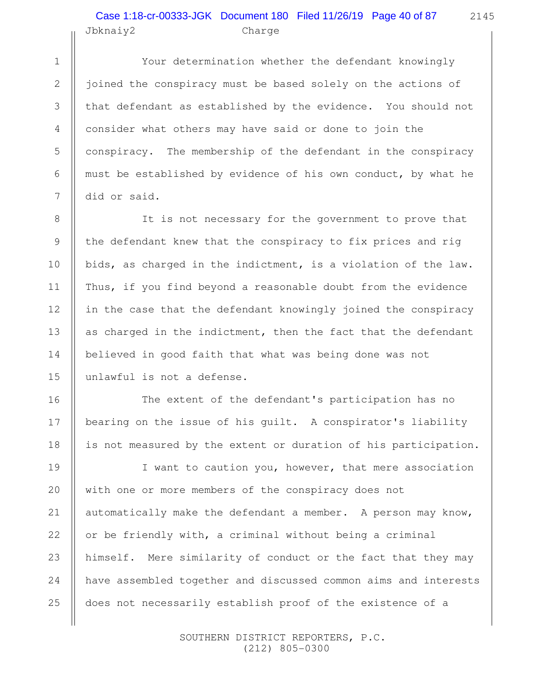# Jbknaiy2 Charge Case 1:18-cr-00333-JGK Document 180 Filed 11/26/19 Page 40 of 87

Your determination whether the defendant knowingly joined the conspiracy must be based solely on the actions of that defendant as established by the evidence. You should not consider what others may have said or done to join the conspiracy. The membership of the defendant in the conspiracy must be established by evidence of his own conduct, by what he did or said.

It is not necessary for the government to prove that the defendant knew that the conspiracy to fix prices and rig bids, as charged in the indictment, is a violation of the law. Thus, if you find beyond a reasonable doubt from the evidence in the case that the defendant knowingly joined the conspiracy as charged in the indictment, then the fact that the defendant believed in good faith that what was being done was not unlawful is not a defense.

The extent of the defendant's participation has no bearing on the issue of his guilt. A conspirator's liability is not measured by the extent or duration of his participation.

I want to caution you, however, that mere association with one or more members of the conspiracy does not automatically make the defendant a member. A person may know, or be friendly with, a criminal without being a criminal himself. Mere similarity of conduct or the fact that they may have assembled together and discussed common aims and interests does not necessarily establish proof of the existence of a

> SOUTHERN DISTRICT REPORTERS, P.C. (212) 805-0300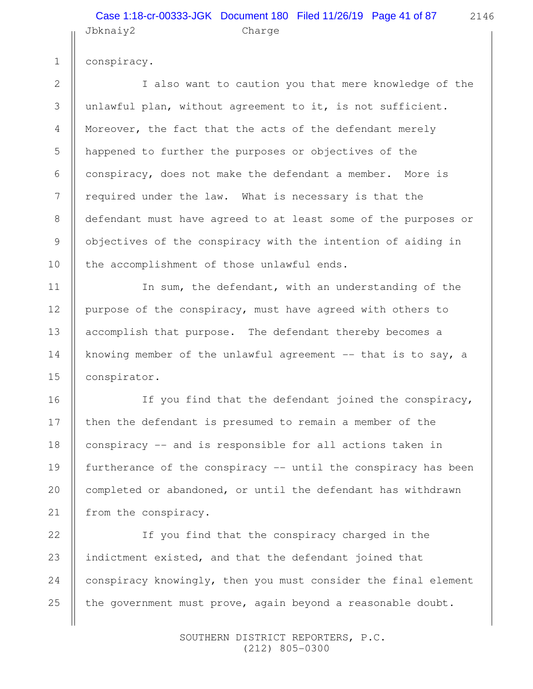#### Jbknaiy2 Charge Case 1:18-cr-00333-JGK Document 180 Filed 11/26/19 Page 41 of 87

1

2

3

4

5

6

7

8

9

10

11

12

13

14

15

16

17

18

19

20

21

conspiracy.

I also want to caution you that mere knowledge of the unlawful plan, without agreement to it, is not sufficient. Moreover, the fact that the acts of the defendant merely happened to further the purposes or objectives of the conspiracy, does not make the defendant a member. More is required under the law. What is necessary is that the defendant must have agreed to at least some of the purposes or objectives of the conspiracy with the intention of aiding in the accomplishment of those unlawful ends.

In sum, the defendant, with an understanding of the purpose of the conspiracy, must have agreed with others to accomplish that purpose. The defendant thereby becomes a knowing member of the unlawful agreement  $-$ - that is to say, a conspirator.

If you find that the defendant joined the conspiracy, then the defendant is presumed to remain a member of the conspiracy -- and is responsible for all actions taken in furtherance of the conspiracy -- until the conspiracy has been completed or abandoned, or until the defendant has withdrawn from the conspiracy.

If you find that the conspiracy charged in the indictment existed, and that the defendant joined that conspiracy knowingly, then you must consider the final element the government must prove, again beyond a reasonable doubt. 22 23 24 25

> SOUTHERN DISTRICT REPORTERS, P.C. (212) 805-0300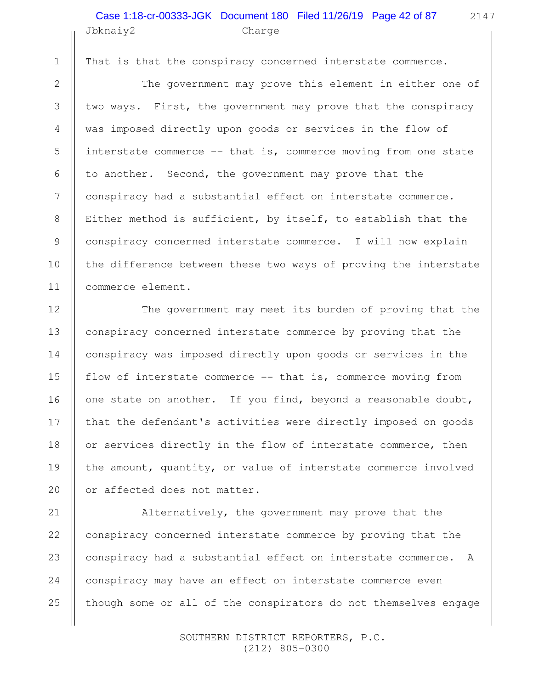## Jbknaiy2 Charge Case 1:18-cr-00333-JGK Document 180 Filed 11/26/19 Page 42 of 87

That is that the conspiracy concerned interstate commerce.

1

2

3

4

5

6

7

8

9

10

11

12

13

14

15

16

17

18

19

20

The government may prove this element in either one of two ways. First, the government may prove that the conspiracy was imposed directly upon goods or services in the flow of interstate commerce -- that is, commerce moving from one state to another. Second, the government may prove that the conspiracy had a substantial effect on interstate commerce. Either method is sufficient, by itself, to establish that the conspiracy concerned interstate commerce. I will now explain the difference between these two ways of proving the interstate commerce element.

The government may meet its burden of proving that the conspiracy concerned interstate commerce by proving that the conspiracy was imposed directly upon goods or services in the flow of interstate commerce -- that is, commerce moving from one state on another. If you find, beyond a reasonable doubt, that the defendant's activities were directly imposed on goods or services directly in the flow of interstate commerce, then the amount, quantity, or value of interstate commerce involved or affected does not matter.

Alternatively, the government may prove that the conspiracy concerned interstate commerce by proving that the conspiracy had a substantial effect on interstate commerce. A conspiracy may have an effect on interstate commerce even though some or all of the conspirators do not themselves engage 21 22 23 24 25

> SOUTHERN DISTRICT REPORTERS, P.C. (212) 805-0300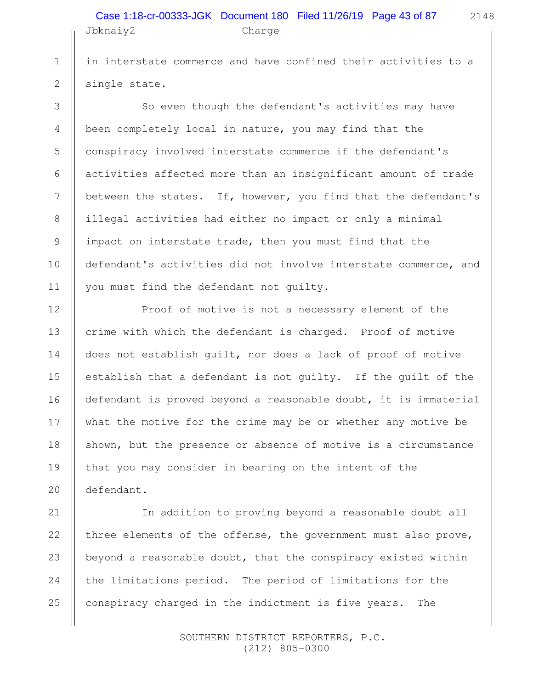## Jbknaiy2 Charge Case 1:18-cr-00333-JGK Document 180 Filed 11/26/19 Page 43 of 87

2148

in interstate commerce and have confined their activities to a single state.

So even though the defendant's activities may have been completely local in nature, you may find that the conspiracy involved interstate commerce if the defendant's activities affected more than an insignificant amount of trade between the states. If, however, you find that the defendant's illegal activities had either no impact or only a minimal impact on interstate trade, then you must find that the defendant's activities did not involve interstate commerce, and you must find the defendant not guilty.

Proof of motive is not a necessary element of the crime with which the defendant is charged. Proof of motive does not establish guilt, nor does a lack of proof of motive establish that a defendant is not guilty. If the guilt of the defendant is proved beyond a reasonable doubt, it is immaterial what the motive for the crime may be or whether any motive be shown, but the presence or absence of motive is a circumstance that you may consider in bearing on the intent of the defendant.

In addition to proving beyond a reasonable doubt all three elements of the offense, the government must also prove, beyond a reasonable doubt, that the conspiracy existed within the limitations period. The period of limitations for the conspiracy charged in the indictment is five years. The 23

> SOUTHERN DISTRICT REPORTERS, P.C. (212) 805-0300

21

22

24

25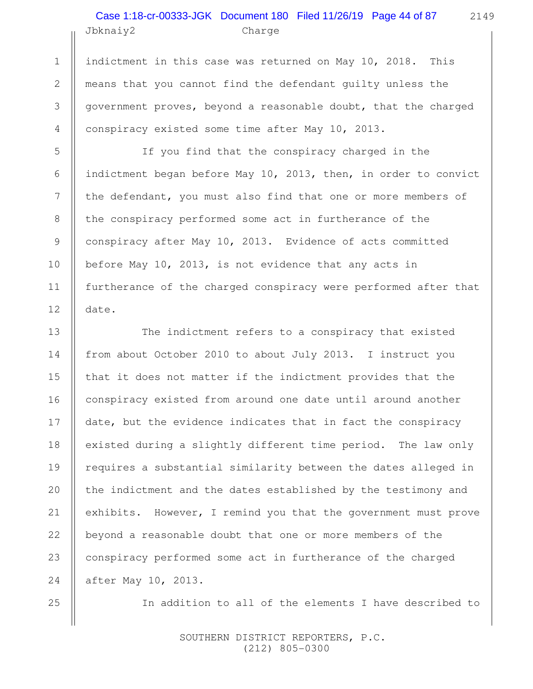# Jbknaiy2 Charge Case 1:18-cr-00333-JGK Document 180 Filed 11/26/19 Page 44 of 87

2149

indictment in this case was returned on May 10, 2018. This means that you cannot find the defendant guilty unless the government proves, beyond a reasonable doubt, that the charged conspiracy existed some time after May 10, 2013.

If you find that the conspiracy charged in the indictment began before May 10, 2013, then, in order to convict the defendant, you must also find that one or more members of the conspiracy performed some act in furtherance of the conspiracy after May 10, 2013. Evidence of acts committed before May 10, 2013, is not evidence that any acts in furtherance of the charged conspiracy were performed after that date.

The indictment refers to a conspiracy that existed from about October 2010 to about July 2013. I instruct you that it does not matter if the indictment provides that the conspiracy existed from around one date until around another date, but the evidence indicates that in fact the conspiracy existed during a slightly different time period. The law only requires a substantial similarity between the dates alleged in the indictment and the dates established by the testimony and exhibits. However, I remind you that the government must prove beyond a reasonable doubt that one or more members of the conspiracy performed some act in furtherance of the charged after May 10, 2013.

In addition to all of the elements I have described to

 SOUTHERN DISTRICT REPORTERS, P.C. (212) 805-0300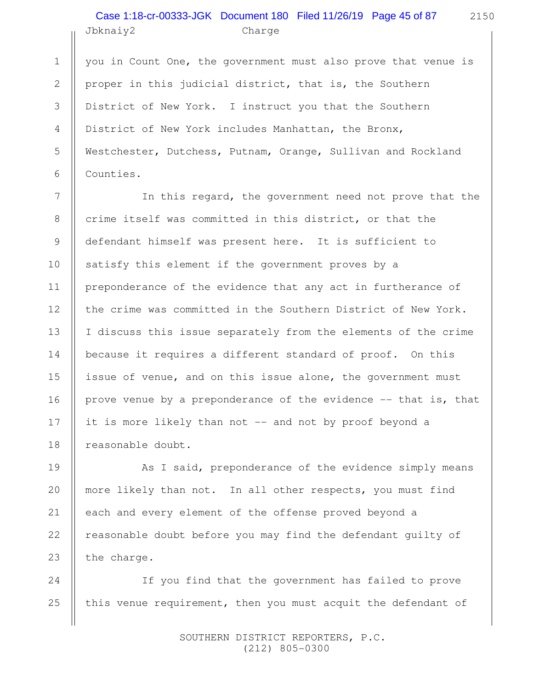# Jbknaiy2 Charge Case 1:18-cr-00333-JGK Document 180 Filed 11/26/19 Page 45 of 87

1

2

3

4

5

6

7

8

9

10

11

12

13

14

15

16

17

18

19

20

21

22

23

you in Count One, the government must also prove that venue is proper in this judicial district, that is, the Southern District of New York. I instruct you that the Southern District of New York includes Manhattan, the Bronx, Westchester, Dutchess, Putnam, Orange, Sullivan and Rockland Counties.

In this regard, the government need not prove that the crime itself was committed in this district, or that the defendant himself was present here. It is sufficient to satisfy this element if the government proves by a preponderance of the evidence that any act in furtherance of the crime was committed in the Southern District of New York. I discuss this issue separately from the elements of the crime because it requires a different standard of proof. On this issue of venue, and on this issue alone, the government must prove venue by a preponderance of the evidence -- that is, that it is more likely than not -- and not by proof beyond a reasonable doubt.

As I said, preponderance of the evidence simply means more likely than not. In all other respects, you must find each and every element of the offense proved beyond a reasonable doubt before you may find the defendant guilty of the charge.

If you find that the government has failed to prove this venue requirement, then you must acquit the defendant of 24 25

> SOUTHERN DISTRICT REPORTERS, P.C. (212) 805-0300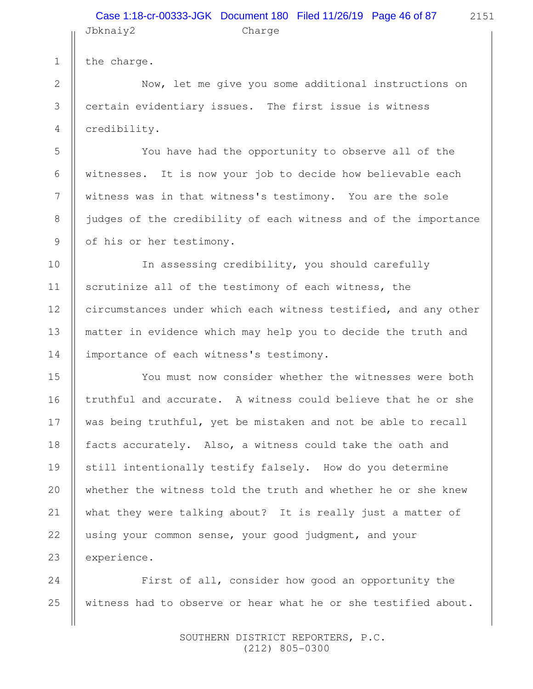## Jbknaiy2 Charge Case 1:18-cr-00333-JGK Document 180 Filed 11/26/19 Page 46 of 87

the charge.

1

2

3

4

5

6

7

8

9

10

11

12

13

14

15

16

17

18

19

20

21

22

23

Now, let me give you some additional instructions on certain evidentiary issues. The first issue is witness credibility.

You have had the opportunity to observe all of the witnesses. It is now your job to decide how believable each witness was in that witness's testimony. You are the sole judges of the credibility of each witness and of the importance of his or her testimony.

In assessing credibility, you should carefully scrutinize all of the testimony of each witness, the circumstances under which each witness testified, and any other matter in evidence which may help you to decide the truth and importance of each witness's testimony.

You must now consider whether the witnesses were both truthful and accurate. A witness could believe that he or she was being truthful, yet be mistaken and not be able to recall facts accurately. Also, a witness could take the oath and still intentionally testify falsely. How do you determine whether the witness told the truth and whether he or she knew what they were talking about? It is really just a matter of using your common sense, your good judgment, and your experience.

First of all, consider how good an opportunity the witness had to observe or hear what he or she testified about. 24 25

> SOUTHERN DISTRICT REPORTERS, P.C. (212) 805-0300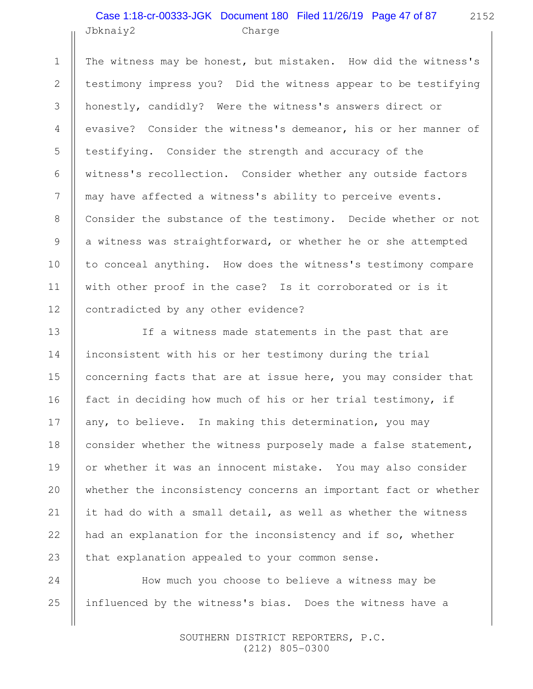#### Jbknaiy2 Charge Case 1:18-cr-00333-JGK Document 180 Filed 11/26/19 Page 47 of 87

1

2

3

4

5

6

7

8

9

10

11

12

13

14

15

16

17

18

19

20

21

22

23

24

25

2152

The witness may be honest, but mistaken. How did the witness's testimony impress you? Did the witness appear to be testifying honestly, candidly? Were the witness's answers direct or evasive? Consider the witness's demeanor, his or her manner of testifying. Consider the strength and accuracy of the witness's recollection. Consider whether any outside factors may have affected a witness's ability to perceive events. Consider the substance of the testimony. Decide whether or not a witness was straightforward, or whether he or she attempted to conceal anything. How does the witness's testimony compare with other proof in the case? Is it corroborated or is it contradicted by any other evidence?

If a witness made statements in the past that are inconsistent with his or her testimony during the trial concerning facts that are at issue here, you may consider that fact in deciding how much of his or her trial testimony, if any, to believe. In making this determination, you may consider whether the witness purposely made a false statement, or whether it was an innocent mistake. You may also consider whether the inconsistency concerns an important fact or whether it had do with a small detail, as well as whether the witness had an explanation for the inconsistency and if so, whether that explanation appealed to your common sense.

How much you choose to believe a witness may be influenced by the witness's bias. Does the witness have a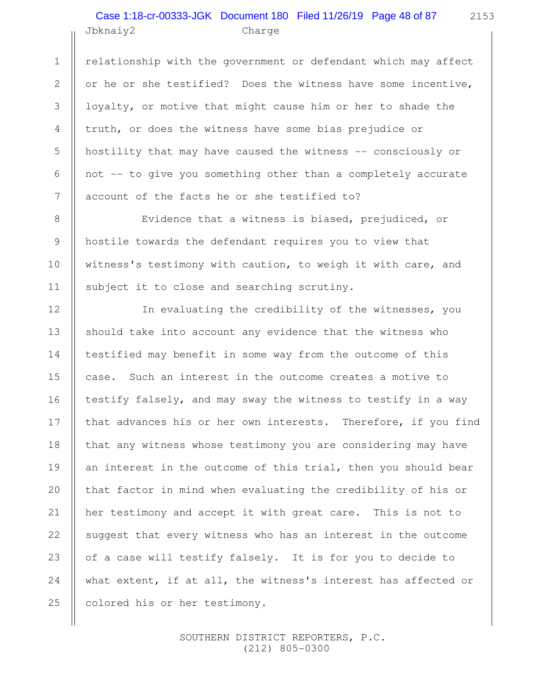# Jbknaiy2 Charge Case 1:18-cr-00333-JGK Document 180 Filed 11/26/19 Page 48 of 87

1

2

3

4

5

6

7

8

9

10

11

12

13

14

15

16

17

18

19

20

21

22

23

24

25

relationship with the government or defendant which may affect or he or she testified? Does the witness have some incentive, loyalty, or motive that might cause him or her to shade the truth, or does the witness have some bias prejudice or hostility that may have caused the witness -- consciously or not -- to give you something other than a completely accurate account of the facts he or she testified to?

Evidence that a witness is biased, prejudiced, or hostile towards the defendant requires you to view that witness's testimony with caution, to weigh it with care, and subject it to close and searching scrutiny.

In evaluating the credibility of the witnesses, you should take into account any evidence that the witness who testified may benefit in some way from the outcome of this case. Such an interest in the outcome creates a motive to testify falsely, and may sway the witness to testify in a way that advances his or her own interests. Therefore, if you find that any witness whose testimony you are considering may have an interest in the outcome of this trial, then you should bear that factor in mind when evaluating the credibility of his or her testimony and accept it with great care. This is not to suggest that every witness who has an interest in the outcome of a case will testify falsely. It is for you to decide to what extent, if at all, the witness's interest has affected or colored his or her testimony.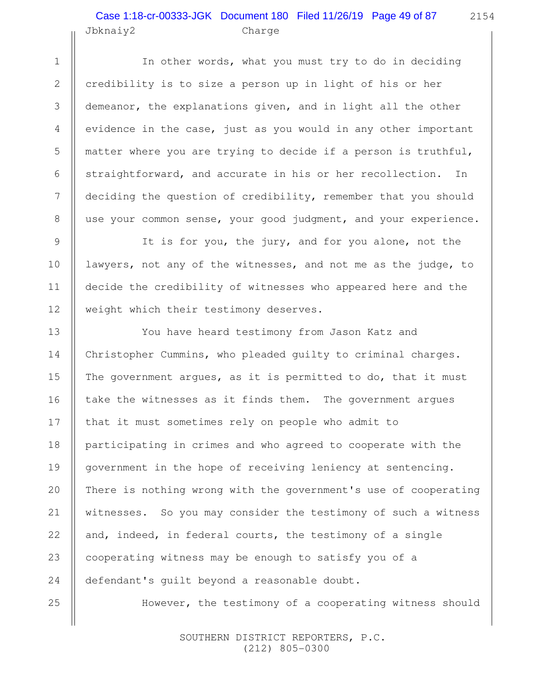#### Jbknaiy2 Charge Case 1:18-cr-00333-JGK Document 180 Filed 11/26/19 Page 49 of 87

2154

In other words, what you must try to do in deciding credibility is to size a person up in light of his or her demeanor, the explanations given, and in light all the other evidence in the case, just as you would in any other important matter where you are trying to decide if a person is truthful, straightforward, and accurate in his or her recollection. In deciding the question of credibility, remember that you should use your common sense, your good judgment, and your experience.

It is for you, the jury, and for you alone, not the lawyers, not any of the witnesses, and not me as the judge, to decide the credibility of witnesses who appeared here and the weight which their testimony deserves.

You have heard testimony from Jason Katz and Christopher Cummins, who pleaded guilty to criminal charges. The government argues, as it is permitted to do, that it must take the witnesses as it finds them. The government argues that it must sometimes rely on people who admit to participating in crimes and who agreed to cooperate with the government in the hope of receiving leniency at sentencing. There is nothing wrong with the government's use of cooperating witnesses. So you may consider the testimony of such a witness and, indeed, in federal courts, the testimony of a single cooperating witness may be enough to satisfy you of a defendant's guilt beyond a reasonable doubt.

However, the testimony of a cooperating witness should

 SOUTHERN DISTRICT REPORTERS, P.C. (212) 805-0300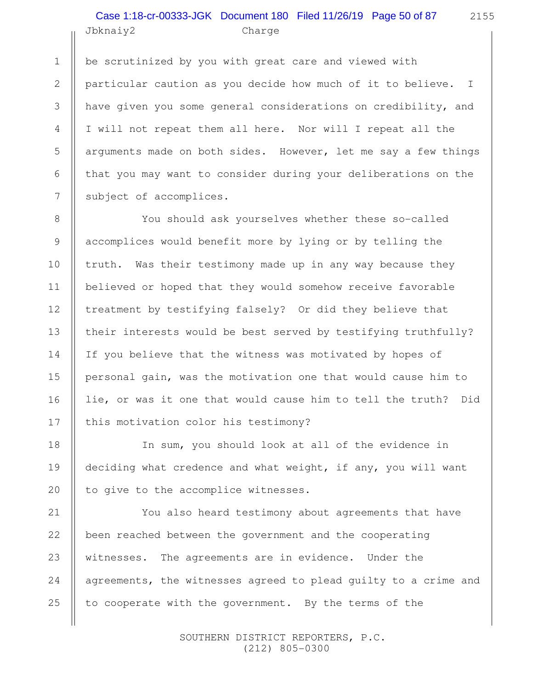#### Jbknaiy2 Charge Case 1:18-cr-00333-JGK Document 180 Filed 11/26/19 Page 50 of 87

be scrutinized by you with great care and viewed with particular caution as you decide how much of it to believe. I have given you some general considerations on credibility, and I will not repeat them all here. Nor will I repeat all the arguments made on both sides. However, let me say a few things that you may want to consider during your deliberations on the subject of accomplices.

You should ask yourselves whether these so-called accomplices would benefit more by lying or by telling the truth. Was their testimony made up in any way because they believed or hoped that they would somehow receive favorable treatment by testifying falsely? Or did they believe that their interests would be best served by testifying truthfully? If you believe that the witness was motivated by hopes of personal gain, was the motivation one that would cause him to lie, or was it one that would cause him to tell the truth? Did this motivation color his testimony?

In sum, you should look at all of the evidence in deciding what credence and what weight, if any, you will want to give to the accomplice witnesses.

You also heard testimony about agreements that have been reached between the government and the cooperating witnesses. The agreements are in evidence. Under the agreements, the witnesses agreed to plead guilty to a crime and to cooperate with the government. By the terms of the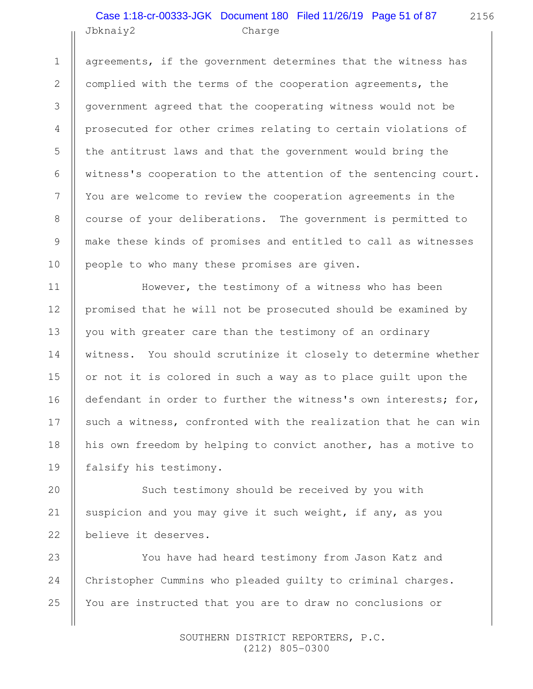#### Jbknaiy2 Charge Case 1:18-cr-00333-JGK Document 180 Filed 11/26/19 Page 51 of 87

1

2

3

4

5

6

7

8

9

10

11

12

13

14

15

16

17

18

19

agreements, if the government determines that the witness has complied with the terms of the cooperation agreements, the government agreed that the cooperating witness would not be prosecuted for other crimes relating to certain violations of the antitrust laws and that the government would bring the witness's cooperation to the attention of the sentencing court. You are welcome to review the cooperation agreements in the course of your deliberations. The government is permitted to make these kinds of promises and entitled to call as witnesses people to who many these promises are given.

However, the testimony of a witness who has been promised that he will not be prosecuted should be examined by you with greater care than the testimony of an ordinary witness. You should scrutinize it closely to determine whether or not it is colored in such a way as to place guilt upon the defendant in order to further the witness's own interests; for, such a witness, confronted with the realization that he can win his own freedom by helping to convict another, has a motive to falsify his testimony.

Such testimony should be received by you with suspicion and you may give it such weight, if any, as you believe it deserves. 20 21 22

You have had heard testimony from Jason Katz and Christopher Cummins who pleaded guilty to criminal charges. You are instructed that you are to draw no conclusions or 23 24 25

> SOUTHERN DISTRICT REPORTERS, P.C. (212) 805-0300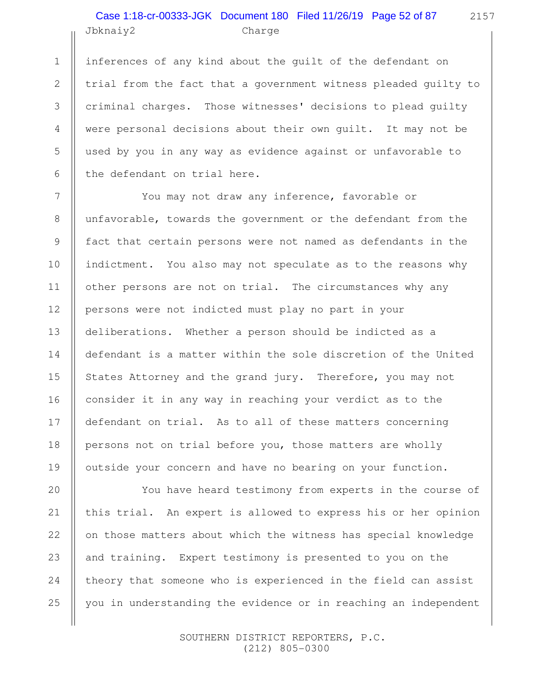# Jbknaiy2 Charge Case 1:18-cr-00333-JGK Document 180 Filed 11/26/19 Page 52 of 87

1

2

3

4

5

6

7

8

9

10

11

12

13

14

15

16

17

18

19

20

21

22

23

24

25

inferences of any kind about the guilt of the defendant on trial from the fact that a government witness pleaded guilty to criminal charges. Those witnesses' decisions to plead guilty were personal decisions about their own guilt. It may not be used by you in any way as evidence against or unfavorable to the defendant on trial here.

You may not draw any inference, favorable or unfavorable, towards the government or the defendant from the fact that certain persons were not named as defendants in the indictment. You also may not speculate as to the reasons why other persons are not on trial. The circumstances why any persons were not indicted must play no part in your deliberations. Whether a person should be indicted as a defendant is a matter within the sole discretion of the United States Attorney and the grand jury. Therefore, you may not consider it in any way in reaching your verdict as to the defendant on trial. As to all of these matters concerning persons not on trial before you, those matters are wholly outside your concern and have no bearing on your function.

You have heard testimony from experts in the course of this trial. An expert is allowed to express his or her opinion on those matters about which the witness has special knowledge and training. Expert testimony is presented to you on the theory that someone who is experienced in the field can assist you in understanding the evidence or in reaching an independent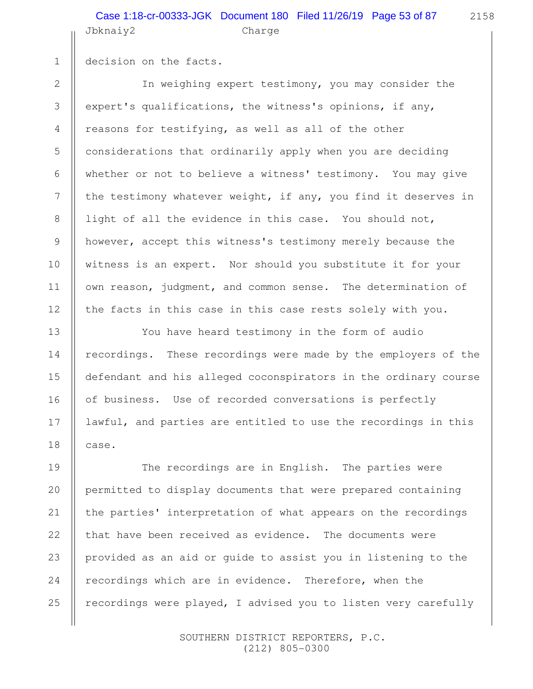#### Jbknaiy2 Charge Case 1:18-cr-00333-JGK Document 180 Filed 11/26/19 Page 53 of 87

decision on the facts.

1

2

3

4

5

6

7

8

9

10

11

12

13

14

15

16

17

18

In weighing expert testimony, you may consider the expert's qualifications, the witness's opinions, if any, reasons for testifying, as well as all of the other considerations that ordinarily apply when you are deciding whether or not to believe a witness' testimony. You may give the testimony whatever weight, if any, you find it deserves in light of all the evidence in this case. You should not, however, accept this witness's testimony merely because the witness is an expert. Nor should you substitute it for your own reason, judgment, and common sense. The determination of the facts in this case in this case rests solely with you.

You have heard testimony in the form of audio recordings. These recordings were made by the employers of the defendant and his alleged coconspirators in the ordinary course of business. Use of recorded conversations is perfectly lawful, and parties are entitled to use the recordings in this case.

The recordings are in English. The parties were permitted to display documents that were prepared containing the parties' interpretation of what appears on the recordings that have been received as evidence. The documents were provided as an aid or guide to assist you in listening to the recordings which are in evidence. Therefore, when the recordings were played, I advised you to listen very carefully 19 20 21 22 23 24 25

> SOUTHERN DISTRICT REPORTERS, P.C. (212) 805-0300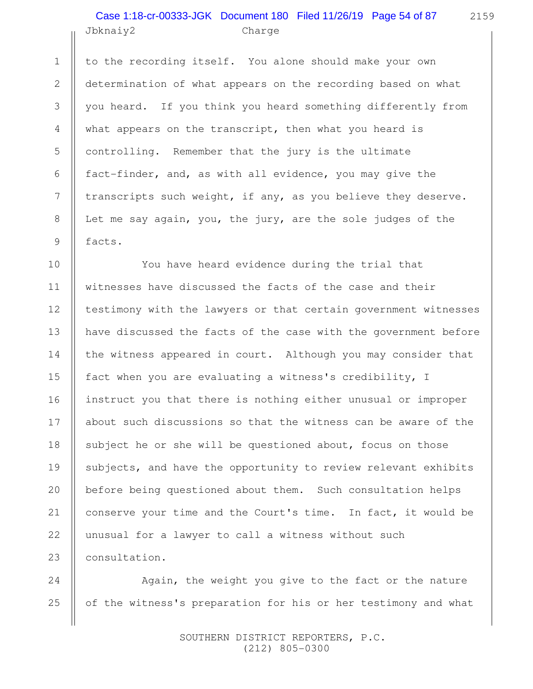#### Jbknaiy2 Charge Case 1:18-cr-00333-JGK Document 180 Filed 11/26/19 Page 54 of 87

to the recording itself. You alone should make your own determination of what appears on the recording based on what you heard. If you think you heard something differently from what appears on the transcript, then what you heard is controlling. Remember that the jury is the ultimate fact-finder, and, as with all evidence, you may give the transcripts such weight, if any, as you believe they deserve. Let me say again, you, the jury, are the sole judges of the facts.

You have heard evidence during the trial that witnesses have discussed the facts of the case and their testimony with the lawyers or that certain government witnesses have discussed the facts of the case with the government before the witness appeared in court. Although you may consider that fact when you are evaluating a witness's credibility, I instruct you that there is nothing either unusual or improper about such discussions so that the witness can be aware of the subject he or she will be questioned about, focus on those subjects, and have the opportunity to review relevant exhibits before being questioned about them. Such consultation helps conserve your time and the Court's time. In fact, it would be unusual for a lawyer to call a witness without such consultation.

Again, the weight you give to the fact or the nature of the witness's preparation for his or her testimony and what

> SOUTHERN DISTRICT REPORTERS, P.C. (212) 805-0300

1

2

3

4

5

6

7

8

9

10

11

12

13

14

15

16

17

18

19

20

21

22

23

24

25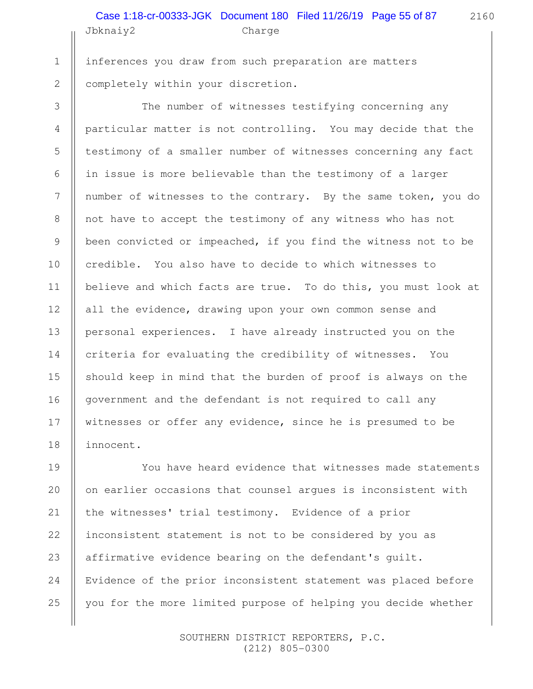# Jbknaiy2 Charge Case 1:18-cr-00333-JGK Document 180 Filed 11/26/19 Page 55 of 87

inferences you draw from such preparation are matters completely within your discretion. 1 2

3

4

5

6

7

8

9

10

11

12

13

14

15

16

17

18

The number of witnesses testifying concerning any particular matter is not controlling. You may decide that the testimony of a smaller number of witnesses concerning any fact in issue is more believable than the testimony of a larger number of witnesses to the contrary. By the same token, you do not have to accept the testimony of any witness who has not been convicted or impeached, if you find the witness not to be credible. You also have to decide to which witnesses to believe and which facts are true. To do this, you must look at all the evidence, drawing upon your own common sense and personal experiences. I have already instructed you on the criteria for evaluating the credibility of witnesses. You should keep in mind that the burden of proof is always on the government and the defendant is not required to call any witnesses or offer any evidence, since he is presumed to be innocent.

You have heard evidence that witnesses made statements on earlier occasions that counsel argues is inconsistent with the witnesses' trial testimony. Evidence of a prior inconsistent statement is not to be considered by you as affirmative evidence bearing on the defendant's guilt. Evidence of the prior inconsistent statement was placed before you for the more limited purpose of helping you decide whether 19 20 21 22 23 24 25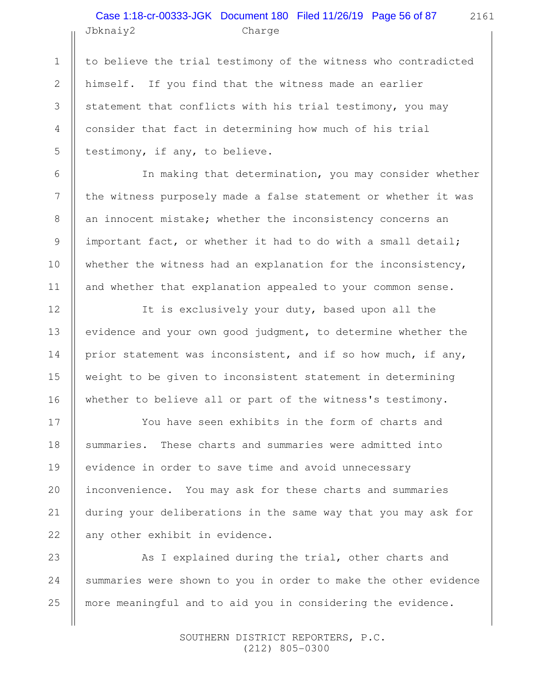## Jbknaiy2 Charge Case 1:18-cr-00333-JGK Document 180 Filed 11/26/19 Page 56 of 87

2161

to believe the trial testimony of the witness who contradicted himself. If you find that the witness made an earlier statement that conflicts with his trial testimony, you may consider that fact in determining how much of his trial testimony, if any, to believe.

In making that determination, you may consider whether the witness purposely made a false statement or whether it was an innocent mistake; whether the inconsistency concerns an important fact, or whether it had to do with a small detail; whether the witness had an explanation for the inconsistency, and whether that explanation appealed to your common sense.

It is exclusively your duty, based upon all the evidence and your own good judgment, to determine whether the prior statement was inconsistent, and if so how much, if any, weight to be given to inconsistent statement in determining whether to believe all or part of the witness's testimony.

You have seen exhibits in the form of charts and summaries. These charts and summaries were admitted into evidence in order to save time and avoid unnecessary inconvenience. You may ask for these charts and summaries during your deliberations in the same way that you may ask for any other exhibit in evidence.

As I explained during the trial, other charts and summaries were shown to you in order to make the other evidence more meaningful and to aid you in considering the evidence.

> SOUTHERN DISTRICT REPORTERS, P.C. (212) 805-0300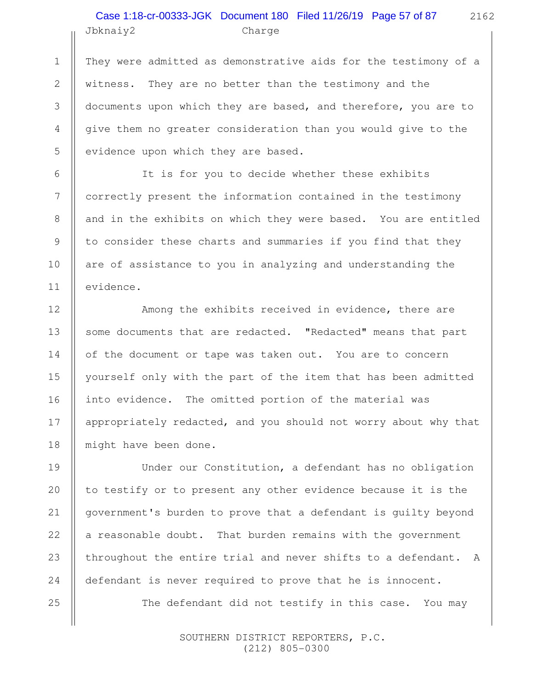## Jbknaiy2 Charge Case 1:18-cr-00333-JGK Document 180 Filed 11/26/19 Page 57 of 87

1

2

3

4

5

6

7

8

9

10

11

12

13

14

15

16

17

18

19

20

21

22

23

24

25

They were admitted as demonstrative aids for the testimony of a witness. They are no better than the testimony and the documents upon which they are based, and therefore, you are to give them no greater consideration than you would give to the evidence upon which they are based.

It is for you to decide whether these exhibits correctly present the information contained in the testimony and in the exhibits on which they were based. You are entitled to consider these charts and summaries if you find that they are of assistance to you in analyzing and understanding the evidence.

Among the exhibits received in evidence, there are some documents that are redacted. "Redacted" means that part of the document or tape was taken out. You are to concern yourself only with the part of the item that has been admitted into evidence. The omitted portion of the material was appropriately redacted, and you should not worry about why that might have been done.

Under our Constitution, a defendant has no obligation to testify or to present any other evidence because it is the government's burden to prove that a defendant is guilty beyond a reasonable doubt. That burden remains with the government throughout the entire trial and never shifts to a defendant. A defendant is never required to prove that he is innocent. The defendant did not testify in this case. You may

> SOUTHERN DISTRICT REPORTERS, P.C. (212) 805-0300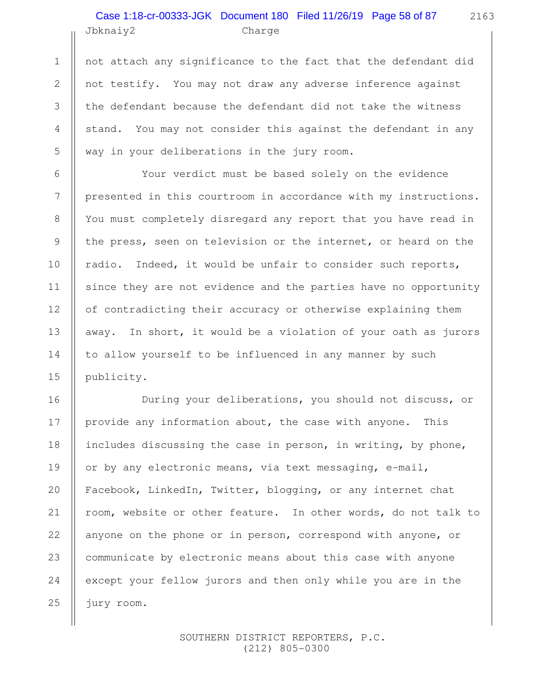# Jbknaiy2 Charge Case 1:18-cr-00333-JGK Document 180 Filed 11/26/19 Page 58 of 87

1

2

3

4

5

6

7

8

9

10

11

12

13

14

15

16

17

18

19

20

21

22

23

24

25

not attach any significance to the fact that the defendant did not testify. You may not draw any adverse inference against the defendant because the defendant did not take the witness stand. You may not consider this against the defendant in any way in your deliberations in the jury room.

Your verdict must be based solely on the evidence presented in this courtroom in accordance with my instructions. You must completely disregard any report that you have read in the press, seen on television or the internet, or heard on the radio. Indeed, it would be unfair to consider such reports, since they are not evidence and the parties have no opportunity of contradicting their accuracy or otherwise explaining them away. In short, it would be a violation of your oath as jurors to allow yourself to be influenced in any manner by such publicity.

During your deliberations, you should not discuss, or provide any information about, the case with anyone. This includes discussing the case in person, in writing, by phone, or by any electronic means, via text messaging, e-mail, Facebook, LinkedIn, Twitter, blogging, or any internet chat room, website or other feature. In other words, do not talk to anyone on the phone or in person, correspond with anyone, or communicate by electronic means about this case with anyone except your fellow jurors and then only while you are in the jury room.

> SOUTHERN DISTRICT REPORTERS, P.C. (212) 805-0300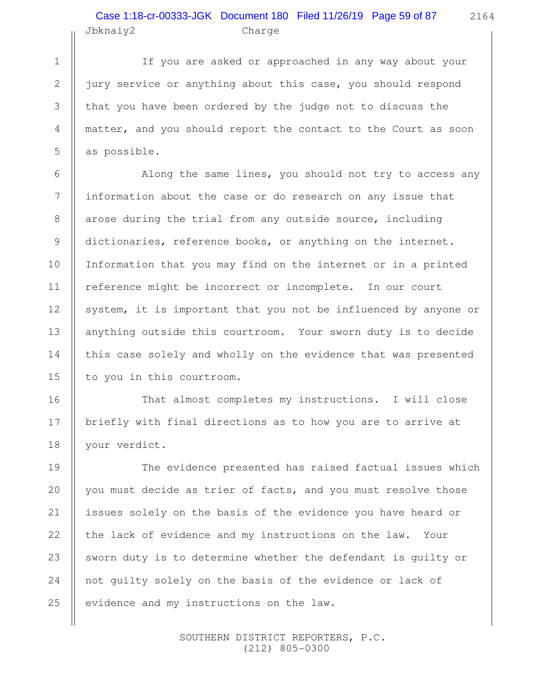# Jbknaiy2 Charge Case 1:18-cr-00333-JGK Document 180 Filed 11/26/19 Page 59 of 87

1

2

3

4

5

6

7

8

9

10

11

12

13

14

15

16

17

18

2164

If you are asked or approached in any way about your jury service or anything about this case, you should respond that you have been ordered by the judge not to discuss the matter, and you should report the contact to the Court as soon as possible.

Along the same lines, you should not try to access any information about the case or do research on any issue that arose during the trial from any outside source, including dictionaries, reference books, or anything on the internet. Information that you may find on the internet or in a printed reference might be incorrect or incomplete. In our court system, it is important that you not be influenced by anyone or anything outside this courtroom. Your sworn duty is to decide this case solely and wholly on the evidence that was presented to you in this courtroom.

That almost completes my instructions. I will close briefly with final directions as to how you are to arrive at your verdict.

The evidence presented has raised factual issues which you must decide as trier of facts, and you must resolve those issues solely on the basis of the evidence you have heard or the lack of evidence and my instructions on the law. Your sworn duty is to determine whether the defendant is guilty or not guilty solely on the basis of the evidence or lack of evidence and my instructions on the law. 19 20 21 22 23 24 25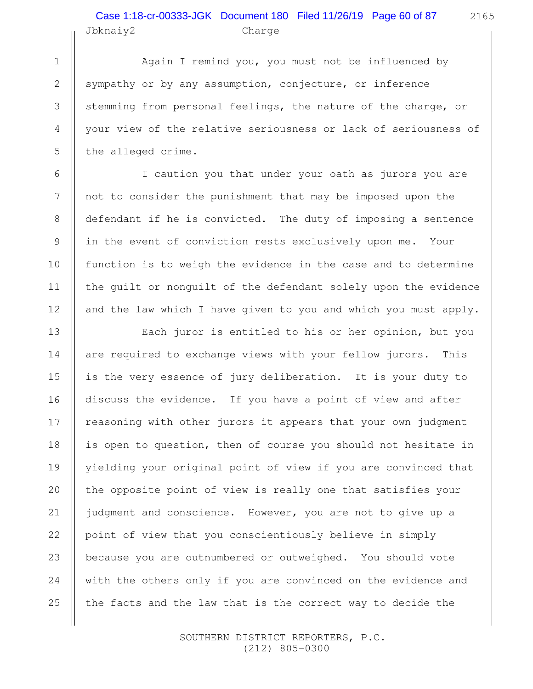## Jbknaiy2 Charge Case 1:18-cr-00333-JGK Document 180 Filed 11/26/19 Page 60 of 87

1

2

3

4

5

6

7

8

9

10

11

12

13

14

15

16

17

18

19

20

21

22

23

24

25

Again I remind you, you must not be influenced by sympathy or by any assumption, conjecture, or inference stemming from personal feelings, the nature of the charge, or your view of the relative seriousness or lack of seriousness of the alleged crime.

I caution you that under your oath as jurors you are not to consider the punishment that may be imposed upon the defendant if he is convicted. The duty of imposing a sentence in the event of conviction rests exclusively upon me. Your function is to weigh the evidence in the case and to determine the guilt or nonguilt of the defendant solely upon the evidence and the law which I have given to you and which you must apply.

Each juror is entitled to his or her opinion, but you are required to exchange views with your fellow jurors. This is the very essence of jury deliberation. It is your duty to discuss the evidence. If you have a point of view and after reasoning with other jurors it appears that your own judgment is open to question, then of course you should not hesitate in yielding your original point of view if you are convinced that the opposite point of view is really one that satisfies your judgment and conscience. However, you are not to give up a point of view that you conscientiously believe in simply because you are outnumbered or outweighed. You should vote with the others only if you are convinced on the evidence and the facts and the law that is the correct way to decide the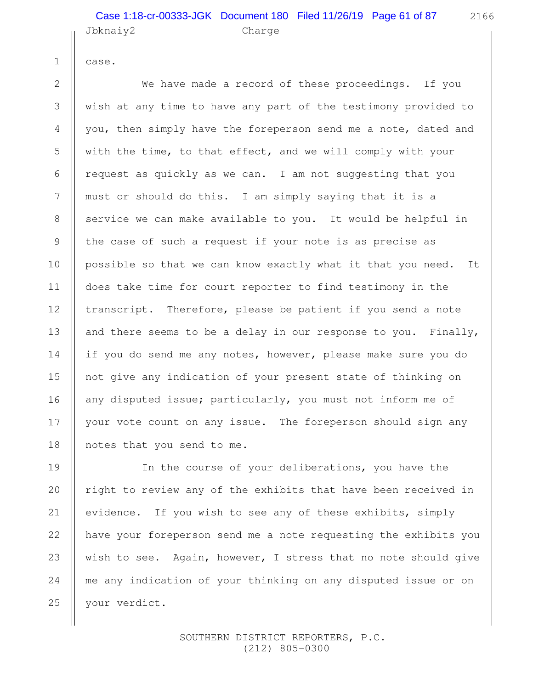#### Jbknaiy2 Charge Case 1:18-cr-00333-JGK Document 180 Filed 11/26/19 Page 61 of 87

case.

1

2

3

4

5

6

7

8

9

10

11

12

13

14

15

16

17

18

We have made a record of these proceedings. If you wish at any time to have any part of the testimony provided to you, then simply have the foreperson send me a note, dated and with the time, to that effect, and we will comply with your request as quickly as we can. I am not suggesting that you must or should do this. I am simply saying that it is a service we can make available to you. It would be helpful in the case of such a request if your note is as precise as possible so that we can know exactly what it that you need. It does take time for court reporter to find testimony in the transcript. Therefore, please be patient if you send a note and there seems to be a delay in our response to you. Finally, if you do send me any notes, however, please make sure you do not give any indication of your present state of thinking on any disputed issue; particularly, you must not inform me of your vote count on any issue. The foreperson should sign any notes that you send to me.

In the course of your deliberations, you have the right to review any of the exhibits that have been received in evidence. If you wish to see any of these exhibits, simply have your foreperson send me a note requesting the exhibits you wish to see. Again, however, I stress that no note should give me any indication of your thinking on any disputed issue or on your verdict. 19 20 21 22 23 24 25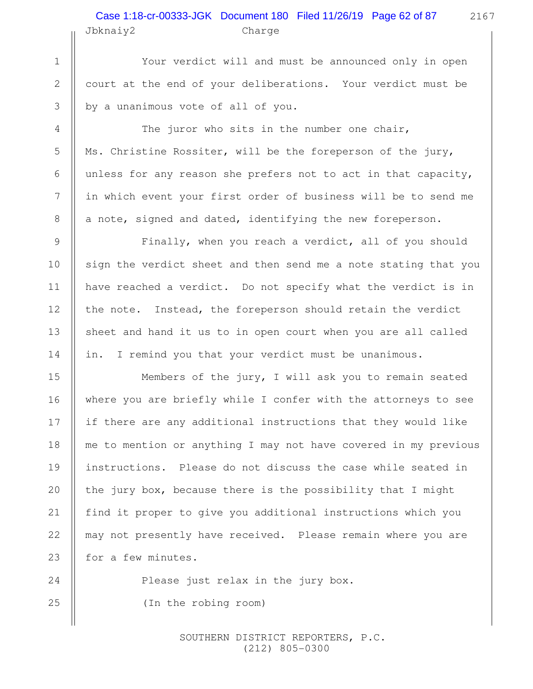# Jbknaiy2 Charge Case 1:18-cr-00333-JGK Document 180 Filed 11/26/19 Page 62 of 87

Your verdict will and must be announced only in open court at the end of your deliberations. Your verdict must be by a unanimous vote of all of you.

The juror who sits in the number one chair, Ms. Christine Rossiter, will be the foreperson of the jury, unless for any reason she prefers not to act in that capacity, in which event your first order of business will be to send me a note, signed and dated, identifying the new foreperson.

Finally, when you reach a verdict, all of you should sign the verdict sheet and then send me a note stating that you have reached a verdict. Do not specify what the verdict is in the note. Instead, the foreperson should retain the verdict sheet and hand it us to in open court when you are all called in. I remind you that your verdict must be unanimous.

Members of the jury, I will ask you to remain seated where you are briefly while I confer with the attorneys to see if there are any additional instructions that they would like me to mention or anything I may not have covered in my previous instructions. Please do not discuss the case while seated in the jury box, because there is the possibility that I might find it proper to give you additional instructions which you may not presently have received. Please remain where you are for a few minutes.

> Please just relax in the jury box. (In the robing room)

> > SOUTHERN DISTRICT REPORTERS, P.C. (212) 805-0300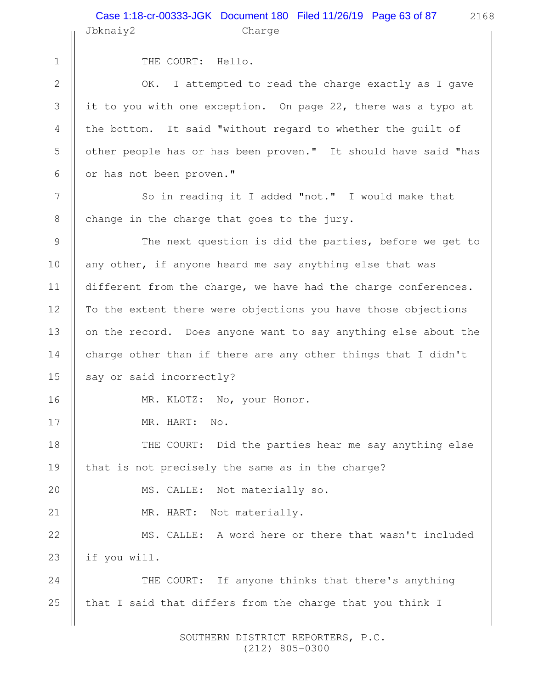2 3

4

5

6

7

8

16

17

20

21

1

THE COURT: Hello.

OK. I attempted to read the charge exactly as I gave it to you with one exception. On page 22, there was a typo at the bottom. It said "without regard to whether the guilt of other people has or has been proven." It should have said "has or has not been proven."

So in reading it I added "not." I would make that change in the charge that goes to the jury.

The next question is did the parties, before we get to any other, if anyone heard me say anything else that was different from the charge, we have had the charge conferences. To the extent there were objections you have those objections on the record. Does anyone want to say anything else about the charge other than if there are any other things that I didn't say or said incorrectly? 9 10 11 12 13 14 15

MR. KLOTZ: No, your Honor.

MR. HART: No.

THE COURT: Did the parties hear me say anything else that is not precisely the same as in the charge? 18 19

MS. CALLE: Not materially so.

MR. HART: Not materially.

MS. CALLE: A word here or there that wasn't included if you will. 22 23

THE COURT: If anyone thinks that there's anything that I said that differs from the charge that you think I 24 25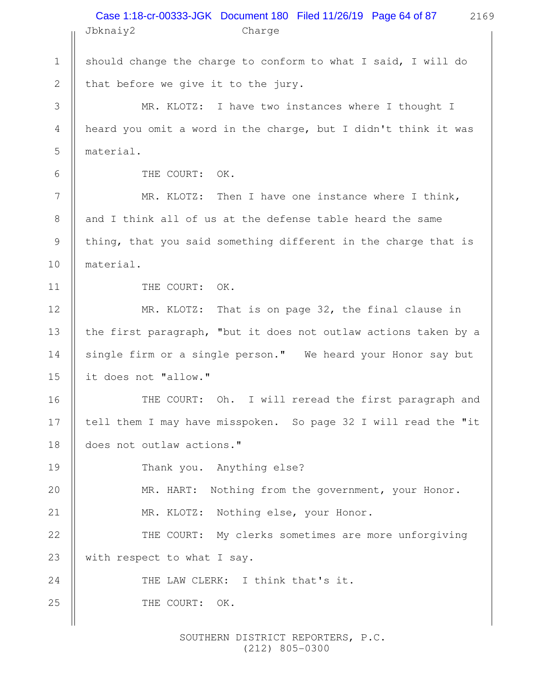|              | Case 1:18-cr-00333-JGK Document 180 Filed 11/26/19 Page 64 of 87<br>2169<br>Jbknaiy2<br>Charge |
|--------------|------------------------------------------------------------------------------------------------|
| $\mathbf 1$  | should change the charge to conform to what I said, I will do                                  |
| $\mathbf{2}$ | that before we give it to the jury.                                                            |
| 3            | MR. KLOTZ: I have two instances where I thought I                                              |
| 4            | heard you omit a word in the charge, but I didn't think it was                                 |
| 5            | material.                                                                                      |
| 6            | THE COURT: OK.                                                                                 |
| 7            | MR. KLOTZ: Then I have one instance where I think,                                             |
| 8            | and I think all of us at the defense table heard the same                                      |
| 9            | thing, that you said something different in the charge that is                                 |
| 10           | material.                                                                                      |
| 11           | THE COURT: OK.                                                                                 |
| 12           | MR. KLOTZ: That is on page 32, the final clause in                                             |
| 13           | the first paragraph, "but it does not outlaw actions taken by a                                |
| 14           | single firm or a single person." We heard your Honor say but                                   |
| 15           | it does not "allow."                                                                           |
| 16           | THE COURT: Oh. I will reread the first paragraph and                                           |
| 17           | tell them I may have misspoken. So page 32 I will read the "it                                 |
| 18           | does not outlaw actions."                                                                      |
| 19           | Thank you. Anything else?                                                                      |
| 20           | MR. HART: Nothing from the government, your Honor.                                             |
| 21           | MR. KLOTZ: Nothing else, your Honor.                                                           |
| 22           | THE COURT: My clerks sometimes are more unforgiving                                            |
| 23           | with respect to what I say.                                                                    |
| 24           | THE LAW CLERK: I think that's it.                                                              |
| 25           | THE COURT:<br>OK.                                                                              |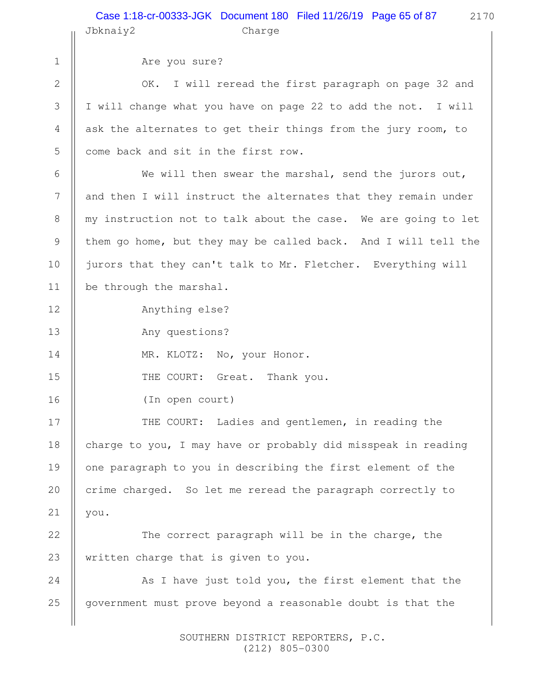2170

Are you sure? OK. I will reread the first paragraph on page 32 and I will change what you have on page 22 to add the not. I will ask the alternates to get their things from the jury room, to come back and sit in the first row. We will then swear the marshal, send the jurors out, and then I will instruct the alternates that they remain under my instruction not to talk about the case. We are going to let them go home, but they may be called back. And I will tell the jurors that they can't talk to Mr. Fletcher. Everything will be through the marshal. Anything else? Any questions? MR. KLOTZ: No, your Honor. THE COURT: Great. Thank you. (In open court) THE COURT: Ladies and gentlemen, in reading the charge to you, I may have or probably did misspeak in reading one paragraph to you in describing the first element of the crime charged. So let me reread the paragraph correctly to you. The correct paragraph will be in the charge, the written charge that is given to you. As I have just told you, the first element that the government must prove beyond a reasonable doubt is that the 1 2 3 4 5 6 7 8 9 10 11 12 13 14 15 16 17 18 19 20 21 22 23 24 25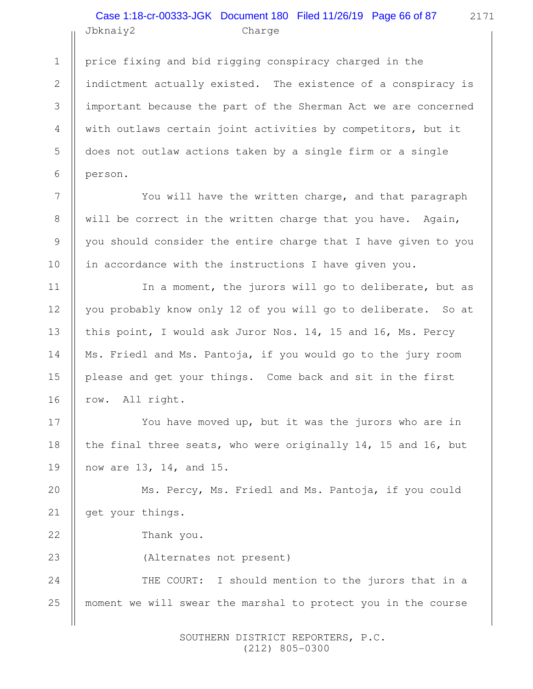# Jbknaiy2 Charge Case 1:18-cr-00333-JGK Document 180 Filed 11/26/19 Page 66 of 87

price fixing and bid rigging conspiracy charged in the indictment actually existed. The existence of a conspiracy is important because the part of the Sherman Act we are concerned with outlaws certain joint activities by competitors, but it does not outlaw actions taken by a single firm or a single person.

You will have the written charge, and that paragraph will be correct in the written charge that you have. Again, you should consider the entire charge that I have given to you in accordance with the instructions I have given you.

In a moment, the jurors will go to deliberate, but as you probably know only 12 of you will go to deliberate. So at this point, I would ask Juror Nos. 14, 15 and 16, Ms. Percy Ms. Friedl and Ms. Pantoja, if you would go to the jury room please and get your things. Come back and sit in the first row. All right.

You have moved up, but it was the jurors who are in the final three seats, who were originally 14, 15 and 16, but now are 13, 14, and 15.

Ms. Percy, Ms. Friedl and Ms. Pantoja, if you could get your things. 20 21

Thank you.

1

2

3

4

5

6

7

8

9

10

11

12

13

14

15

16

17

18

19

22

23

(Alternates not present)

THE COURT: I should mention to the jurors that in a moment we will swear the marshal to protect you in the course 24 25

> SOUTHERN DISTRICT REPORTERS, P.C. (212) 805-0300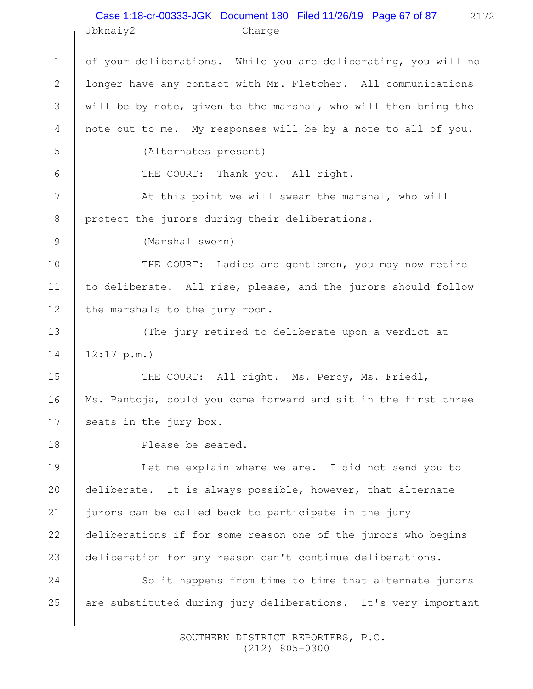#### 2172 Jbknaiy2 Charge Case 1:18-cr-00333-JGK Document 180 Filed 11/26/19 Page 67 of 87

of your deliberations. While you are deliberating, you will no longer have any contact with Mr. Fletcher. All communications will be by note, given to the marshal, who will then bring the note out to me. My responses will be by a note to all of you. (Alternates present) THE COURT: Thank you. All right. At this point we will swear the marshal, who will protect the jurors during their deliberations. (Marshal sworn) THE COURT: Ladies and gentlemen, you may now retire to deliberate. All rise, please, and the jurors should follow the marshals to the jury room. (The jury retired to deliberate upon a verdict at 12:17 p.m.) THE COURT: All right. Ms. Percy, Ms. Friedl, Ms. Pantoja, could you come forward and sit in the first three seats in the jury box. Please be seated. Let me explain where we are. I did not send you to deliberate. It is always possible, however, that alternate jurors can be called back to participate in the jury deliberations if for some reason one of the jurors who begins deliberation for any reason can't continue deliberations. So it happens from time to time that alternate jurors are substituted during jury deliberations. It's very important 1 2 3 4 5 6 7 8 9 10 11 12 13 14 15 16 17 18 19 20 21 22 23 24 25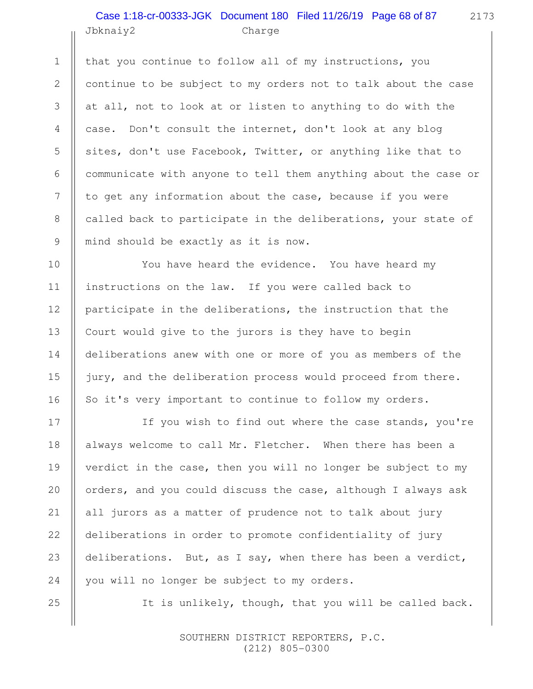#### Jbknaiy2 Charge Case 1:18-cr-00333-JGK Document 180 Filed 11/26/19 Page 68 of 87

that you continue to follow all of my instructions, you continue to be subject to my orders not to talk about the case at all, not to look at or listen to anything to do with the case. Don't consult the internet, don't look at any blog sites, don't use Facebook, Twitter, or anything like that to communicate with anyone to tell them anything about the case or to get any information about the case, because if you were called back to participate in the deliberations, your state of mind should be exactly as it is now.

You have heard the evidence. You have heard my instructions on the law. If you were called back to participate in the deliberations, the instruction that the Court would give to the jurors is they have to begin deliberations anew with one or more of you as members of the jury, and the deliberation process would proceed from there. So it's very important to continue to follow my orders.

If you wish to find out where the case stands, you're always welcome to call Mr. Fletcher. When there has been a verdict in the case, then you will no longer be subject to my orders, and you could discuss the case, although I always ask all jurors as a matter of prudence not to talk about jury deliberations in order to promote confidentiality of jury deliberations. But, as I say, when there has been a verdict, you will no longer be subject to my orders.

It is unlikely, though, that you will be called back.

 SOUTHERN DISTRICT REPORTERS, P.C. (212) 805-0300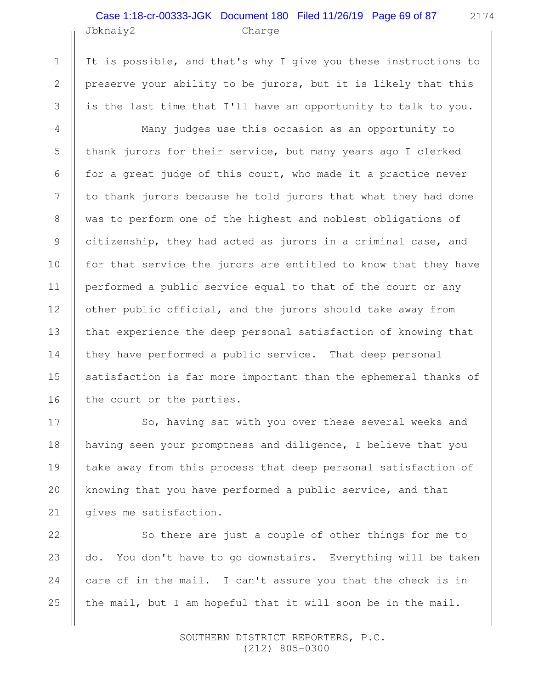## Jbknaiy2 Charge Case 1:18-cr-00333-JGK Document 180 Filed 11/26/19 Page 69 of 87

1

2

3

4

5

6

7

8

9

10

11

12

13

14

15

16

17

18

19

20

21

22

23

24

25

It is possible, and that's why I give you these instructions to preserve your ability to be jurors, but it is likely that this is the last time that I'll have an opportunity to talk to you.

Many judges use this occasion as an opportunity to thank jurors for their service, but many years ago I clerked for a great judge of this court, who made it a practice never to thank jurors because he told jurors that what they had done was to perform one of the highest and noblest obligations of citizenship, they had acted as jurors in a criminal case, and for that service the jurors are entitled to know that they have performed a public service equal to that of the court or any other public official, and the jurors should take away from that experience the deep personal satisfaction of knowing that they have performed a public service. That deep personal satisfaction is far more important than the ephemeral thanks of the court or the parties.

So, having sat with you over these several weeks and having seen your promptness and diligence, I believe that you take away from this process that deep personal satisfaction of knowing that you have performed a public service, and that gives me satisfaction.

So there are just a couple of other things for me to do. You don't have to go downstairs. Everything will be taken care of in the mail. I can't assure you that the check is in the mail, but I am hopeful that it will soon be in the mail.

> SOUTHERN DISTRICT REPORTERS, P.C. (212) 805-0300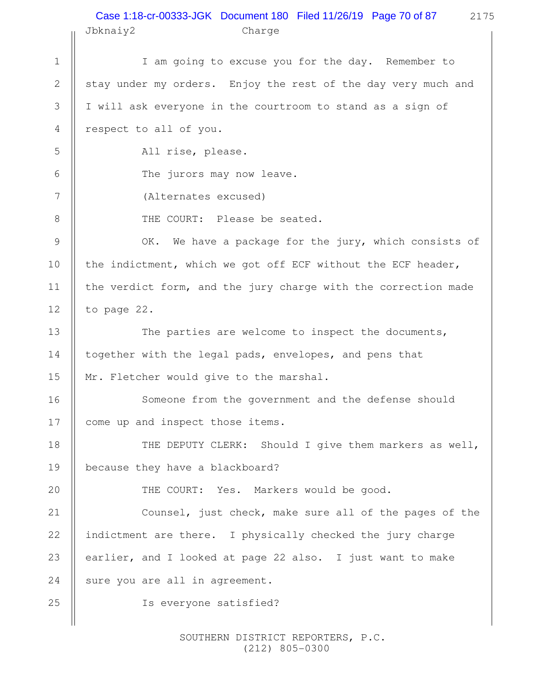#### Jbknaiy2 Charge Case 1:18-cr-00333-JGK Document 180 Filed 11/26/19 Page 70 of 87

2175

I am going to excuse you for the day. Remember to stay under my orders. Enjoy the rest of the day very much and I will ask everyone in the courtroom to stand as a sign of respect to all of you. All rise, please. The jurors may now leave. (Alternates excused) THE COURT: Please be seated. OK. We have a package for the jury, which consists of the indictment, which we got off ECF without the ECF header, the verdict form, and the jury charge with the correction made to page 22. The parties are welcome to inspect the documents, together with the legal pads, envelopes, and pens that Mr. Fletcher would give to the marshal. Someone from the government and the defense should come up and inspect those items. THE DEPUTY CLERK: Should I give them markers as well, because they have a blackboard? THE COURT: Yes. Markers would be good. Counsel, just check, make sure all of the pages of the indictment are there. I physically checked the jury charge earlier, and I looked at page 22 also. I just want to make sure you are all in agreement. Is everyone satisfied? 1 2 3 4 5 6 7 8 9 10 11 12 13 14 15 16 17 18 19 20 21 22 23 24 25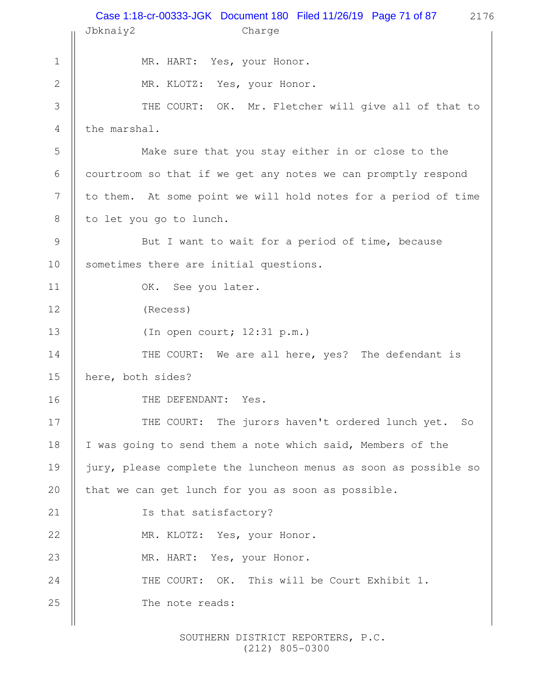|                  | Case 1:18-cr-00333-JGK Document 180 Filed 11/26/19 Page 71 of 87<br>2176<br>Jbknaiy2<br>Charge |
|------------------|------------------------------------------------------------------------------------------------|
|                  |                                                                                                |
| $\mathbf 1$      | MR. HART: Yes, your Honor.                                                                     |
| $\mathbf{2}$     | MR. KLOTZ: Yes, your Honor.                                                                    |
| 3                | THE COURT: OK. Mr. Fletcher will give all of that to                                           |
| $\overline{4}$   | the marshal.                                                                                   |
| 5                | Make sure that you stay either in or close to the                                              |
| 6                | courtroom so that if we get any notes we can promptly respond                                  |
| $\boldsymbol{7}$ | to them. At some point we will hold notes for a period of time                                 |
| $8\,$            | to let you go to lunch.                                                                        |
| $\mathcal{G}$    | But I want to wait for a period of time, because                                               |
| 10               | sometimes there are initial questions.                                                         |
| 11               | OK. See you later.                                                                             |
| 12               | (Recess)                                                                                       |
| 13               | (In open court; 12:31 p.m.)                                                                    |
| 14               | THE COURT: We are all here, yes? The defendant is                                              |
| 15               | here, both sides?                                                                              |
| 16               | THE DEFENDANT: Yes.                                                                            |
| 17               | THE COURT: The jurors haven't ordered lunch yet. So                                            |
| 18               | I was going to send them a note which said, Members of the                                     |
| 19               | jury, please complete the luncheon menus as soon as possible so                                |
| 20               | that we can get lunch for you as soon as possible.                                             |
| 21               | Is that satisfactory?                                                                          |
| 22               | MR. KLOTZ: Yes, your Honor.                                                                    |
| 23               | MR. HART: Yes, your Honor.                                                                     |
| 24               | This will be Court Exhibit 1.<br>THE COURT: OK.                                                |
| 25               | The note reads:                                                                                |
|                  |                                                                                                |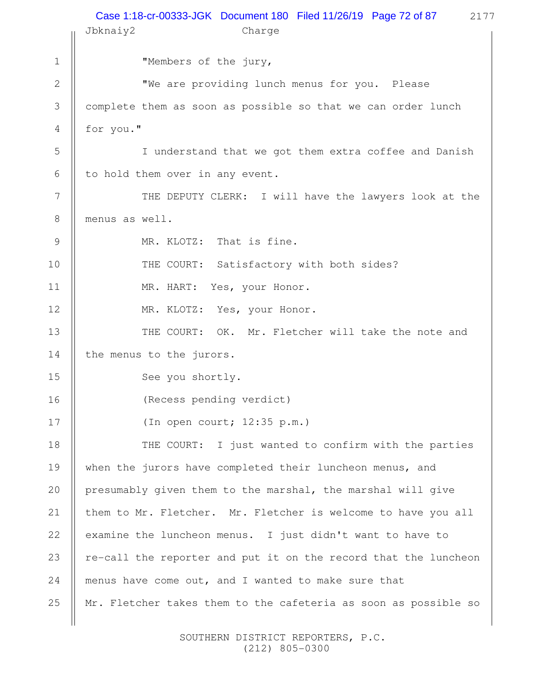|             | Case 1:18-cr-00333-JGK Document 180 Filed 11/26/19 Page 72 of 87<br>2177<br>Jbknaiy2<br>Charge |
|-------------|------------------------------------------------------------------------------------------------|
| $\mathbf 1$ | "Members of the jury,                                                                          |
| 2           | "We are providing lunch menus for you. Please                                                  |
| 3           | complete them as soon as possible so that we can order lunch                                   |
| 4           | for you."                                                                                      |
| 5           | I understand that we got them extra coffee and Danish                                          |
| 6           | to hold them over in any event.                                                                |
| 7           | THE DEPUTY CLERK: I will have the lawyers look at the                                          |
| 8           | menus as well.                                                                                 |
| 9           | MR. KLOTZ: That is fine.                                                                       |
| 10          | THE COURT: Satisfactory with both sides?                                                       |
| 11          | MR. HART: Yes, your Honor.                                                                     |
| 12          | MR. KLOTZ: Yes, your Honor.                                                                    |
| 13          | THE COURT: OK. Mr. Fletcher will take the note and                                             |
| 14          | the menus to the jurors.                                                                       |
| 15          | See you shortly.                                                                               |
| 16          | (Recess pending verdict)                                                                       |
| 17          | (In open court; $12:35$ p.m.)                                                                  |
| 18          | THE COURT: I just wanted to confirm with the parties                                           |
| 19          | when the jurors have completed their luncheon menus, and                                       |
| 20          | presumably given them to the marshal, the marshal will give                                    |
| 21          | them to Mr. Fletcher. Mr. Fletcher is welcome to have you all                                  |
| 22          | examine the luncheon menus. I just didn't want to have to                                      |
| 23          | re-call the reporter and put it on the record that the luncheon                                |
| 24          | menus have come out, and I wanted to make sure that                                            |
| 25          | Mr. Fletcher takes them to the cafeteria as soon as possible so                                |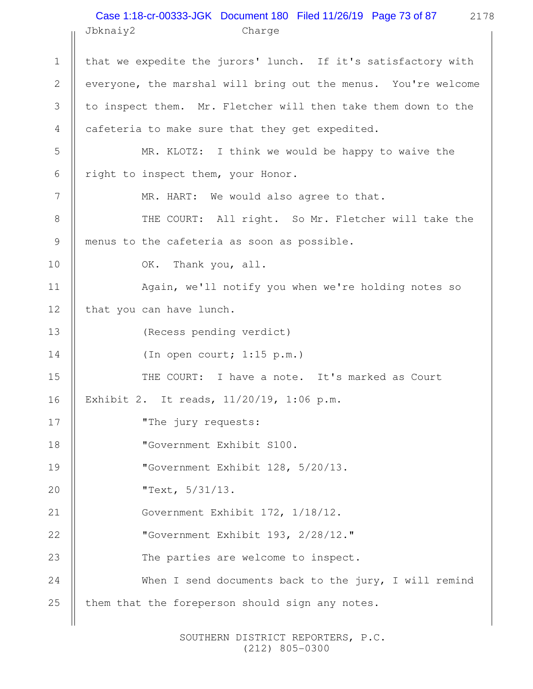## 2178 Jbknaiy2 Charge Case 1:18-cr-00333-JGK Document 180 Filed 11/26/19 Page 73 of 87

that we expedite the jurors' lunch. If it's satisfactory with everyone, the marshal will bring out the menus. You're welcome to inspect them. Mr. Fletcher will then take them down to the cafeteria to make sure that they get expedited. MR. KLOTZ: I think we would be happy to waive the right to inspect them, your Honor. MR. HART: We would also agree to that. THE COURT: All right. So Mr. Fletcher will take the menus to the cafeteria as soon as possible. OK. Thank you, all. Again, we'll notify you when we're holding notes so that you can have lunch. (Recess pending verdict) (In open court; 1:15 p.m.) THE COURT: I have a note. It's marked as Court Exhibit 2. It reads, 11/20/19, 1:06 p.m. "The jury requests: "Government Exhibit S100. "Government Exhibit 128, 5/20/13. "Text, 5/31/13. Government Exhibit 172, 1/18/12. "Government Exhibit 193, 2/28/12." The parties are welcome to inspect. When I send documents back to the jury, I will remind them that the foreperson should sign any notes. 1 2 3 4 5 6 7 8 9 10 11 12 13 14 15 16 17 18 19 20 21 22 23 24 25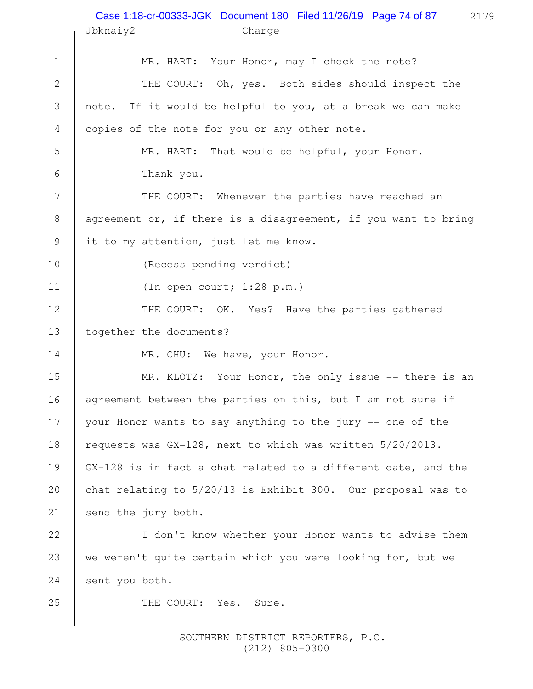## 2179 Case 1:18-cr-00333-JGK Document 180 Filed 11/26/19 Page 74 of 87

|                | Jbknaiy2<br>Charge                                              |  |  |
|----------------|-----------------------------------------------------------------|--|--|
| $\mathbf 1$    | MR. HART: Your Honor, may I check the note?                     |  |  |
| $\sqrt{2}$     | THE COURT: Oh, yes. Both sides should inspect the               |  |  |
| $\mathfrak{Z}$ | note. If it would be helpful to you, at a break we can make     |  |  |
| $\overline{4}$ | copies of the note for you or any other note.                   |  |  |
| 5              | That would be helpful, your Honor.<br>MR. HART:                 |  |  |
| 6              | Thank you.                                                      |  |  |
| 7              | THE COURT: Whenever the parties have reached an                 |  |  |
| $8\,$          | agreement or, if there is a disagreement, if you want to bring  |  |  |
| $\mathsf 9$    | it to my attention, just let me know.                           |  |  |
| 10             | (Recess pending verdict)                                        |  |  |
| 11             | (In open court; 1:28 p.m.)                                      |  |  |
| 12             | THE COURT: OK. Yes? Have the parties gathered                   |  |  |
| 13             | together the documents?                                         |  |  |
| 14             | MR. CHU: We have, your Honor.                                   |  |  |
| 15             | MR. KLOTZ: Your Honor, the only issue -- there is an            |  |  |
| 16             | agreement between the parties on this, but I am not sure if     |  |  |
| 17             | your Honor wants to say anything to the jury -- one of the      |  |  |
| 18             | requests was $GX-128$ , next to which was written $5/20/2013$ . |  |  |
| 19             | GX-128 is in fact a chat related to a different date, and the   |  |  |
| 20             | chat relating to $5/20/13$ is Exhibit 300. Our proposal was to  |  |  |
| 21             | send the jury both.                                             |  |  |
| 22             | I don't know whether your Honor wants to advise them            |  |  |
| 23             | we weren't quite certain which you were looking for, but we     |  |  |
| 24             | sent you both.                                                  |  |  |
| 25             | THE COURT: Yes. Sure.                                           |  |  |
|                |                                                                 |  |  |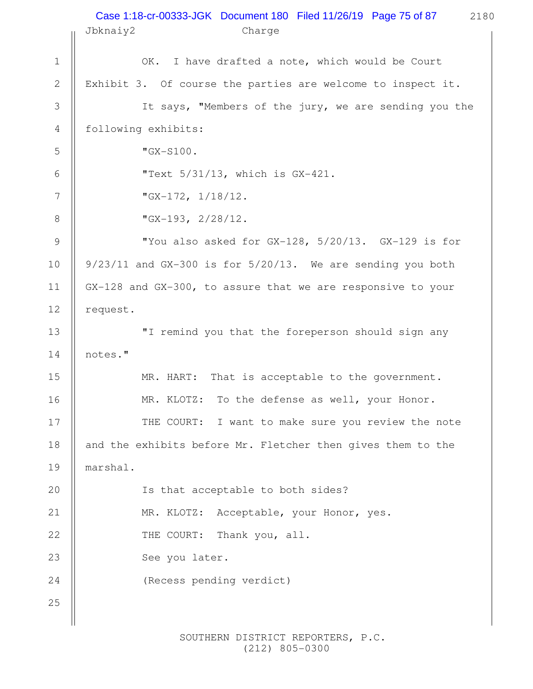|                | Case 1:18-cr-00333-JGK Document 180 Filed 11/26/19 Page 75 of 87<br>2180<br>Jbknaiy2<br>Charge |  |  |  |
|----------------|------------------------------------------------------------------------------------------------|--|--|--|
| $\mathbf 1$    | OK.<br>I have drafted a note, which would be Court                                             |  |  |  |
| $\mathbf{2}$   | Exhibit 3. Of course the parties are welcome to inspect it.                                    |  |  |  |
| 3              | It says, "Members of the jury, we are sending you the                                          |  |  |  |
| 4              | following exhibits:                                                                            |  |  |  |
| 5              | $"GX-S100.$                                                                                    |  |  |  |
| 6              | "Text $5/31/13$ , which is $GX-421$ .                                                          |  |  |  |
| 7              | "GX-172, $1/18/12$ .                                                                           |  |  |  |
| 8              | "GX-193, $2/28/12$ .                                                                           |  |  |  |
| $\overline{9}$ | "You also asked for GX-128, 5/20/13. GX-129 is for                                             |  |  |  |
|                |                                                                                                |  |  |  |
| 10             | $9/23/11$ and GX-300 is for $5/20/13$ . We are sending you both                                |  |  |  |
| 11             | GX-128 and GX-300, to assure that we are responsive to your                                    |  |  |  |
| 12             | request.                                                                                       |  |  |  |
| 13             | "I remind you that the foreperson should sign any                                              |  |  |  |
| 14             | notes."                                                                                        |  |  |  |
| 15             | That is acceptable to the government.<br>MR. HART:                                             |  |  |  |
| 16             | MR. KLOTZ: To the defense as well, your Honor.                                                 |  |  |  |
| 17             | THE COURT: I want to make sure you review the note                                             |  |  |  |
| 18             | and the exhibits before Mr. Fletcher then gives them to the                                    |  |  |  |
| 19             | marshal.                                                                                       |  |  |  |
| 20             | Is that acceptable to both sides?                                                              |  |  |  |
| 21             | MR. KLOTZ: Acceptable, your Honor, yes.                                                        |  |  |  |
| 22             | THE COURT: Thank you, all.                                                                     |  |  |  |
| 23             | See you later.                                                                                 |  |  |  |
| 24             | (Recess pending verdict)                                                                       |  |  |  |
| 25             |                                                                                                |  |  |  |
|                |                                                                                                |  |  |  |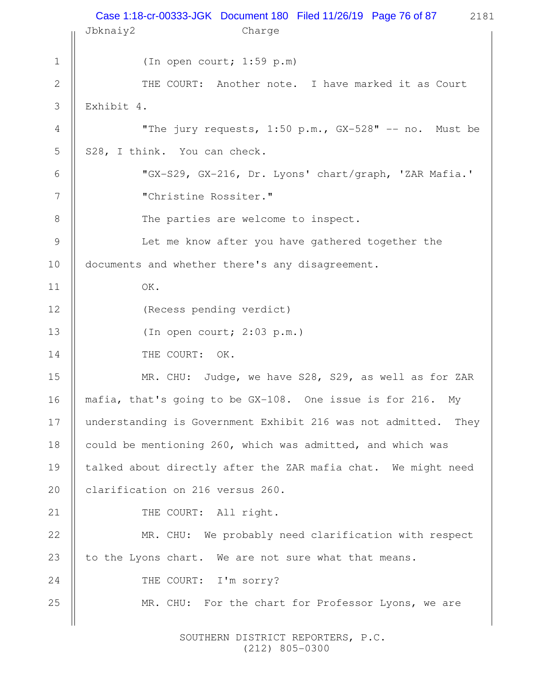|               | Case 1:18-cr-00333-JGK Document 180 Filed 11/26/19 Page 76 of 87 2181<br>Jbknaiy2<br>Charge |  |  |  |
|---------------|---------------------------------------------------------------------------------------------|--|--|--|
| $\mathbf 1$   | (In open court; 1:59 p.m)                                                                   |  |  |  |
| $\mathbf{2}$  | THE COURT: Another note. I have marked it as Court                                          |  |  |  |
| 3             | Exhibit 4.                                                                                  |  |  |  |
| 4             | "The jury requests, 1:50 p.m., GX-528" -- no. Must be                                       |  |  |  |
| 5             | S28, I think. You can check.                                                                |  |  |  |
| 6             | "GX-S29, GX-216, Dr. Lyons' chart/graph, 'ZAR Mafia.'                                       |  |  |  |
| 7             | "Christine Rossiter."                                                                       |  |  |  |
| 8             | The parties are welcome to inspect.                                                         |  |  |  |
| $\mathcal{G}$ | Let me know after you have gathered together the                                            |  |  |  |
| 10            | documents and whether there's any disagreement.                                             |  |  |  |
| 11            | OK.                                                                                         |  |  |  |
| 12            | (Recess pending verdict)                                                                    |  |  |  |
| 13            | (In open court; 2:03 p.m.)                                                                  |  |  |  |
| 14            | THE COURT: OK.                                                                              |  |  |  |
| 15            | MR. CHU: Judge, we have S28, S29, as well as for ZAR                                        |  |  |  |
| 16            | mafia, that's going to be GX-108. One issue is for 216. My                                  |  |  |  |
| 17            | understanding is Government Exhibit 216 was not admitted.<br>They                           |  |  |  |
| 18            | could be mentioning 260, which was admitted, and which was                                  |  |  |  |
| 19            | talked about directly after the ZAR mafia chat. We might need                               |  |  |  |
| 20            | clarification on 216 versus 260.                                                            |  |  |  |
| 21            | THE COURT: All right.                                                                       |  |  |  |
| 22            | MR. CHU: We probably need clarification with respect                                        |  |  |  |
| 23            | to the Lyons chart. We are not sure what that means.                                        |  |  |  |
| 24            | THE COURT: I'm sorry?                                                                       |  |  |  |
| 25            | MR. CHU: For the chart for Professor Lyons, we are                                          |  |  |  |
|               |                                                                                             |  |  |  |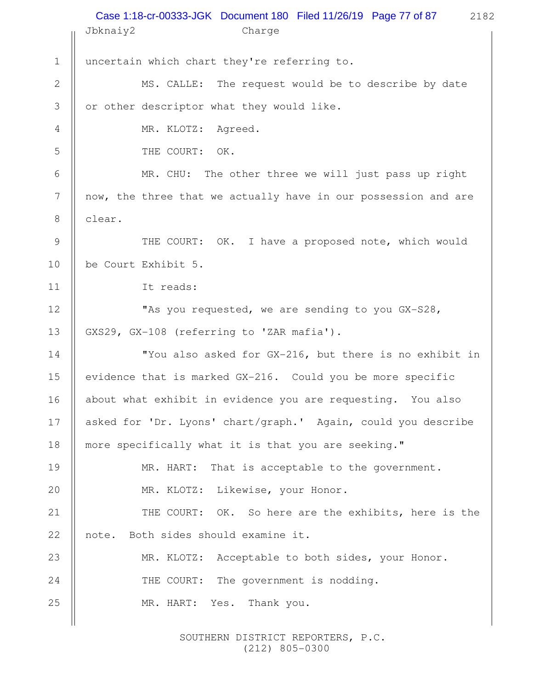|                | Case 1:18-cr-00333-JGK Document 180 Filed 11/26/19 Page 77 of 87<br>2182<br>Jbknaiy2<br>Charge |  |  |
|----------------|------------------------------------------------------------------------------------------------|--|--|
| $1\,$          | uncertain which chart they're referring to.                                                    |  |  |
| $\sqrt{2}$     | MS. CALLE: The request would be to describe by date                                            |  |  |
| 3              | or other descriptor what they would like.                                                      |  |  |
| $\overline{4}$ | MR. KLOTZ: Agreed.                                                                             |  |  |
| 5              | THE COURT: OK.                                                                                 |  |  |
| 6              | MR. CHU: The other three we will just pass up right                                            |  |  |
| 7              | now, the three that we actually have in our possession and are                                 |  |  |
| $8\,$          | clear.                                                                                         |  |  |
| 9              | THE COURT: OK. I have a proposed note, which would                                             |  |  |
| 10             | be Court Exhibit 5.                                                                            |  |  |
| 11             | It reads:                                                                                      |  |  |
| 12             | "As you requested, we are sending to you GX-S28,                                               |  |  |
| 13             | GXS29, GX-108 (referring to 'ZAR mafia').                                                      |  |  |
| 14             | "You also asked for GX-216, but there is no exhibit in                                         |  |  |
| 15             | evidence that is marked GX-216. Could you be more specific                                     |  |  |
| 16             | about what exhibit in evidence you are requesting. You also                                    |  |  |
| 17             | asked for 'Dr. Lyons' chart/graph.' Again, could you describe                                  |  |  |
| 18             | more specifically what it is that you are seeking."                                            |  |  |
| 19             | That is acceptable to the government.<br>MR. HART:                                             |  |  |
| 20             | MR. KLOTZ: Likewise, your Honor.                                                               |  |  |
| 21             | THE COURT: OK. So here are the exhibits, here is the                                           |  |  |
| 22             | Both sides should examine it.<br>note.                                                         |  |  |
| 23             | MR. KLOTZ: Acceptable to both sides, your Honor.                                               |  |  |
| 24             | The government is nodding.<br>THE COURT:                                                       |  |  |
| 25             | MR. HART: Yes. Thank you.                                                                      |  |  |
|                |                                                                                                |  |  |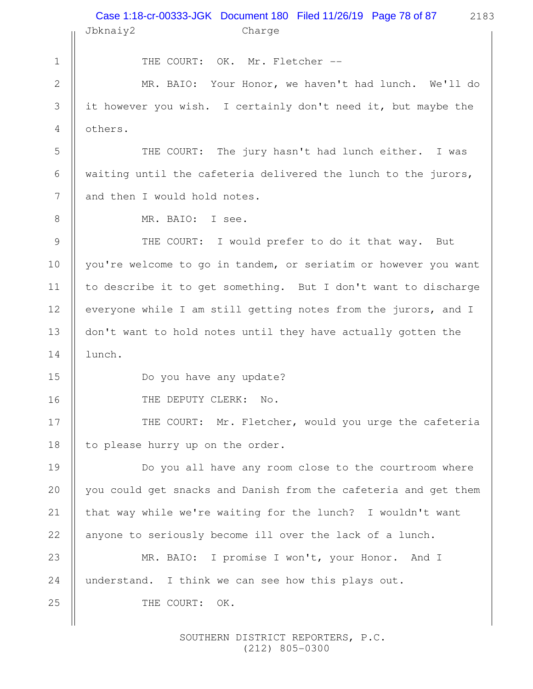|               | Case 1:18-cr-00333-JGK Document 180 Filed 11/26/19 Page 78 of 87<br>2183<br>Jbknaiy2<br>Charge |  |  |  |
|---------------|------------------------------------------------------------------------------------------------|--|--|--|
| $\mathbf 1$   | THE COURT: OK. Mr. Fletcher --                                                                 |  |  |  |
| $\mathbf{2}$  | MR. BAIO: Your Honor, we haven't had lunch. We'll do                                           |  |  |  |
| 3             | it however you wish. I certainly don't need it, but maybe the                                  |  |  |  |
| 4             | others.                                                                                        |  |  |  |
| 5             | THE COURT: The jury hasn't had lunch either. I was                                             |  |  |  |
| 6             | waiting until the cafeteria delivered the lunch to the jurors,                                 |  |  |  |
| 7             | and then I would hold notes.                                                                   |  |  |  |
| 8             | MR. BAIO: I see.                                                                               |  |  |  |
| $\mathcal{G}$ | THE COURT: I would prefer to do it that way. But                                               |  |  |  |
| 10            | you're welcome to go in tandem, or seriatim or however you want                                |  |  |  |
| 11            | to describe it to get something. But I don't want to discharge                                 |  |  |  |
| 12            | everyone while I am still getting notes from the jurors, and I                                 |  |  |  |
| 13            | don't want to hold notes until they have actually gotten the                                   |  |  |  |
| 14            | lunch.                                                                                         |  |  |  |
| 15            | Do you have any update?                                                                        |  |  |  |
| 16            | THE DEPUTY CLERK:<br>$\mathbb{N} \circ$ .                                                      |  |  |  |
| 17            | THE COURT: Mr. Fletcher, would you urge the cafeteria                                          |  |  |  |
| 18            | to please hurry up on the order.                                                               |  |  |  |
| 19            | Do you all have any room close to the courtroom where                                          |  |  |  |
| 20            | you could get snacks and Danish from the cafeteria and get them                                |  |  |  |
| 21            | that way while we're waiting for the lunch? I wouldn't want                                    |  |  |  |
| 22            | anyone to seriously become ill over the lack of a lunch.                                       |  |  |  |
| 23            | MR. BAIO: I promise I won't, your Honor. And I                                                 |  |  |  |
| 24            | understand. I think we can see how this plays out.                                             |  |  |  |
| 25            | THE COURT:<br>OK.                                                                              |  |  |  |
|               |                                                                                                |  |  |  |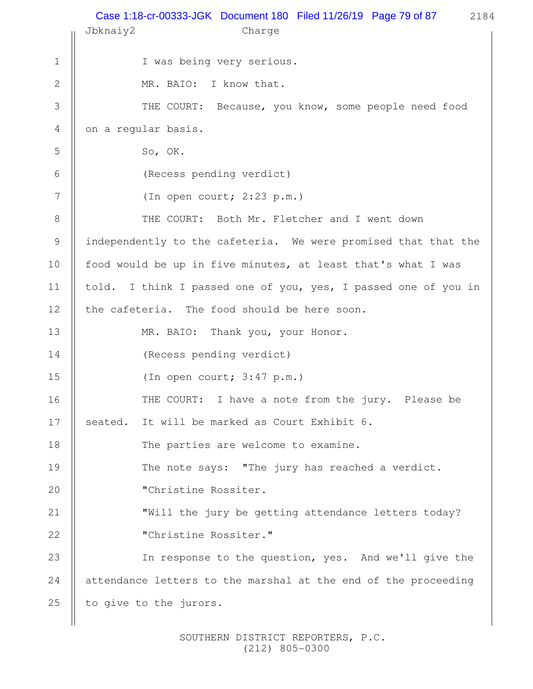|              | Case 1:18-cr-00333-JGK Document 180 Filed 11/26/19 Page 79 of 87 2184<br>Jbknaiy2<br>Charge |  |  |  |
|--------------|---------------------------------------------------------------------------------------------|--|--|--|
| $\mathbf 1$  | I was being very serious.                                                                   |  |  |  |
| $\mathbf{2}$ | MR. BAIO: I know that.                                                                      |  |  |  |
| 3            | THE COURT: Because, you know, some people need food                                         |  |  |  |
| 4            | on a regular basis.                                                                         |  |  |  |
| 5            | So, OK.                                                                                     |  |  |  |
| 6            | (Recess pending verdict)                                                                    |  |  |  |
| 7            | (In open court; 2:23 p.m.)                                                                  |  |  |  |
| 8            | THE COURT: Both Mr. Fletcher and I went down                                                |  |  |  |
| 9            | independently to the cafeteria. We were promised that that the                              |  |  |  |
| 10           | food would be up in five minutes, at least that's what I was                                |  |  |  |
| 11           | told. I think I passed one of you, yes, I passed one of you in                              |  |  |  |
| 12           | the cafeteria. The food should be here soon.                                                |  |  |  |
| 13           | MR. BAIO: Thank you, your Honor.                                                            |  |  |  |
| 14           | (Recess pending verdict)                                                                    |  |  |  |
| 15           | (In open court; $3:47$ p.m.)                                                                |  |  |  |
| 16           | THE COURT: I have a note from the jury. Please be                                           |  |  |  |
| 17           | It will be marked as Court Exhibit 6.<br>seated.                                            |  |  |  |
| 18           | The parties are welcome to examine.                                                         |  |  |  |
| 19           | The note says: "The jury has reached a verdict.                                             |  |  |  |
| 20           | "Christine Rossiter.                                                                        |  |  |  |
| 21           | "Will the jury be getting attendance letters today?                                         |  |  |  |
| 22           | "Christine Rossiter."                                                                       |  |  |  |
| 23           | In response to the question, yes. And we'll give the                                        |  |  |  |
| 24           | attendance letters to the marshal at the end of the proceeding                              |  |  |  |
| 25           | to give to the jurors.                                                                      |  |  |  |
|              |                                                                                             |  |  |  |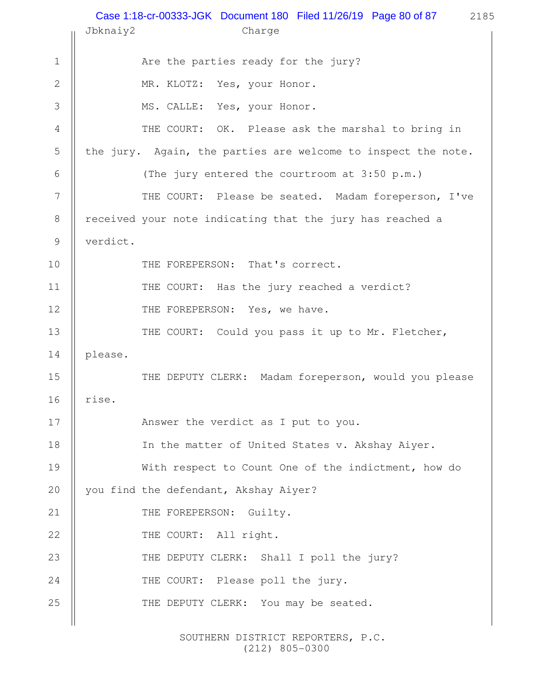2185 Jbknaiy2 Charge Are the parties ready for the jury? MR. KLOTZ: Yes, your Honor. MS. CALLE: Yes, your Honor. THE COURT: OK. Please ask the marshal to bring in the jury. Again, the parties are welcome to inspect the note. (The jury entered the courtroom at 3:50 p.m.) THE COURT: Please be seated. Madam foreperson, I've received your note indicating that the jury has reached a verdict. THE FOREPERSON: That's correct. THE COURT: Has the jury reached a verdict? THE FOREPERSON: Yes, we have. THE COURT: Could you pass it up to Mr. Fletcher, please. THE DEPUTY CLERK: Madam foreperson, would you please rise. Answer the verdict as I put to you. In the matter of United States v. Akshay Aiyer. With respect to Count One of the indictment, how do you find the defendant, Akshay Aiyer? THE FOREPERSON: Guilty. THE COURT: All right. THE DEPUTY CLERK: Shall I poll the jury? THE COURT: Please poll the jury. THE DEPUTY CLERK: You may be seated. 1 2 3 4 5 6 7 8 9 10 11 12 13 14 15 16 17 18 19 20 21 22 23 24 25 Case 1:18-cr-00333-JGK Document 180 Filed 11/26/19 Page 80 of 87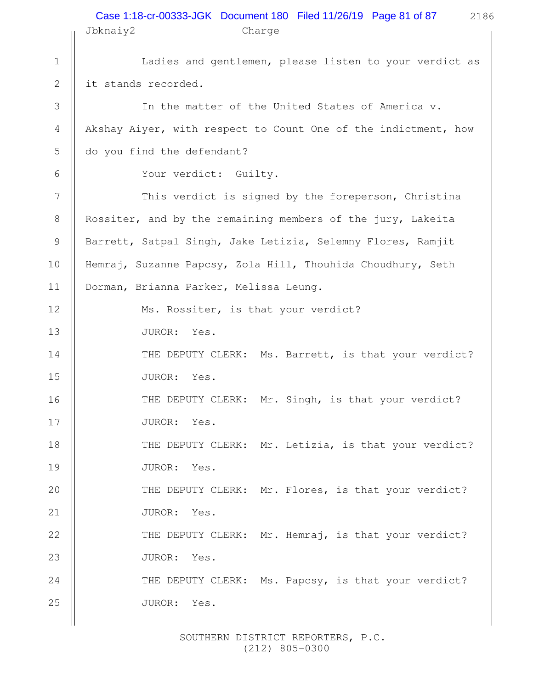## 2186  $J_{\rm bkn}$  $J_{\rm m}$ <sup>2</sup> Charges Charges Charges Charges Charges Charges Charges Charges Charges Charges Charges Charges Charges Charges Charges Charges Charges Charges Charges Charges Charges Charges Charges Charges Charges Case 1:18-cr-00333-JGK Document 180 Filed 11/26/19 Page 81 of 87

|                  | JDKNA1YZ<br>Charge                                             |  |  |  |
|------------------|----------------------------------------------------------------|--|--|--|
| $\mathbf 1$      | Ladies and gentlemen, please listen to your verdict as         |  |  |  |
| $\mathbf{2}$     | it stands recorded.                                            |  |  |  |
| $\mathcal{S}$    | In the matter of the United States of America v.               |  |  |  |
| $\overline{4}$   | Akshay Aiyer, with respect to Count One of the indictment, how |  |  |  |
| 5                | do you find the defendant?                                     |  |  |  |
| 6                | Your verdict: Guilty.                                          |  |  |  |
| $\boldsymbol{7}$ | This verdict is signed by the foreperson, Christina            |  |  |  |
| $\,8\,$          | Rossiter, and by the remaining members of the jury, Lakeita    |  |  |  |
| $\mathcal{G}$    | Barrett, Satpal Singh, Jake Letizia, Selemny Flores, Ramjit    |  |  |  |
| 10               | Hemraj, Suzanne Papcsy, Zola Hill, Thouhida Choudhury, Seth    |  |  |  |
| 11               | Dorman, Brianna Parker, Melissa Leung.                         |  |  |  |
| 12               | Ms. Rossiter, is that your verdict?                            |  |  |  |
| 13               | JUROR:<br>Yes.                                                 |  |  |  |
| 14               | THE DEPUTY CLERK: Ms. Barrett, is that your verdict?           |  |  |  |
| 15               | JUROR: Yes.                                                    |  |  |  |
| 16               | THE DEPUTY CLERK: Mr. Singh, is that your verdict?             |  |  |  |
| 17               | JUROR: Yes.                                                    |  |  |  |
| 18               | THE DEPUTY CLERK: Mr. Letizia, is that your verdict?           |  |  |  |
| 19               | JUROR: Yes.                                                    |  |  |  |
| 20               | THE DEPUTY CLERK: Mr. Flores, is that your verdict?            |  |  |  |
| 21               | JUROR: Yes.                                                    |  |  |  |
| 22               | THE DEPUTY CLERK: Mr. Hemraj, is that your verdict?            |  |  |  |
| 23               | JUROR:<br>Yes.                                                 |  |  |  |
| 24               | THE DEPUTY CLERK: Ms. Papcsy, is that your verdict?            |  |  |  |
| 25               | JUROR: Yes.                                                    |  |  |  |
|                  |                                                                |  |  |  |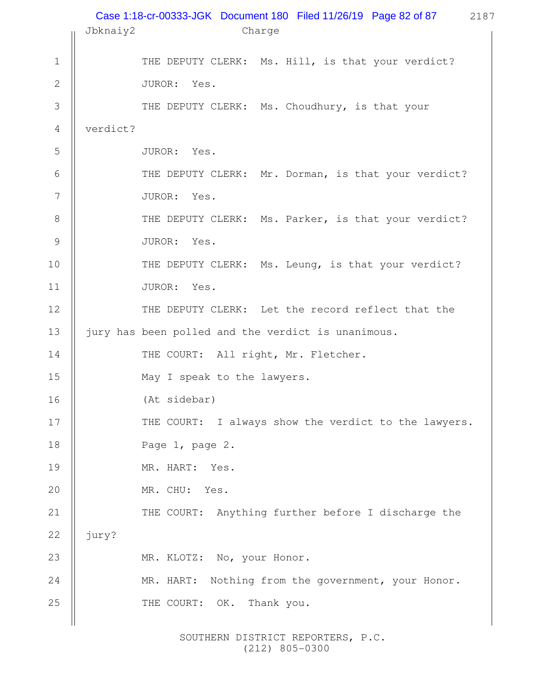|                |          | Case 1:18-cr-00333-JGK Document 180 Filed 11/26/19 Page 82 of 87<br>2187 |
|----------------|----------|--------------------------------------------------------------------------|
|                | Jbknaiy2 | Charge                                                                   |
| $\mathbf 1$    |          | THE DEPUTY CLERK: Ms. Hill, is that your verdict?                        |
| $\mathbf{2}$   |          | JUROR: Yes.                                                              |
| 3              |          | THE DEPUTY CLERK: Ms. Choudhury, is that your                            |
| $\overline{4}$ | verdict? |                                                                          |
| 5              |          | JUROR: Yes.                                                              |
| 6              |          | THE DEPUTY CLERK: Mr. Dorman, is that your verdict?                      |
| 7              |          | JUROR: Yes.                                                              |
| $8\,$          |          | THE DEPUTY CLERK: Ms. Parker, is that your verdict?                      |
| $\mathcal{G}$  |          | JUROR: Yes.                                                              |
| 10             |          | THE DEPUTY CLERK: Ms. Leung, is that your verdict?                       |
| 11             |          | JUROR: Yes.                                                              |
| 12             |          | THE DEPUTY CLERK: Let the record reflect that the                        |
| 13             |          | jury has been polled and the verdict is unanimous.                       |
| 14             |          | THE COURT: All right, Mr. Fletcher.                                      |
| 15             |          | May I speak to the lawyers.                                              |
| 16             |          | (At sidebar)                                                             |
| 17             |          | THE COURT: I always show the verdict to the lawyers.                     |
| 18             |          | Page 1, page 2.                                                          |
| 19             |          | MR. HART: Yes.                                                           |
| 20             |          | MR. CHU: Yes.                                                            |
| 21             |          | THE COURT: Anything further before I discharge the                       |
| 22             | jury?    |                                                                          |
| 23             |          | MR. KLOTZ: No, your Honor.                                               |
| 24             |          | MR. HART: Nothing from the government, your Honor.                       |
| 25             |          | THE COURT: OK.<br>Thank you.                                             |
|                |          |                                                                          |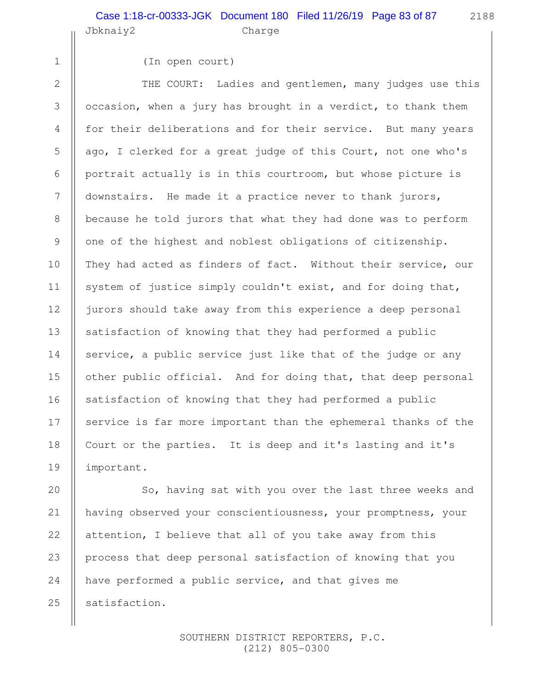2188

```
 1
  2
  3
  4
  5
  6
  7
  8
  9
10
11
12
13
14
15
16
17
18
19
```
(In open court)

THE COURT: Ladies and gentlemen, many judges use this occasion, when a jury has brought in a verdict, to thank them for their deliberations and for their service. But many years ago, I clerked for a great judge of this Court, not one who's portrait actually is in this courtroom, but whose picture is downstairs. He made it a practice never to thank jurors, because he told jurors that what they had done was to perform one of the highest and noblest obligations of citizenship. They had acted as finders of fact. Without their service, our system of justice simply couldn't exist, and for doing that, jurors should take away from this experience a deep personal satisfaction of knowing that they had performed a public service, a public service just like that of the judge or any other public official. And for doing that, that deep personal satisfaction of knowing that they had performed a public service is far more important than the ephemeral thanks of the Court or the parties. It is deep and it's lasting and it's important.

So, having sat with you over the last three weeks and having observed your conscientiousness, your promptness, your attention, I believe that all of you take away from this process that deep personal satisfaction of knowing that you have performed a public service, and that gives me satisfaction. 20 21 22 23 24 25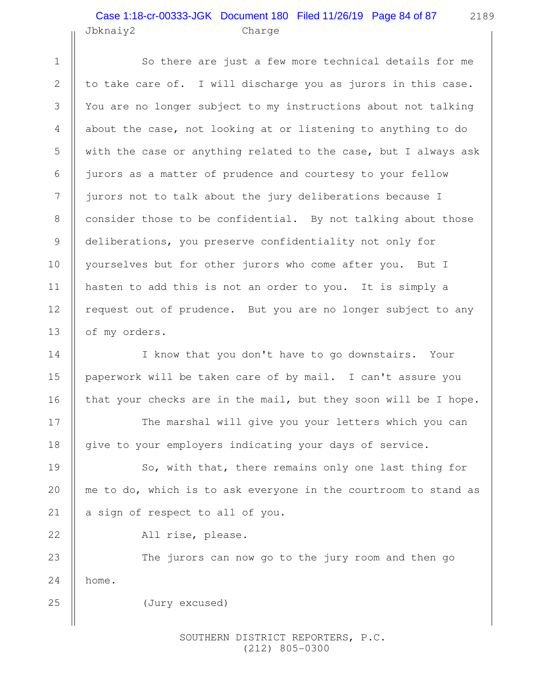## Jbknaiy2 Charge Case 1:18-cr-00333-JGK Document 180 Filed 11/26/19 Page 84 of 87

1

2

3

4

5

6

8

9

10

11

13

14

15

16

17

18

19

20

21

22

25

So there are just a few more technical details for me to take care of. I will discharge you as jurors in this case. You are no longer subject to my instructions about not talking about the case, not looking at or listening to anything to do with the case or anything related to the case, but I always ask jurors as a matter of prudence and courtesy to your fellow jurors not to talk about the jury deliberations because I consider those to be confidential. By not talking about those deliberations, you preserve confidentiality not only for yourselves but for other jurors who come after you. But I hasten to add this is not an order to you. It is simply a request out of prudence. But you are no longer subject to any of my orders. 7 12

I know that you don't have to go downstairs. Your paperwork will be taken care of by mail. I can't assure you that your checks are in the mail, but they soon will be I hope.

The marshal will give you your letters which you can give to your employers indicating your days of service.

So, with that, there remains only one last thing for me to do, which is to ask everyone in the courtroom to stand as a sign of respect to all of you.

All rise, please.

The jurors can now go to the jury room and then go home. 23 24

(Jury excused)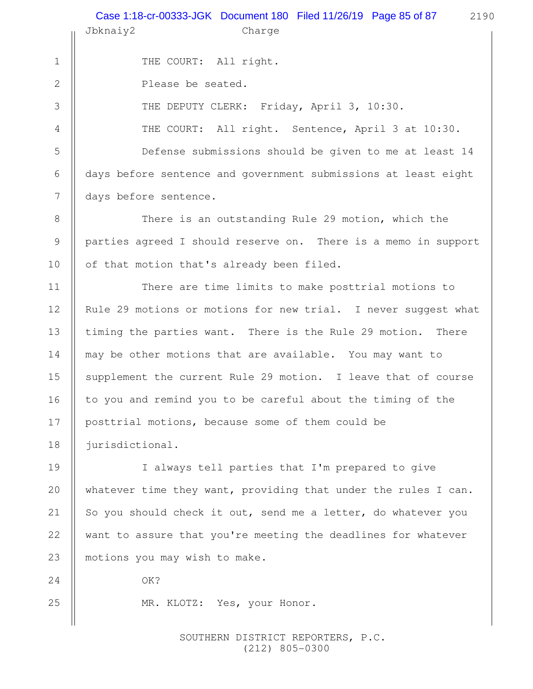2190 Jbknaiy2 Charge THE COURT: All right. Please be seated. THE DEPUTY CLERK: Friday, April 3, 10:30. THE COURT: All right. Sentence, April 3 at 10:30. Defense submissions should be given to me at least 14 days before sentence and government submissions at least eight days before sentence. There is an outstanding Rule 29 motion, which the parties agreed I should reserve on. There is a memo in support of that motion that's already been filed. There are time limits to make posttrial motions to Rule 29 motions or motions for new trial. I never suggest what timing the parties want. There is the Rule 29 motion. There may be other motions that are available. You may want to supplement the current Rule 29 motion. I leave that of course to you and remind you to be careful about the timing of the posttrial motions, because some of them could be jurisdictional. I always tell parties that I'm prepared to give whatever time they want, providing that under the rules I can. So you should check it out, send me a letter, do whatever you want to assure that you're meeting the deadlines for whatever motions you may wish to make. OK? MR. KLOTZ: Yes, your Honor. 1 2 3 4 5 6 7 8 9 10 11 12 13 14 15 16 17 18 19 20 21 22 23 24 25 Case 1:18-cr-00333-JGK Document 180 Filed 11/26/19 Page 85 of 87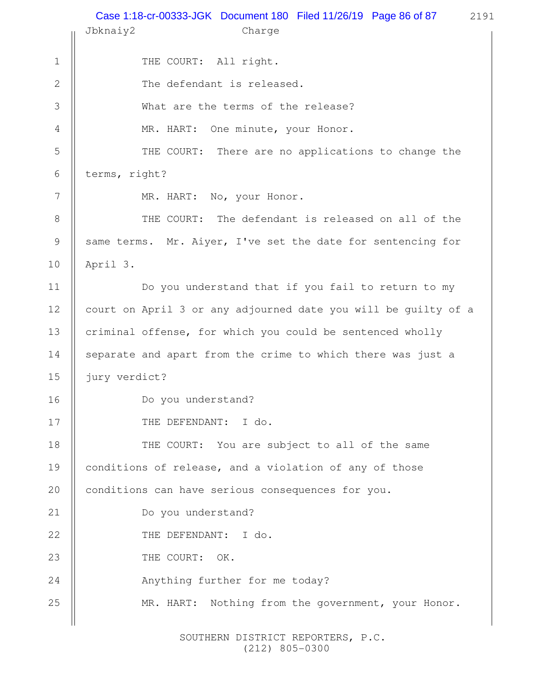2191 Jbknaiy2 Charge THE COURT: All right. The defendant is released. What are the terms of the release? MR. HART: One minute, your Honor. THE COURT: There are no applications to change the terms, right? MR. HART: No, your Honor. THE COURT: The defendant is released on all of the same terms. Mr. Aiyer, I've set the date for sentencing for April 3. Do you understand that if you fail to return to my court on April 3 or any adjourned date you will be guilty of a criminal offense, for which you could be sentenced wholly separate and apart from the crime to which there was just a jury verdict? Do you understand? THE DEFENDANT: I do. THE COURT: You are subject to all of the same conditions of release, and a violation of any of those conditions can have serious consequences for you. Do you understand? THE DEFENDANT: I do. THE COURT: OK. Anything further for me today? MR. HART: Nothing from the government, your Honor. 1 2 3 4 5 6 7 8 9 10 11 12 13 14 15 16 17 18 19 20 21 22 23 24 25 Case 1:18-cr-00333-JGK Document 180 Filed 11/26/19 Page 86 of 87